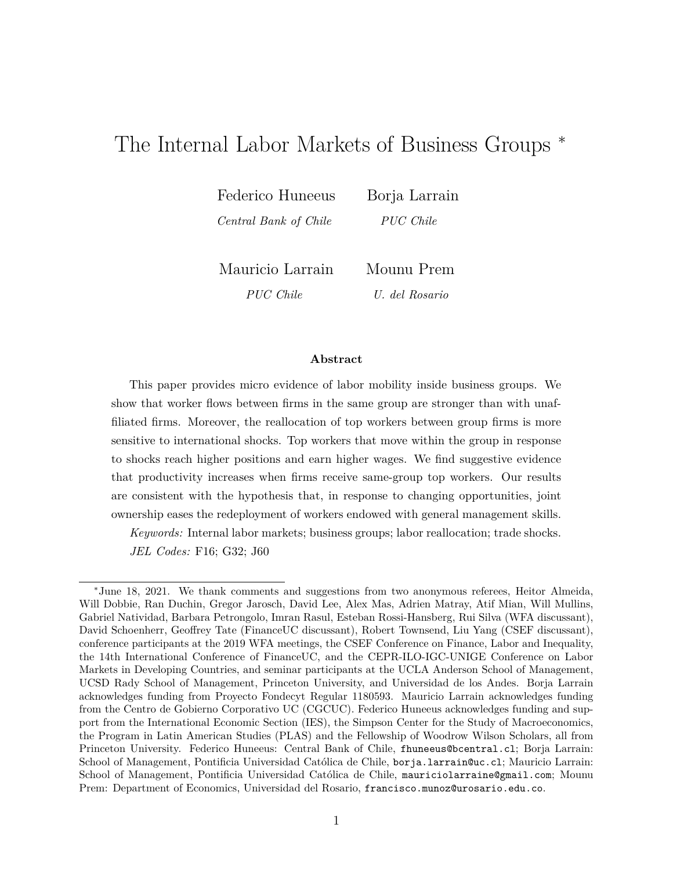# <span id="page-0-0"></span>The Internal Labor Markets of Business Groups  $*$

Federico Huneeus Borja Larrain *Central Bank of Chile PUC Chile*

Mauricio Larrain Mounu Prem *PUC Chile U. del Rosario*

#### **Abstract**

This paper provides micro evidence of labor mobility inside business groups. We show that worker flows between firms in the same group are stronger than with unaffiliated firms. Moreover, the reallocation of top workers between group firms is more sensitive to international shocks. Top workers that move within the group in response to shocks reach higher positions and earn higher wages. We find suggestive evidence that productivity increases when firms receive same-group top workers. Our results are consistent with the hypothesis that, in response to changing opportunities, joint ownership eases the redeployment of workers endowed with general management skills.

*Keywords:* Internal labor markets; business groups; labor reallocation; trade shocks. *JEL Codes:* F16; G32; J60

<sup>∗</sup>June 18, 2021. We thank comments and suggestions from two anonymous referees, Heitor Almeida, Will Dobbie, Ran Duchin, Gregor Jarosch, David Lee, Alex Mas, Adrien Matray, Atif Mian, Will Mullins, Gabriel Natividad, Barbara Petrongolo, Imran Rasul, Esteban Rossi-Hansberg, Rui Silva (WFA discussant), David Schoenherr, Geoffrey Tate (FinanceUC discussant), Robert Townsend, Liu Yang (CSEF discussant), conference participants at the 2019 WFA meetings, the CSEF Conference on Finance, Labor and Inequality, the 14th International Conference of FinanceUC, and the CEPR-ILO-IGC-UNIGE Conference on Labor Markets in Developing Countries, and seminar participants at the UCLA Anderson School of Management, UCSD Rady School of Management, Princeton University, and Universidad de los Andes. Borja Larrain acknowledges funding from Proyecto Fondecyt Regular 1180593. Mauricio Larrain acknowledges funding from the Centro de Gobierno Corporativo UC (CGCUC). Federico Huneeus acknowledges funding and support from the International Economic Section (IES), the Simpson Center for the Study of Macroeconomics, the Program in Latin American Studies (PLAS) and the Fellowship of Woodrow Wilson Scholars, all from Princeton University. Federico Huneeus: Central Bank of Chile, fhuneeus@bcentral.cl; Borja Larrain: School of Management, Pontificia Universidad Católica de Chile, borja.larrain@uc.cl; Mauricio Larrain: School of Management, Pontificia Universidad Católica de Chile, mauriciolarraine@gmail.com; Mounu Prem: Department of Economics, Universidad del Rosario, francisco.munoz@urosario.edu.co.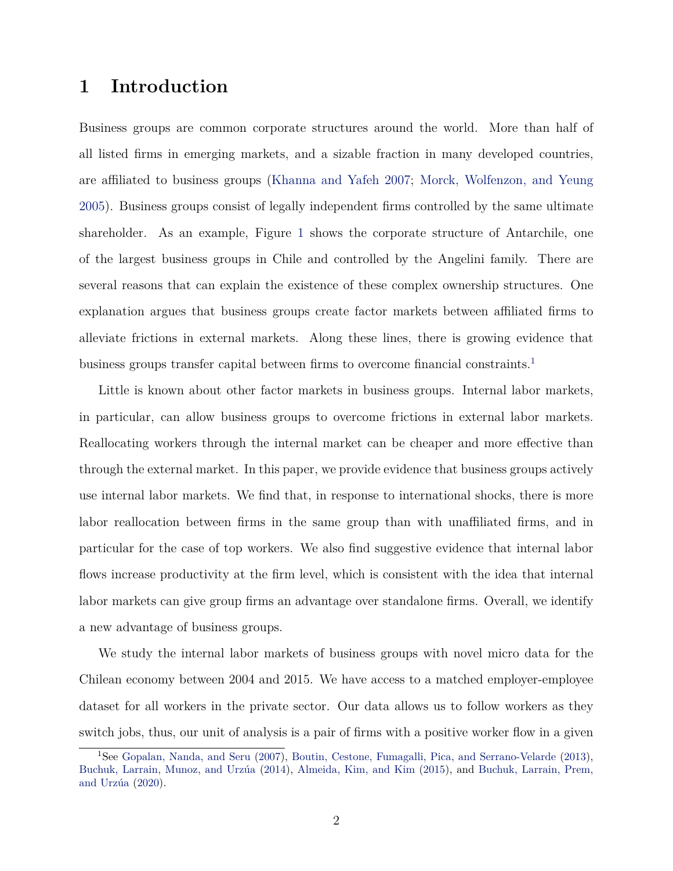# <span id="page-1-0"></span>**1 Introduction**

Business groups are common corporate structures around the world. More than half of all listed firms in emerging markets, and a sizable fraction in many developed countries, are affiliated to business groups [\(Khanna and Yafeh](#page-34-0) [2007;](#page-34-0) [Morck, Wolfenzon, and Yeung](#page-35-0) [2005\)](#page-35-0). Business groups consist of legally independent firms controlled by the same ultimate shareholder. As an example, Figure [1](#page-40-0) shows the corporate structure of Antarchile, one of the largest business groups in Chile and controlled by the Angelini family. There are several reasons that can explain the existence of these complex ownership structures. One explanation argues that business groups create factor markets between affiliated firms to alleviate frictions in external markets. Along these lines, there is growing evidence that business groups transfer capital between firms to overcome financial constraints.[1](#page-0-0)

Little is known about other factor markets in business groups. Internal labor markets, in particular, can allow business groups to overcome frictions in external labor markets. Reallocating workers through the internal market can be cheaper and more effective than through the external market. In this paper, we provide evidence that business groups actively use internal labor markets. We find that, in response to international shocks, there is more labor reallocation between firms in the same group than with unaffiliated firms, and in particular for the case of top workers. We also find suggestive evidence that internal labor flows increase productivity at the firm level, which is consistent with the idea that internal labor markets can give group firms an advantage over standalone firms. Overall, we identify a new advantage of business groups.

We study the internal labor markets of business groups with novel micro data for the Chilean economy between 2004 and 2015. We have access to a matched employer-employee dataset for all workers in the private sector. Our data allows us to follow workers as they switch jobs, thus, our unit of analysis is a pair of firms with a positive worker flow in a given

<sup>1</sup>See [Gopalan, Nanda, and Seru](#page-34-1) [\(2007\)](#page-34-1), [Boutin, Cestone, Fumagalli, Pica, and Serrano-Velarde](#page-33-0) [\(2013\)](#page-33-0), Buchuk, Larrain, Munoz, and Urzúa [\(2014\)](#page-33-1), [Almeida, Kim, and Kim](#page-32-0) [\(2015\)](#page-32-0), and [Buchuk, Larrain, Prem,](#page-33-2) and Urzúa  $(2020)$ .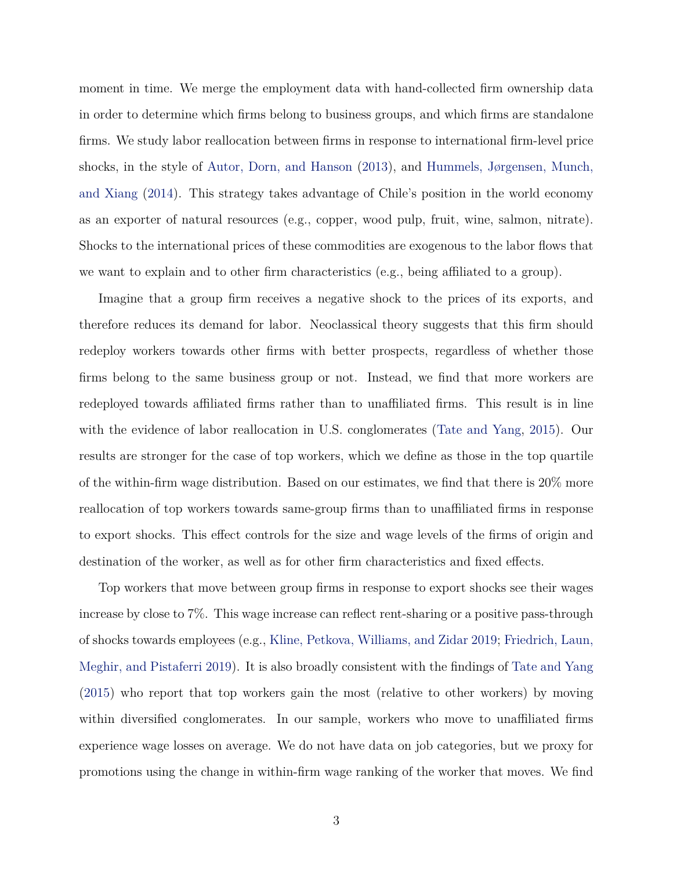moment in time. We merge the employment data with hand-collected firm ownership data in order to determine which firms belong to business groups, and which firms are standalone firms. We study labor reallocation between firms in response to international firm-level price shocks, in the style of [Autor, Dorn, and Hanson](#page-32-1) [\(2013\)](#page-32-1), and [Hummels, Jørgensen, Munch,](#page-34-2) [and Xiang](#page-34-2) [\(2014\)](#page-34-2). This strategy takes advantage of Chile's position in the world economy as an exporter of natural resources (e.g., copper, wood pulp, fruit, wine, salmon, nitrate). Shocks to the international prices of these commodities are exogenous to the labor flows that we want to explain and to other firm characteristics (e.g., being affiliated to a group).

Imagine that a group firm receives a negative shock to the prices of its exports, and therefore reduces its demand for labor. Neoclassical theory suggests that this firm should redeploy workers towards other firms with better prospects, regardless of whether those firms belong to the same business group or not. Instead, we find that more workers are redeployed towards affiliated firms rather than to unaffiliated firms. This result is in line with the evidence of labor reallocation in U.S. conglomerates [\(Tate and Yang,](#page-35-1) [2015\)](#page-35-1). Our results are stronger for the case of top workers, which we define as those in the top quartile of the within-firm wage distribution. Based on our estimates, we find that there is 20% more reallocation of top workers towards same-group firms than to unaffiliated firms in response to export shocks. This effect controls for the size and wage levels of the firms of origin and destination of the worker, as well as for other firm characteristics and fixed effects.

Top workers that move between group firms in response to export shocks see their wages increase by close to 7%. This wage increase can reflect rent-sharing or a positive pass-through of shocks towards employees (e.g., [Kline, Petkova, Williams, and Zidar](#page-34-3) [2019;](#page-34-3) [Friedrich, Laun,](#page-33-3) [Meghir, and Pistaferri](#page-33-3) [2019\)](#page-33-3). It is also broadly consistent with the findings of [Tate and Yang](#page-35-1) [\(2015\)](#page-35-1) who report that top workers gain the most (relative to other workers) by moving within diversified conglomerates. In our sample, workers who move to unaffiliated firms experience wage losses on average. We do not have data on job categories, but we proxy for promotions using the change in within-firm wage ranking of the worker that moves. We find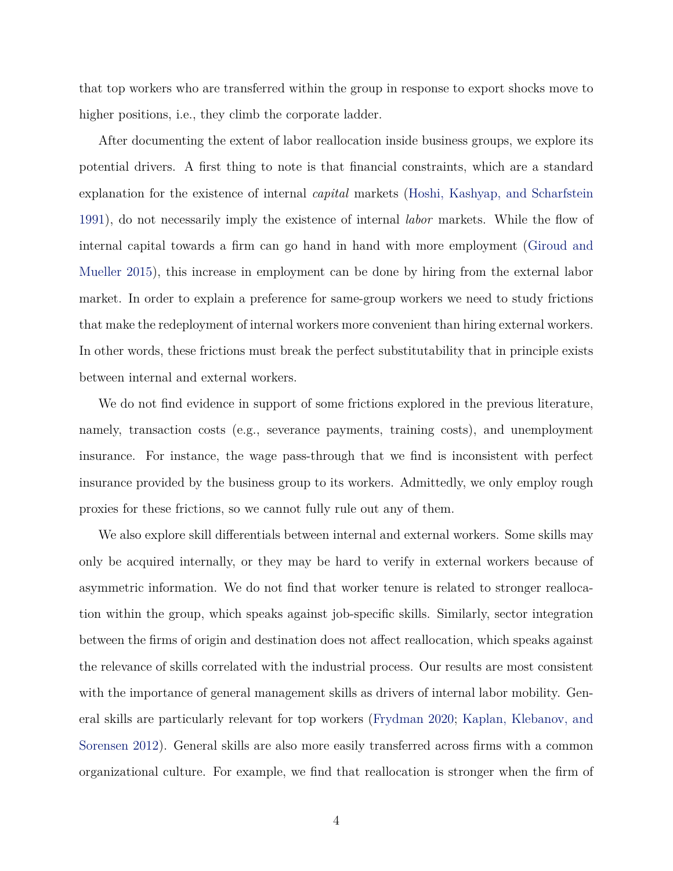that top workers who are transferred within the group in response to export shocks move to higher positions, i.e., they climb the corporate ladder.

After documenting the extent of labor reallocation inside business groups, we explore its potential drivers. A first thing to note is that financial constraints, which are a standard explanation for the existence of internal *capital* markets [\(Hoshi, Kashyap, and Scharfstein](#page-34-4) [1991\)](#page-34-4), do not necessarily imply the existence of internal *labor* markets. While the flow of internal capital towards a firm can go hand in hand with more employment [\(Giroud and](#page-34-5) [Mueller](#page-34-5) [2015\)](#page-34-5), this increase in employment can be done by hiring from the external labor market. In order to explain a preference for same-group workers we need to study frictions that make the redeployment of internal workers more convenient than hiring external workers. In other words, these frictions must break the perfect substitutability that in principle exists between internal and external workers.

We do not find evidence in support of some frictions explored in the previous literature, namely, transaction costs (e.g., severance payments, training costs), and unemployment insurance. For instance, the wage pass-through that we find is inconsistent with perfect insurance provided by the business group to its workers. Admittedly, we only employ rough proxies for these frictions, so we cannot fully rule out any of them.

We also explore skill differentials between internal and external workers. Some skills may only be acquired internally, or they may be hard to verify in external workers because of asymmetric information. We do not find that worker tenure is related to stronger reallocation within the group, which speaks against job-specific skills. Similarly, sector integration between the firms of origin and destination does not affect reallocation, which speaks against the relevance of skills correlated with the industrial process. Our results are most consistent with the importance of general management skills as drivers of internal labor mobility. General skills are particularly relevant for top workers [\(Frydman](#page-34-6) [2020;](#page-34-6) [Kaplan, Klebanov, and](#page-34-7) [Sorensen](#page-34-7) [2012\)](#page-34-7). General skills are also more easily transferred across firms with a common organizational culture. For example, we find that reallocation is stronger when the firm of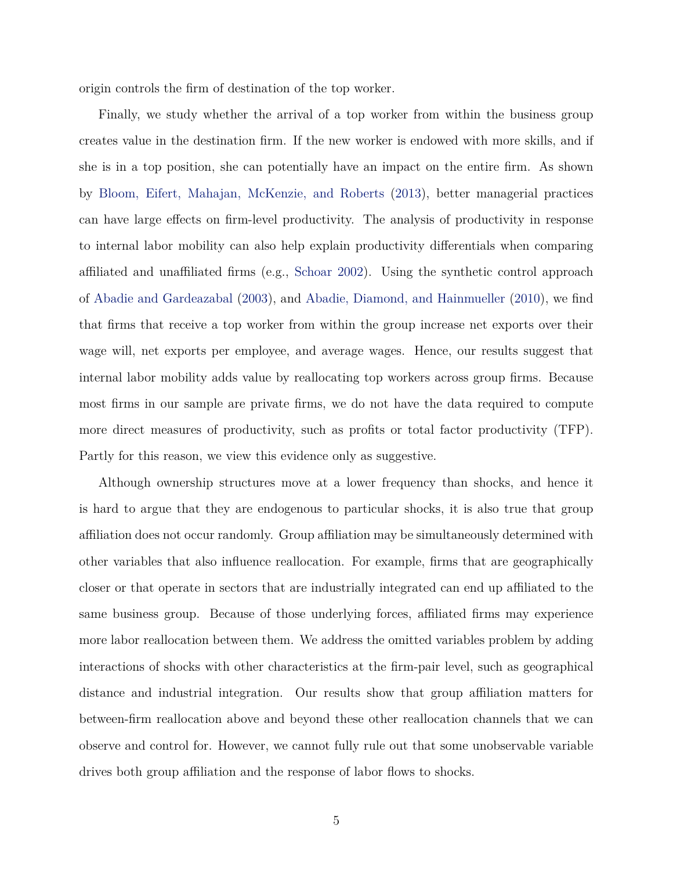origin controls the firm of destination of the top worker.

Finally, we study whether the arrival of a top worker from within the business group creates value in the destination firm. If the new worker is endowed with more skills, and if she is in a top position, she can potentially have an impact on the entire firm. As shown by [Bloom, Eifert, Mahajan, McKenzie, and Roberts](#page-32-2) [\(2013\)](#page-32-2), better managerial practices can have large effects on firm-level productivity. The analysis of productivity in response to internal labor mobility can also help explain productivity differentials when comparing affiliated and unaffiliated firms (e.g., [Schoar](#page-35-2) [2002\)](#page-35-2). Using the synthetic control approach of [Abadie and Gardeazabal](#page-32-3) [\(2003\)](#page-32-3), and [Abadie, Diamond, and Hainmueller](#page-32-4) [\(2010\)](#page-32-4), we find that firms that receive a top worker from within the group increase net exports over their wage will, net exports per employee, and average wages. Hence, our results suggest that internal labor mobility adds value by reallocating top workers across group firms. Because most firms in our sample are private firms, we do not have the data required to compute more direct measures of productivity, such as profits or total factor productivity (TFP). Partly for this reason, we view this evidence only as suggestive.

Although ownership structures move at a lower frequency than shocks, and hence it is hard to argue that they are endogenous to particular shocks, it is also true that group affiliation does not occur randomly. Group affiliation may be simultaneously determined with other variables that also influence reallocation. For example, firms that are geographically closer or that operate in sectors that are industrially integrated can end up affiliated to the same business group. Because of those underlying forces, affiliated firms may experience more labor reallocation between them. We address the omitted variables problem by adding interactions of shocks with other characteristics at the firm-pair level, such as geographical distance and industrial integration. Our results show that group affiliation matters for between-firm reallocation above and beyond these other reallocation channels that we can observe and control for. However, we cannot fully rule out that some unobservable variable drives both group affiliation and the response of labor flows to shocks.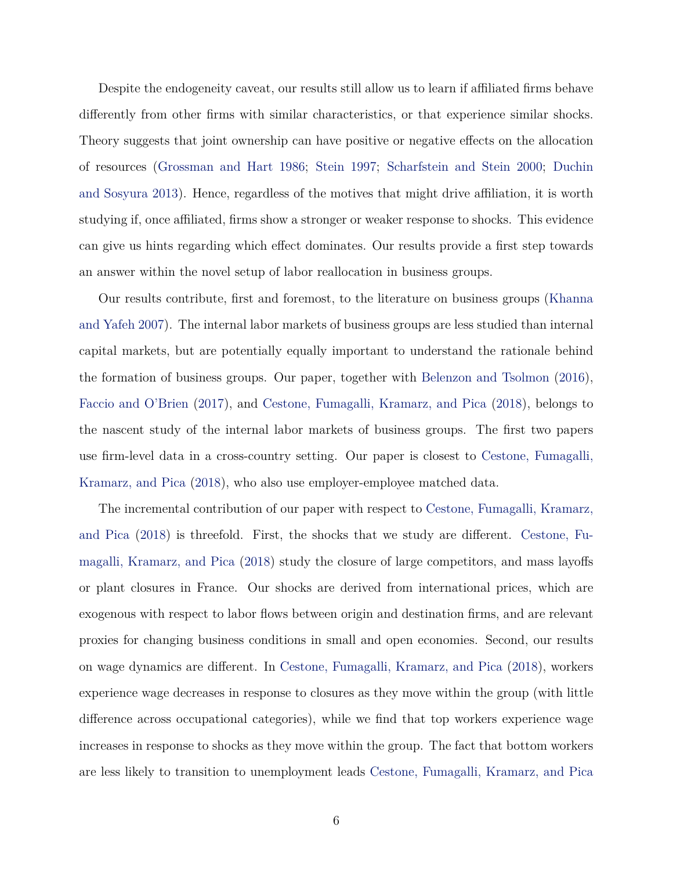Despite the endogeneity caveat, our results still allow us to learn if affiliated firms behave differently from other firms with similar characteristics, or that experience similar shocks. Theory suggests that joint ownership can have positive or negative effects on the allocation of resources [\(Grossman and Hart](#page-34-8) [1986;](#page-34-8) [Stein](#page-35-3) [1997;](#page-35-3) [Scharfstein and Stein](#page-35-4) [2000;](#page-35-4) [Duchin](#page-33-4) [and Sosyura](#page-33-4) [2013\)](#page-33-4). Hence, regardless of the motives that might drive affiliation, it is worth studying if, once affiliated, firms show a stronger or weaker response to shocks. This evidence can give us hints regarding which effect dominates. Our results provide a first step towards an answer within the novel setup of labor reallocation in business groups.

Our results contribute, first and foremost, to the literature on business groups [\(Khanna](#page-34-0) [and Yafeh](#page-34-0) [2007\)](#page-34-0). The internal labor markets of business groups are less studied than internal capital markets, but are potentially equally important to understand the rationale behind the formation of business groups. Our paper, together with [Belenzon and Tsolmon](#page-32-5) [\(2016\)](#page-32-5), [Faccio and O'Brien](#page-33-5) [\(2017\)](#page-33-5), and [Cestone, Fumagalli, Kramarz, and Pica](#page-33-6) [\(2018\)](#page-33-6), belongs to the nascent study of the internal labor markets of business groups. The first two papers use firm-level data in a cross-country setting. Our paper is closest to [Cestone, Fumagalli,](#page-33-6) [Kramarz, and Pica](#page-33-6) [\(2018\)](#page-33-6), who also use employer-employee matched data.

The incremental contribution of our paper with respect to [Cestone, Fumagalli, Kramarz,](#page-33-6) [and Pica](#page-33-6) [\(2018\)](#page-33-6) is threefold. First, the shocks that we study are different. [Cestone, Fu](#page-33-6)[magalli, Kramarz, and Pica](#page-33-6) [\(2018\)](#page-33-6) study the closure of large competitors, and mass layoffs or plant closures in France. Our shocks are derived from international prices, which are exogenous with respect to labor flows between origin and destination firms, and are relevant proxies for changing business conditions in small and open economies. Second, our results on wage dynamics are different. In [Cestone, Fumagalli, Kramarz, and Pica](#page-33-6) [\(2018\)](#page-33-6), workers experience wage decreases in response to closures as they move within the group (with little difference across occupational categories), while we find that top workers experience wage increases in response to shocks as they move within the group. The fact that bottom workers are less likely to transition to unemployment leads [Cestone, Fumagalli, Kramarz, and Pica](#page-33-6)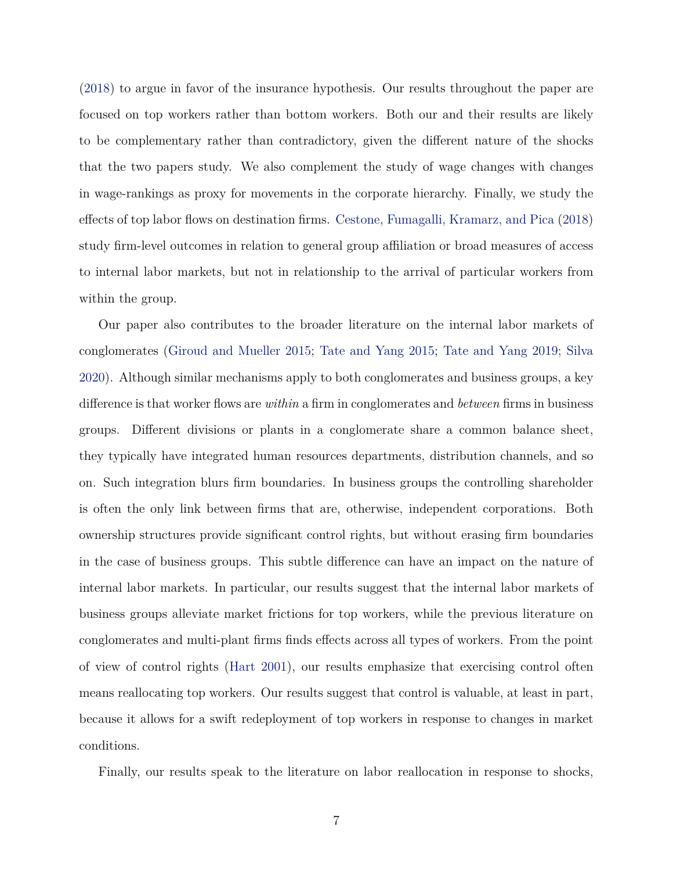[\(2018\)](#page-33-6) to argue in favor of the insurance hypothesis. Our results throughout the paper are focused on top workers rather than bottom workers. Both our and their results are likely to be complementary rather than contradictory, given the different nature of the shocks that the two papers study. We also complement the study of wage changes with changes in wage-rankings as proxy for movements in the corporate hierarchy. Finally, we study the effects of top labor flows on destination firms. [Cestone, Fumagalli, Kramarz, and Pica](#page-33-6) [\(2018\)](#page-33-6) study firm-level outcomes in relation to general group affiliation or broad measures of access to internal labor markets, but not in relationship to the arrival of particular workers from within the group.

Our paper also contributes to the broader literature on the internal labor markets of conglomerates [\(Giroud and Mueller](#page-34-5) [2015;](#page-34-5) [Tate and Yang](#page-35-1) [2015;](#page-35-1) [Tate and Yang](#page-35-5) [2019;](#page-35-5) [Silva](#page-35-6) [2020\)](#page-35-6). Although similar mechanisms apply to both conglomerates and business groups, a key difference is that worker flows are *within* a firm in conglomerates and *between* firms in business groups. Different divisions or plants in a conglomerate share a common balance sheet, they typically have integrated human resources departments, distribution channels, and so on. Such integration blurs firm boundaries. In business groups the controlling shareholder is often the only link between firms that are, otherwise, independent corporations. Both ownership structures provide significant control rights, but without erasing firm boundaries in the case of business groups. This subtle difference can have an impact on the nature of internal labor markets. In particular, our results suggest that the internal labor markets of business groups alleviate market frictions for top workers, while the previous literature on conglomerates and multi-plant firms finds effects across all types of workers. From the point of view of control rights [\(Hart](#page-34-9) [2001\)](#page-34-9), our results emphasize that exercising control often means reallocating top workers. Our results suggest that control is valuable, at least in part, because it allows for a swift redeployment of top workers in response to changes in market conditions.

Finally, our results speak to the literature on labor reallocation in response to shocks,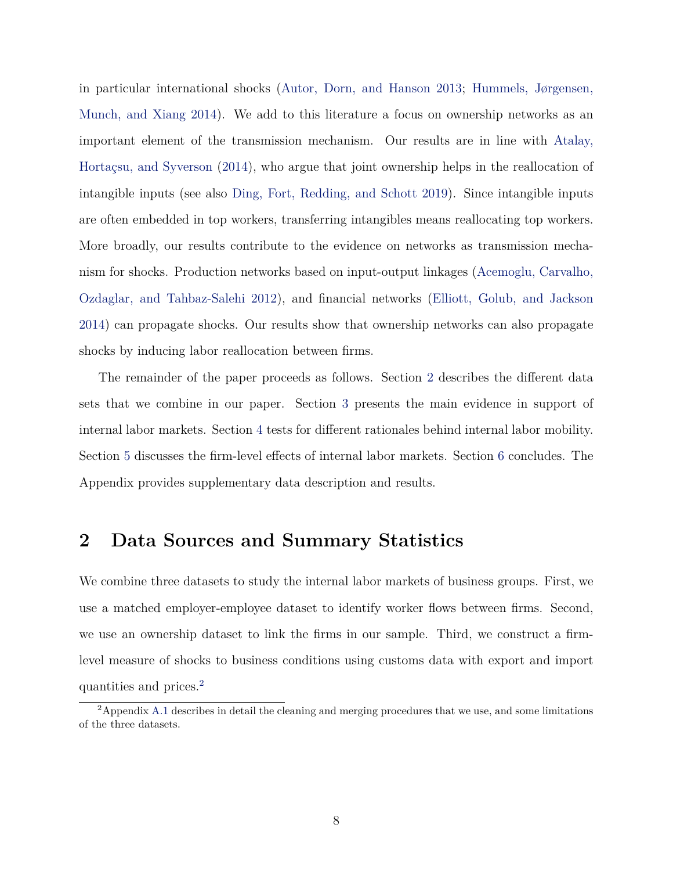in particular international shocks [\(Autor, Dorn, and Hanson](#page-32-1) [2013;](#page-32-1) [Hummels, Jørgensen,](#page-34-2) [Munch, and Xiang](#page-34-2) [2014\)](#page-34-2). We add to this literature a focus on ownership networks as an important element of the transmission mechanism. Our results are in line with [Atalay,](#page-32-6) Hortaçsu, and Syverson [\(2014\)](#page-32-6), who argue that joint ownership helps in the reallocation of intangible inputs (see also [Ding, Fort, Redding, and Schott](#page-33-7) [2019\)](#page-33-7). Since intangible inputs are often embedded in top workers, transferring intangibles means reallocating top workers. More broadly, our results contribute to the evidence on networks as transmission mechanism for shocks. Production networks based on input-output linkages [\(Acemoglu, Carvalho,](#page-32-7) [Ozdaglar, and Tahbaz-Salehi](#page-32-7) [2012\)](#page-32-7), and financial networks [\(Elliott, Golub, and Jackson](#page-33-8) [2014\)](#page-33-8) can propagate shocks. Our results show that ownership networks can also propagate shocks by inducing labor reallocation between firms.

The remainder of the paper proceeds as follows. Section [2](#page-7-0) describes the different data sets that we combine in our paper. Section [3](#page-14-0) presents the main evidence in support of internal labor markets. Section [4](#page-23-0) tests for different rationales behind internal labor mobility. Section [5](#page-28-0) discusses the firm-level effects of internal labor markets. Section [6](#page-30-0) concludes. The Appendix provides supplementary data description and results.

## <span id="page-7-0"></span>**2 Data Sources and Summary Statistics**

We combine three datasets to study the internal labor markets of business groups. First, we use a matched employer-employee dataset to identify worker flows between firms. Second, we use an ownership dataset to link the firms in our sample. Third, we construct a firmlevel measure of shocks to business conditions using customs data with export and import quantities and prices.[2](#page-0-0)

<sup>2</sup>Appendix [A.1](#page-36-0) describes in detail the cleaning and merging procedures that we use, and some limitations of the three datasets.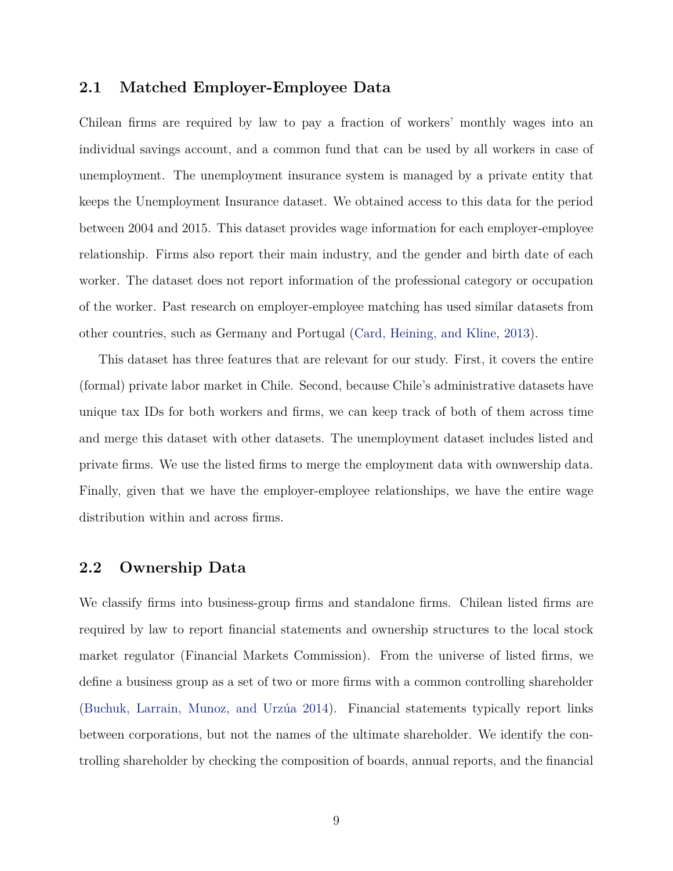### <span id="page-8-1"></span>**2.1 Matched Employer-Employee Data**

Chilean firms are required by law to pay a fraction of workers' monthly wages into an individual savings account, and a common fund that can be used by all workers in case of unemployment. The unemployment insurance system is managed by a private entity that keeps the Unemployment Insurance dataset. We obtained access to this data for the period between 2004 and 2015. This dataset provides wage information for each employer-employee relationship. Firms also report their main industry, and the gender and birth date of each worker. The dataset does not report information of the professional category or occupation of the worker. Past research on employer-employee matching has used similar datasets from other countries, such as Germany and Portugal [\(Card, Heining, and Kline,](#page-33-9) [2013\)](#page-33-9).

This dataset has three features that are relevant for our study. First, it covers the entire (formal) private labor market in Chile. Second, because Chile's administrative datasets have unique tax IDs for both workers and firms, we can keep track of both of them across time and merge this dataset with other datasets. The unemployment dataset includes listed and private firms. We use the listed firms to merge the employment data with ownwership data. Finally, given that we have the employer-employee relationships, we have the entire wage distribution within and across firms.

### <span id="page-8-0"></span>**2.2 Ownership Data**

We classify firms into business-group firms and standalone firms. Chilean listed firms are required by law to report financial statements and ownership structures to the local stock market regulator (Financial Markets Commission). From the universe of listed firms, we define a business group as a set of two or more firms with a common controlling shareholder [\(Buchuk, Larrain, Munoz, and Urz´ua](#page-33-1) [2014\)](#page-33-1). Financial statements typically report links between corporations, but not the names of the ultimate shareholder. We identify the controlling shareholder by checking the composition of boards, annual reports, and the financial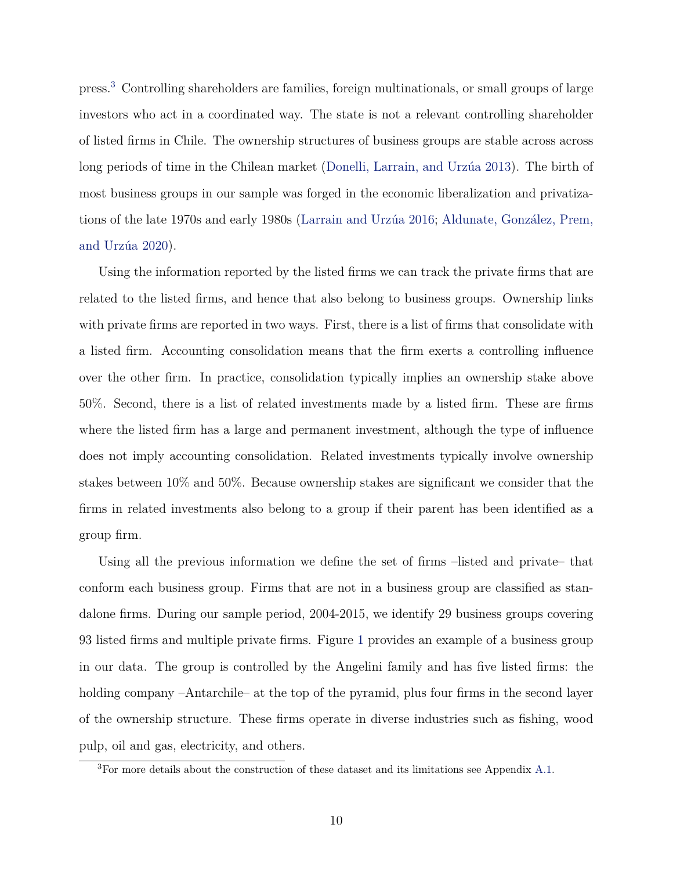press.[3](#page-0-0) Controlling shareholders are families, foreign multinationals, or small groups of large investors who act in a coordinated way. The state is not a relevant controlling shareholder of listed firms in Chile. The ownership structures of business groups are stable across across long periods of time in the Chilean market (Donelli, Larrain, and Urzúa [2013\)](#page-33-10). The birth of most business groups in our sample was forged in the economic liberalization and privatiza-tions of the late 1970s and early 1980s (Larrain and Urzúa [2016;](#page-34-10) Aldunate, González, Prem, and Urz $\alpha$  [2020\)](#page-32-8).

Using the information reported by the listed firms we can track the private firms that are related to the listed firms, and hence that also belong to business groups. Ownership links with private firms are reported in two ways. First, there is a list of firms that consolidate with a listed firm. Accounting consolidation means that the firm exerts a controlling influence over the other firm. In practice, consolidation typically implies an ownership stake above 50%. Second, there is a list of related investments made by a listed firm. These are firms where the listed firm has a large and permanent investment, although the type of influence does not imply accounting consolidation. Related investments typically involve ownership stakes between 10% and 50%. Because ownership stakes are significant we consider that the firms in related investments also belong to a group if their parent has been identified as a group firm.

Using all the previous information we define the set of firms –listed and private– that conform each business group. Firms that are not in a business group are classified as standalone firms. During our sample period, 2004-2015, we identify 29 business groups covering 93 listed firms and multiple private firms. Figure [1](#page-40-0) provides an example of a business group in our data. The group is controlled by the Angelini family and has five listed firms: the holding company –Antarchile– at the top of the pyramid, plus four firms in the second layer of the ownership structure. These firms operate in diverse industries such as fishing, wood pulp, oil and gas, electricity, and others.

<sup>3</sup>For more details about the construction of these dataset and its limitations see Appendix [A.1.](#page-36-0)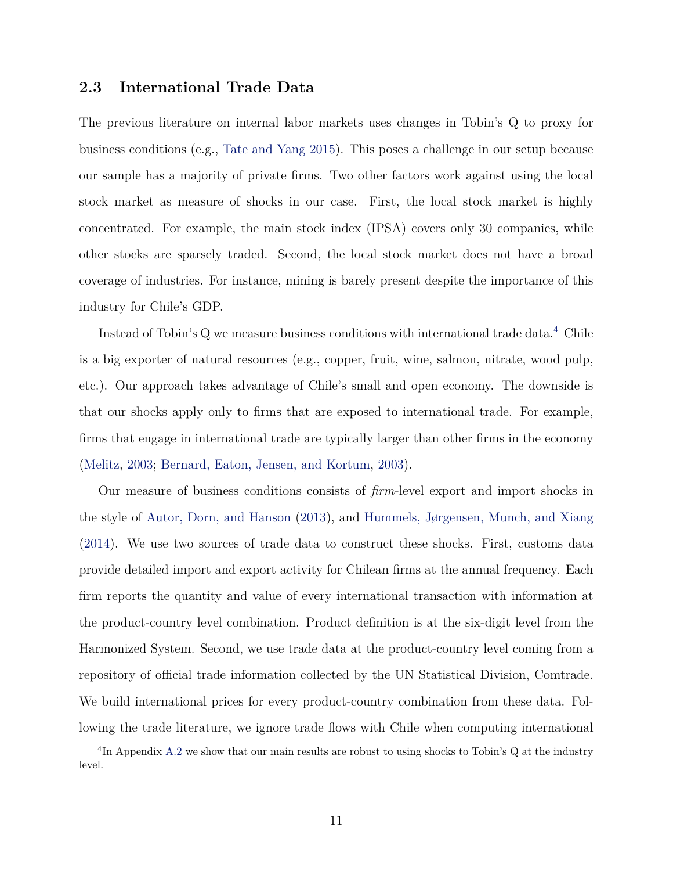### <span id="page-10-0"></span>**2.3 International Trade Data**

The previous literature on internal labor markets uses changes in Tobin's Q to proxy for business conditions (e.g., [Tate and Yang](#page-35-1) [2015\)](#page-35-1). This poses a challenge in our setup because our sample has a majority of private firms. Two other factors work against using the local stock market as measure of shocks in our case. First, the local stock market is highly concentrated. For example, the main stock index (IPSA) covers only 30 companies, while other stocks are sparsely traded. Second, the local stock market does not have a broad coverage of industries. For instance, mining is barely present despite the importance of this industry for Chile's GDP.

Instead of Tobin's  ${\bf Q}$  we measure business conditions with international trade data. $^4$  $^4$  Chile is a big exporter of natural resources (e.g., copper, fruit, wine, salmon, nitrate, wood pulp, etc.). Our approach takes advantage of Chile's small and open economy. The downside is that our shocks apply only to firms that are exposed to international trade. For example, firms that engage in international trade are typically larger than other firms in the economy [\(Melitz,](#page-35-7) [2003;](#page-35-7) [Bernard, Eaton, Jensen, and Kortum,](#page-32-9) [2003\)](#page-32-9).

Our measure of business conditions consists of *firm*-level export and import shocks in the style of [Autor, Dorn, and Hanson](#page-32-1) [\(2013\)](#page-32-1), and [Hummels, Jørgensen, Munch, and Xiang](#page-34-2) [\(2014\)](#page-34-2). We use two sources of trade data to construct these shocks. First, customs data provide detailed import and export activity for Chilean firms at the annual frequency. Each firm reports the quantity and value of every international transaction with information at the product-country level combination. Product definition is at the six-digit level from the Harmonized System. Second, we use trade data at the product-country level coming from a repository of official trade information collected by the UN Statistical Division, Comtrade. We build international prices for every product-country combination from these data. Following the trade literature, we ignore trade flows with Chile when computing international

<sup>&</sup>lt;sup>4</sup>In Appendix [A.2](#page-38-0) we show that our main results are robust to using shocks to Tobin's Q at the industry level.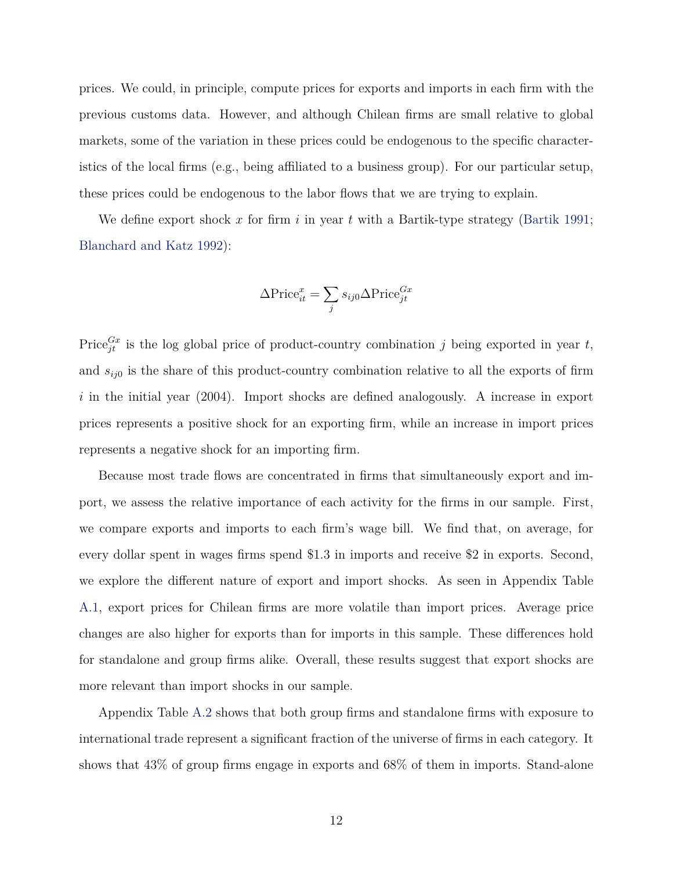prices. We could, in principle, compute prices for exports and imports in each firm with the previous customs data. However, and although Chilean firms are small relative to global markets, some of the variation in these prices could be endogenous to the specific characteristics of the local firms (e.g., being affiliated to a business group). For our particular setup, these prices could be endogenous to the labor flows that we are trying to explain.

We define export shock *x* for firm *i* in year *t* with a Bartik-type strategy [\(Bartik](#page-32-10) [1991;](#page-32-10) [Blanchard and Katz](#page-32-11) [1992\)](#page-32-11):

$$
\Delta \text{Price}_{it}^{x} = \sum_{j} s_{ij0} \Delta \text{Price}_{jt}^{Gx}
$$

Price<sup>*Gx*</sup> is the log global price of product-country combination *j* being exported in year *t*, and  $s_{ij0}$  is the share of this product-country combination relative to all the exports of firm *i* in the initial year (2004). Import shocks are defined analogously. A increase in export prices represents a positive shock for an exporting firm, while an increase in import prices represents a negative shock for an importing firm.

Because most trade flows are concentrated in firms that simultaneously export and import, we assess the relative importance of each activity for the firms in our sample. First, we compare exports and imports to each firm's wage bill. We find that, on average, for every dollar spent in wages firms spend \$1.3 in imports and receive \$2 in exports. Second, we explore the different nature of export and import shocks. As seen in Appendix Table [A.1,](#page-53-0) export prices for Chilean firms are more volatile than import prices. Average price changes are also higher for exports than for imports in this sample. These differences hold for standalone and group firms alike. Overall, these results suggest that export shocks are more relevant than import shocks in our sample.

Appendix Table [A.2](#page-53-1) shows that both group firms and standalone firms with exposure to international trade represent a significant fraction of the universe of firms in each category. It shows that 43% of group firms engage in exports and 68% of them in imports. Stand-alone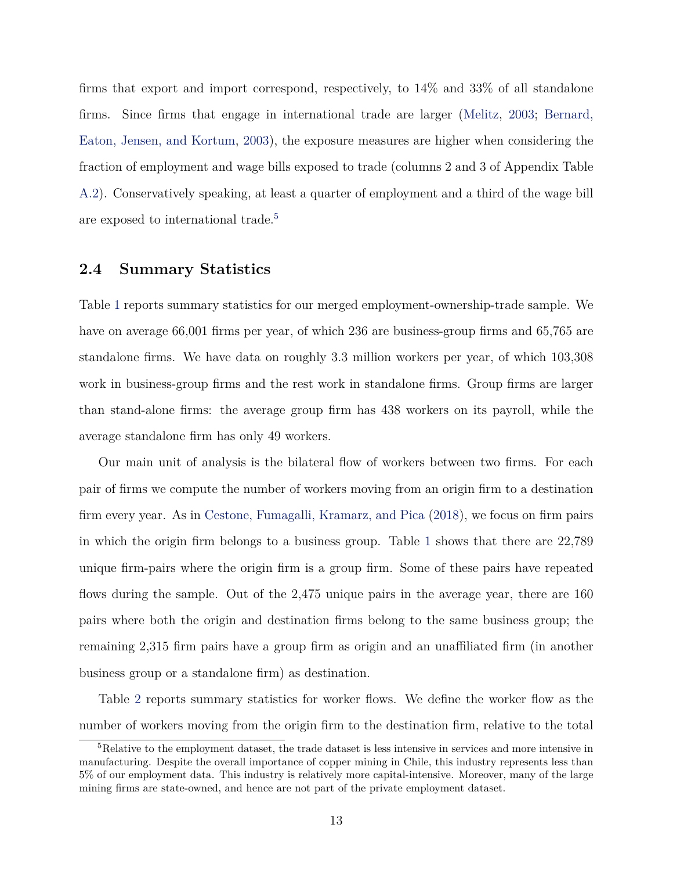firms that export and import correspond, respectively, to 14% and 33% of all standalone firms. Since firms that engage in international trade are larger [\(Melitz,](#page-35-7) [2003;](#page-35-7) [Bernard,](#page-32-9) [Eaton, Jensen, and Kortum,](#page-32-9) [2003\)](#page-32-9), the exposure measures are higher when considering the fraction of employment and wage bills exposed to trade (columns 2 and 3 of Appendix Table [A.2\)](#page-53-1). Conservatively speaking, at least a quarter of employment and a third of the wage bill are exposed to international trade.[5](#page-0-0)

### <span id="page-12-0"></span>**2.4 Summary Statistics**

Table [1](#page-43-0) reports summary statistics for our merged employment-ownership-trade sample. We have on average 66,001 firms per year, of which 236 are business-group firms and 65,765 are standalone firms. We have data on roughly 3.3 million workers per year, of which 103,308 work in business-group firms and the rest work in standalone firms. Group firms are larger than stand-alone firms: the average group firm has 438 workers on its payroll, while the average standalone firm has only 49 workers.

Our main unit of analysis is the bilateral flow of workers between two firms. For each pair of firms we compute the number of workers moving from an origin firm to a destination firm every year. As in [Cestone, Fumagalli, Kramarz, and Pica](#page-33-6) [\(2018\)](#page-33-6), we focus on firm pairs in which the origin firm belongs to a business group. Table [1](#page-43-0) shows that there are 22,789 unique firm-pairs where the origin firm is a group firm. Some of these pairs have repeated flows during the sample. Out of the 2,475 unique pairs in the average year, there are 160 pairs where both the origin and destination firms belong to the same business group; the remaining 2,315 firm pairs have a group firm as origin and an unaffiliated firm (in another business group or a standalone firm) as destination.

Table [2](#page-44-0) reports summary statistics for worker flows. We define the worker flow as the number of workers moving from the origin firm to the destination firm, relative to the total

<sup>&</sup>lt;sup>5</sup>Relative to the employment dataset, the trade dataset is less intensive in services and more intensive in manufacturing. Despite the overall importance of copper mining in Chile, this industry represents less than 5% of our employment data. This industry is relatively more capital-intensive. Moreover, many of the large mining firms are state-owned, and hence are not part of the private employment dataset.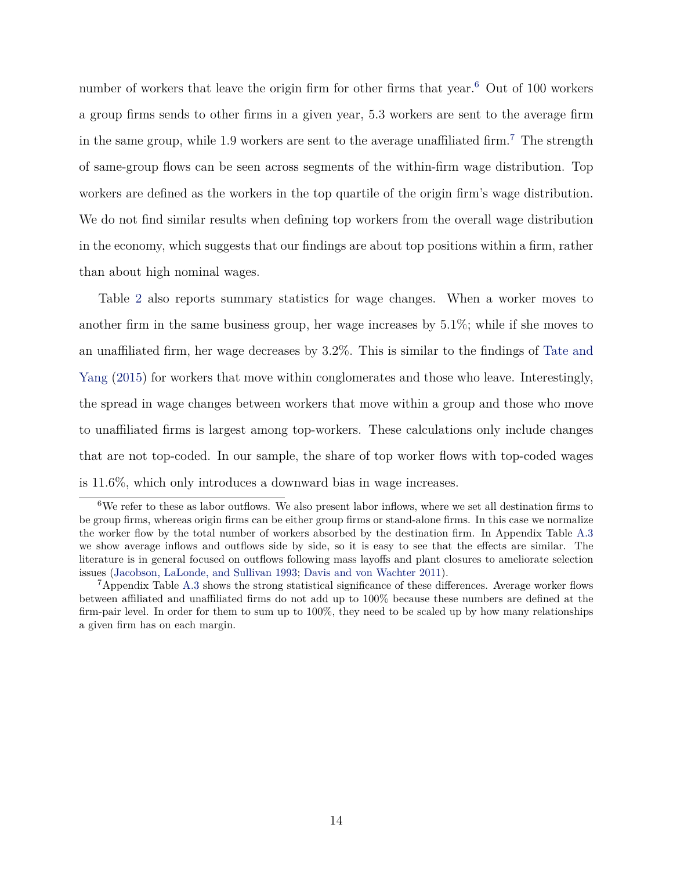number of workers that leave the origin firm for other firms that year.<sup>[6](#page-0-0)</sup> Out of 100 workers a group firms sends to other firms in a given year, 5.3 workers are sent to the average firm in the same group, while 1.9 workers are sent to the average unaffiliated firm.[7](#page-0-0) The strength of same-group flows can be seen across segments of the within-firm wage distribution. Top workers are defined as the workers in the top quartile of the origin firm's wage distribution. We do not find similar results when defining top workers from the overall wage distribution in the economy, which suggests that our findings are about top positions within a firm, rather than about high nominal wages.

Table [2](#page-44-0) also reports summary statistics for wage changes. When a worker moves to another firm in the same business group, her wage increases by 5.1%; while if she moves to an unaffiliated firm, her wage decreases by 3.2%. This is similar to the findings of [Tate and](#page-35-1) [Yang](#page-35-1) [\(2015\)](#page-35-1) for workers that move within conglomerates and those who leave. Interestingly, the spread in wage changes between workers that move within a group and those who move to unaffiliated firms is largest among top-workers. These calculations only include changes that are not top-coded. In our sample, the share of top worker flows with top-coded wages is 11.6%, which only introduces a downward bias in wage increases.

<sup>6</sup>We refer to these as labor outflows. We also present labor inflows, where we set all destination firms to be group firms, whereas origin firms can be either group firms or stand-alone firms. In this case we normalize the worker flow by the total number of workers absorbed by the destination firm. In Appendix Table [A.3](#page-54-0) we show average inflows and outflows side by side, so it is easy to see that the effects are similar. The literature is in general focused on outflows following mass layoffs and plant closures to ameliorate selection issues [\(Jacobson, LaLonde, and Sullivan](#page-34-11) [1993;](#page-34-11) [Davis and von Wachter](#page-33-11) [2011\)](#page-33-11).

<sup>7</sup>Appendix Table [A.3](#page-54-0) shows the strong statistical significance of these differences. Average worker flows between affiliated and unaffiliated firms do not add up to 100% because these numbers are defined at the firm-pair level. In order for them to sum up to 100%, they need to be scaled up by how many relationships a given firm has on each margin.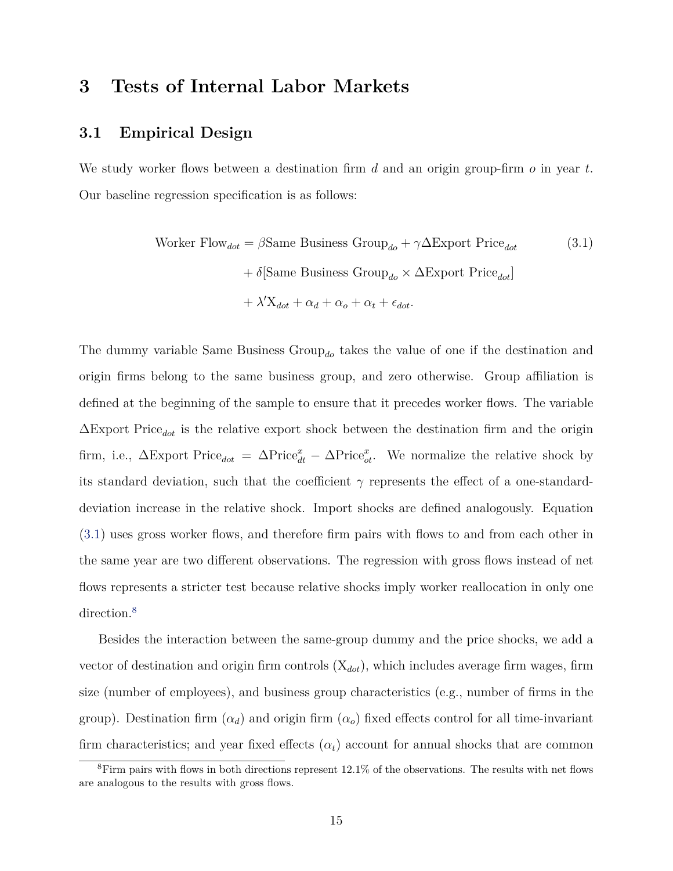# <span id="page-14-0"></span>**3 Tests of Internal Labor Markets**

### <span id="page-14-2"></span>**3.1 Empirical Design**

We study worker flows between a destination firm *d* and an origin group-firm *o* in year *t*. Our baseline regression specification is as follows:

<span id="page-14-1"></span>Worker Flow<sub>dot</sub> = 
$$
\beta
$$
Same Business Group<sub>do</sub> +  $\gamma \Delta$ Export Price<sub>dot</sub>  $+ \delta$  [Same Business Group<sub>do</sub> ×  $\Delta$ Export Price<sub>dot</sub>  $+ \lambda' X_{dot} + \alpha_d + \alpha_o + \alpha_t + \epsilon_{dot}$ .

\n(3.1)

The dummy variable Same Business Group*do* takes the value of one if the destination and origin firms belong to the same business group, and zero otherwise. Group affiliation is defined at the beginning of the sample to ensure that it precedes worker flows. The variable  $\Delta$ Export Price<sub>dot</sub> is the relative export shock between the destination firm and the origin firm, i.e.,  $\Delta$ Export Price<sub>dot</sub> =  $\Delta$ Price<sub>dt</sub> –  $\Delta$ Price<sub>ot</sub>. We normalize the relative shock by its standard deviation, such that the coefficient  $\gamma$  represents the effect of a one-standarddeviation increase in the relative shock. Import shocks are defined analogously. Equation [\(3.1\)](#page-14-1) uses gross worker flows, and therefore firm pairs with flows to and from each other in the same year are two different observations. The regression with gross flows instead of net flows represents a stricter test because relative shocks imply worker reallocation in only one direction.<sup>[8](#page-0-0)</sup>

Besides the interaction between the same-group dummy and the price shocks, we add a vector of destination and origin firm controls (X*dot*), which includes average firm wages, firm size (number of employees), and business group characteristics (e.g., number of firms in the group). Destination firm  $(\alpha_d)$  and origin firm  $(\alpha_o)$  fixed effects control for all time-invariant firm characteristics; and year fixed effects  $(\alpha_t)$  account for annual shocks that are common

 ${}^8$ Firm pairs with flows in both directions represent 12.1% of the observations. The results with net flows are analogous to the results with gross flows.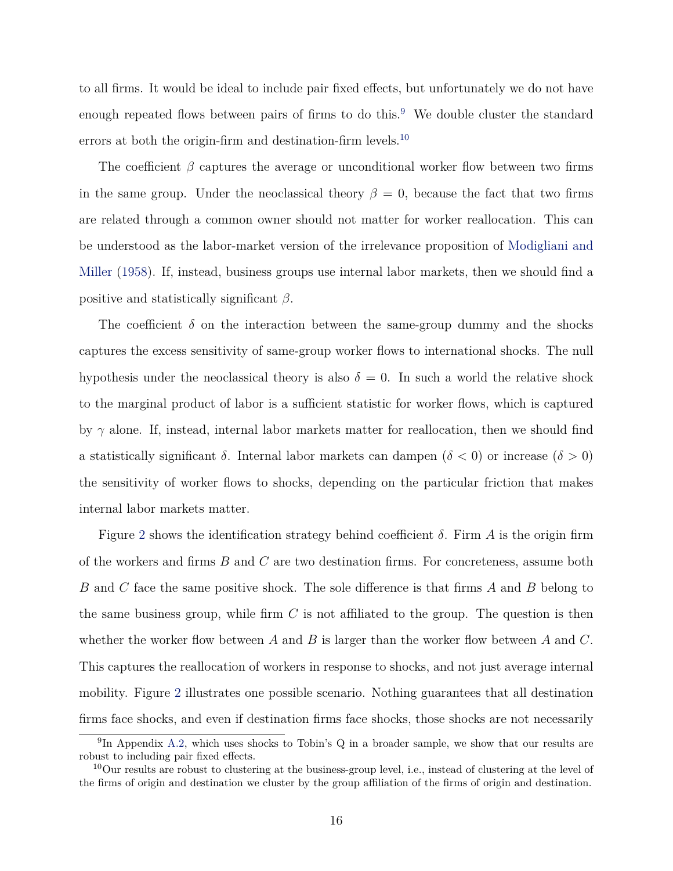to all firms. It would be ideal to include pair fixed effects, but unfortunately we do not have enough repeated flows between pairs of firms to do this.<sup>[9](#page-0-0)</sup> We double cluster the standard errors at both the origin-firm and destination-firm levels.<sup>[10](#page-0-0)</sup>

The coefficient  $\beta$  captures the average or unconditional worker flow between two firms in the same group. Under the neoclassical theory  $\beta = 0$ , because the fact that two firms are related through a common owner should not matter for worker reallocation. This can be understood as the labor-market version of the irrelevance proposition of [Modigliani and](#page-35-8) [Miller](#page-35-8) [\(1958\)](#page-35-8). If, instead, business groups use internal labor markets, then we should find a positive and statistically significant *β*.

The coefficient  $\delta$  on the interaction between the same-group dummy and the shocks captures the excess sensitivity of same-group worker flows to international shocks. The null hypothesis under the neoclassical theory is also  $\delta = 0$ . In such a world the relative shock to the marginal product of labor is a sufficient statistic for worker flows, which is captured by  $\gamma$  alone. If, instead, internal labor markets matter for reallocation, then we should find a statistically significant *δ*. Internal labor markets can dampen (*δ <* 0) or increase (*δ >* 0) the sensitivity of worker flows to shocks, depending on the particular friction that makes internal labor markets matter.

Figure [2](#page-41-0) shows the identification strategy behind coefficient  $\delta$ . Firm  $A$  is the origin firm of the workers and firms *B* and *C* are two destination firms. For concreteness, assume both *B* and *C* face the same positive shock. The sole difference is that firms *A* and *B* belong to the same business group, while firm *C* is not affiliated to the group. The question is then whether the worker flow between *A* and *B* is larger than the worker flow between *A* and *C*. This captures the reallocation of workers in response to shocks, and not just average internal mobility. Figure [2](#page-41-0) illustrates one possible scenario. Nothing guarantees that all destination firms face shocks, and even if destination firms face shocks, those shocks are not necessarily

<sup>&</sup>lt;sup>9</sup>In Appendix [A.2,](#page-38-0) which uses shocks to Tobin's Q in a broader sample, we show that our results are robust to including pair fixed effects.

 $10$ Our results are robust to clustering at the business-group level, i.e., instead of clustering at the level of the firms of origin and destination we cluster by the group affiliation of the firms of origin and destination.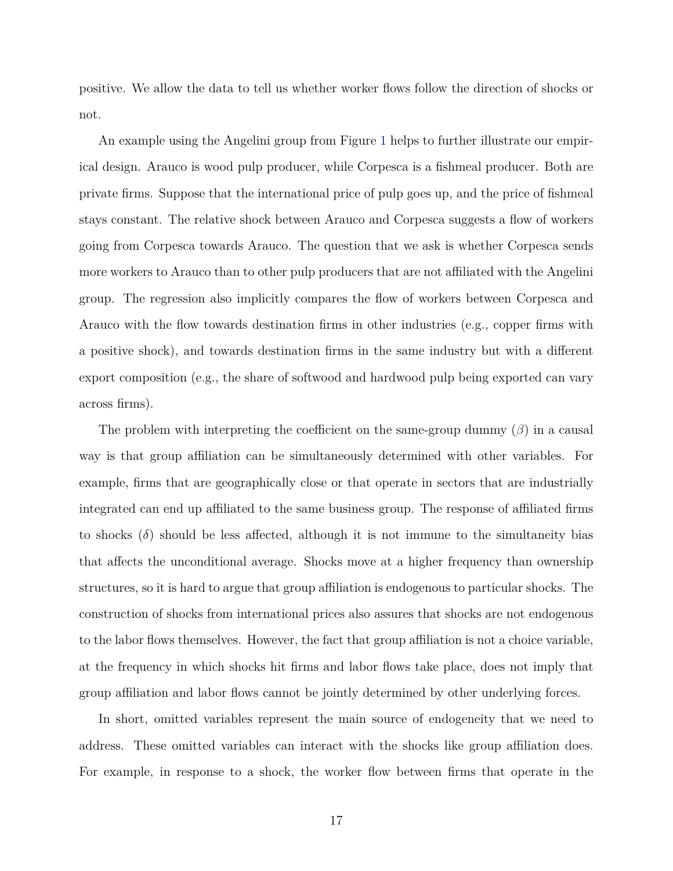positive. We allow the data to tell us whether worker flows follow the direction of shocks or not.

An example using the Angelini group from Figure [1](#page-40-0) helps to further illustrate our empirical design. Arauco is wood pulp producer, while Corpesca is a fishmeal producer. Both are private firms. Suppose that the international price of pulp goes up, and the price of fishmeal stays constant. The relative shock between Arauco and Corpesca suggests a flow of workers going from Corpesca towards Arauco. The question that we ask is whether Corpesca sends more workers to Arauco than to other pulp producers that are not affiliated with the Angelini group. The regression also implicitly compares the flow of workers between Corpesca and Arauco with the flow towards destination firms in other industries (e.g., copper firms with a positive shock), and towards destination firms in the same industry but with a different export composition (e.g., the share of softwood and hardwood pulp being exported can vary across firms).

The problem with interpreting the coefficient on the same-group dummy  $(\beta)$  in a causal way is that group affiliation can be simultaneously determined with other variables. For example, firms that are geographically close or that operate in sectors that are industrially integrated can end up affiliated to the same business group. The response of affiliated firms to shocks  $(\delta)$  should be less affected, although it is not immune to the simultaneity bias that affects the unconditional average. Shocks move at a higher frequency than ownership structures, so it is hard to argue that group affiliation is endogenous to particular shocks. The construction of shocks from international prices also assures that shocks are not endogenous to the labor flows themselves. However, the fact that group affiliation is not a choice variable, at the frequency in which shocks hit firms and labor flows take place, does not imply that group affiliation and labor flows cannot be jointly determined by other underlying forces.

In short, omitted variables represent the main source of endogeneity that we need to address. These omitted variables can interact with the shocks like group affiliation does. For example, in response to a shock, the worker flow between firms that operate in the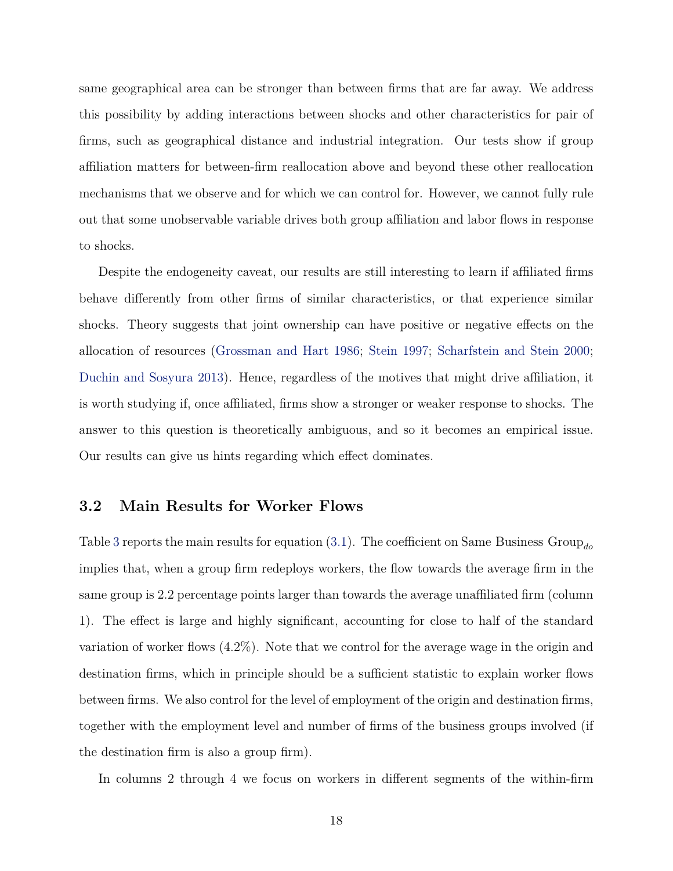same geographical area can be stronger than between firms that are far away. We address this possibility by adding interactions between shocks and other characteristics for pair of firms, such as geographical distance and industrial integration. Our tests show if group affiliation matters for between-firm reallocation above and beyond these other reallocation mechanisms that we observe and for which we can control for. However, we cannot fully rule out that some unobservable variable drives both group affiliation and labor flows in response to shocks.

Despite the endogeneity caveat, our results are still interesting to learn if affiliated firms behave differently from other firms of similar characteristics, or that experience similar shocks. Theory suggests that joint ownership can have positive or negative effects on the allocation of resources [\(Grossman and Hart](#page-34-8) [1986;](#page-34-8) [Stein](#page-35-3) [1997;](#page-35-3) [Scharfstein and Stein](#page-35-4) [2000;](#page-35-4) [Duchin and Sosyura](#page-33-4) [2013\)](#page-33-4). Hence, regardless of the motives that might drive affiliation, it is worth studying if, once affiliated, firms show a stronger or weaker response to shocks. The answer to this question is theoretically ambiguous, and so it becomes an empirical issue. Our results can give us hints regarding which effect dominates.

### **3.2 Main Results for Worker Flows**

Table [3](#page-45-0) reports the main results for equation [\(3.1\)](#page-14-1). The coefficient on Same Business Group*do* implies that, when a group firm redeploys workers, the flow towards the average firm in the same group is 2.2 percentage points larger than towards the average unaffiliated firm (column 1). The effect is large and highly significant, accounting for close to half of the standard variation of worker flows (4.2%). Note that we control for the average wage in the origin and destination firms, which in principle should be a sufficient statistic to explain worker flows between firms. We also control for the level of employment of the origin and destination firms, together with the employment level and number of firms of the business groups involved (if the destination firm is also a group firm).

In columns 2 through 4 we focus on workers in different segments of the within-firm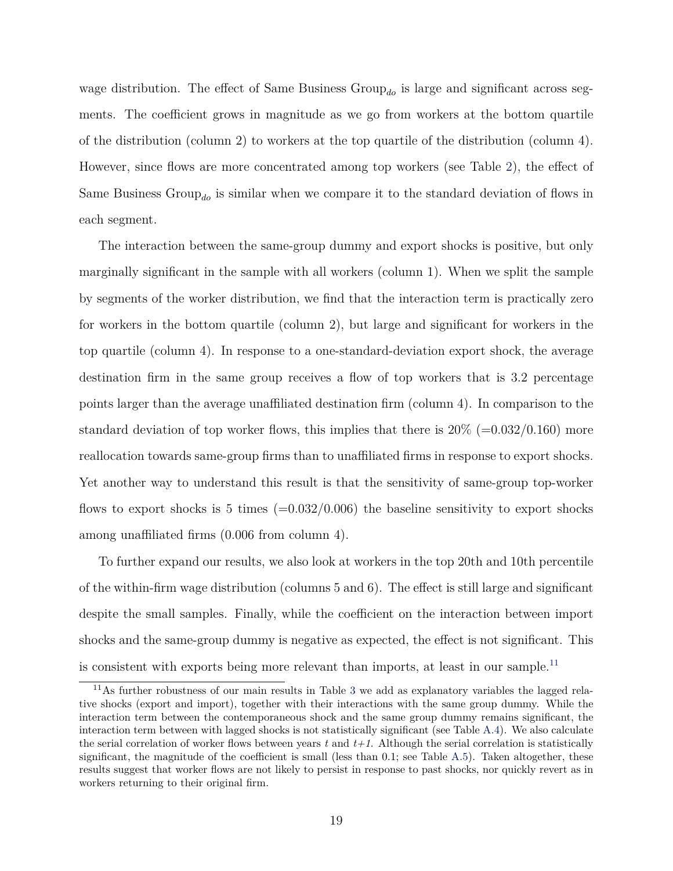wage distribution. The effect of Same Business Group*do* is large and significant across segments. The coefficient grows in magnitude as we go from workers at the bottom quartile of the distribution (column 2) to workers at the top quartile of the distribution (column 4). However, since flows are more concentrated among top workers (see Table [2\)](#page-44-0), the effect of Same Business Group*do* is similar when we compare it to the standard deviation of flows in each segment.

The interaction between the same-group dummy and export shocks is positive, but only marginally significant in the sample with all workers (column 1). When we split the sample by segments of the worker distribution, we find that the interaction term is practically zero for workers in the bottom quartile (column 2), but large and significant for workers in the top quartile (column 4). In response to a one-standard-deviation export shock, the average destination firm in the same group receives a flow of top workers that is 3.2 percentage points larger than the average unaffiliated destination firm (column 4). In comparison to the standard deviation of top worker flows, this implies that there is  $20\%$  (=0.032/0.160) more reallocation towards same-group firms than to unaffiliated firms in response to export shocks. Yet another way to understand this result is that the sensitivity of same-group top-worker flows to export shocks is 5 times (=0*.*032*/*0*.*006) the baseline sensitivity to export shocks among unaffiliated firms (0*.*006 from column 4).

To further expand our results, we also look at workers in the top 20th and 10th percentile of the within-firm wage distribution (columns 5 and 6). The effect is still large and significant despite the small samples. Finally, while the coefficient on the interaction between import shocks and the same-group dummy is negative as expected, the effect is not significant. This is consistent with exports being more relevant than imports, at least in our sample.<sup>[11](#page-0-0)</sup>

<sup>11</sup>As further robustness of our main results in Table [3](#page-45-0) we add as explanatory variables the lagged relative shocks (export and import), together with their interactions with the same group dummy. While the interaction term between the contemporaneous shock and the same group dummy remains significant, the interaction term between with lagged shocks is not statistically significant (see Table [A.4\)](#page-55-0). We also calculate the serial correlation of worker flows between years *t* and *t+1*. Although the serial correlation is statistically significant, the magnitude of the coefficient is small (less than 0.1; see Table [A.5\)](#page-56-0). Taken altogether, these results suggest that worker flows are not likely to persist in response to past shocks, nor quickly revert as in workers returning to their original firm.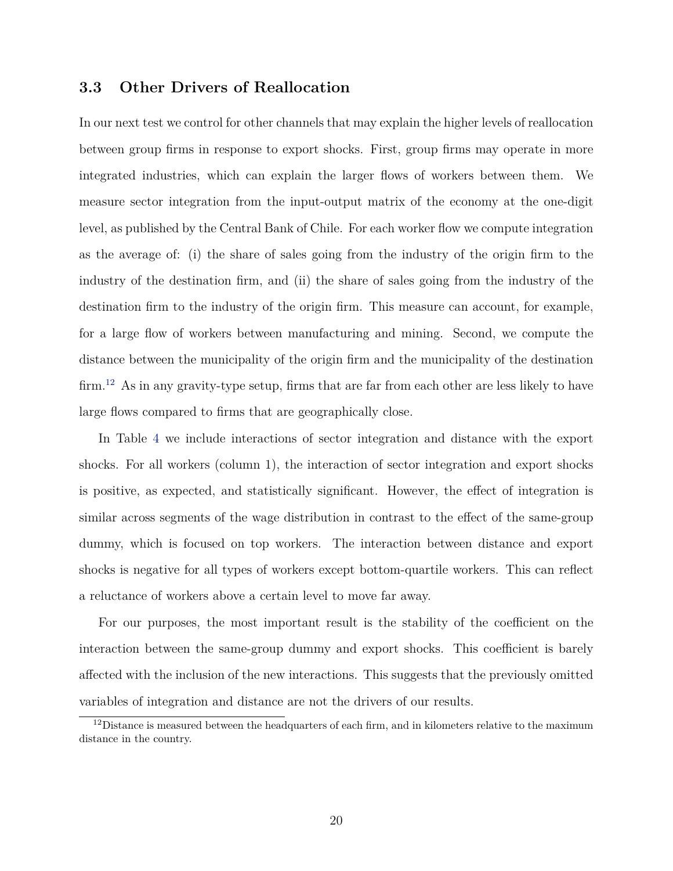### <span id="page-19-0"></span>**3.3 Other Drivers of Reallocation**

In our next test we control for other channels that may explain the higher levels of reallocation between group firms in response to export shocks. First, group firms may operate in more integrated industries, which can explain the larger flows of workers between them. We measure sector integration from the input-output matrix of the economy at the one-digit level, as published by the Central Bank of Chile. For each worker flow we compute integration as the average of: (i) the share of sales going from the industry of the origin firm to the industry of the destination firm, and (ii) the share of sales going from the industry of the destination firm to the industry of the origin firm. This measure can account, for example, for a large flow of workers between manufacturing and mining. Second, we compute the distance between the municipality of the origin firm and the municipality of the destination firm.<sup>[12](#page-0-0)</sup> As in any gravity-type setup, firms that are far from each other are less likely to have large flows compared to firms that are geographically close.

In Table [4](#page-46-0) we include interactions of sector integration and distance with the export shocks. For all workers (column 1), the interaction of sector integration and export shocks is positive, as expected, and statistically significant. However, the effect of integration is similar across segments of the wage distribution in contrast to the effect of the same-group dummy, which is focused on top workers. The interaction between distance and export shocks is negative for all types of workers except bottom-quartile workers. This can reflect a reluctance of workers above a certain level to move far away.

For our purposes, the most important result is the stability of the coefficient on the interaction between the same-group dummy and export shocks. This coefficient is barely affected with the inclusion of the new interactions. This suggests that the previously omitted variables of integration and distance are not the drivers of our results.

<sup>&</sup>lt;sup>12</sup>Distance is measured between the headquarters of each firm, and in kilometers relative to the maximum distance in the country.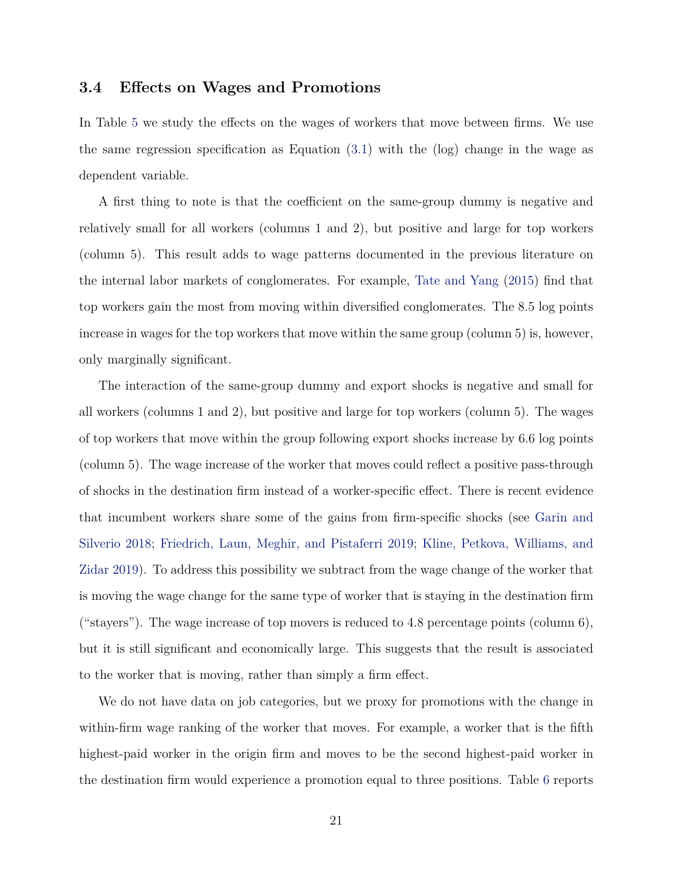#### <span id="page-20-0"></span>**3.4 Effects on Wages and Promotions**

In Table [5](#page-47-0) we study the effects on the wages of workers that move between firms. We use the same regression specification as Equation [\(3.1\)](#page-14-1) with the (log) change in the wage as dependent variable.

A first thing to note is that the coefficient on the same-group dummy is negative and relatively small for all workers (columns 1 and 2), but positive and large for top workers (column 5). This result adds to wage patterns documented in the previous literature on the internal labor markets of conglomerates. For example, [Tate and Yang](#page-35-1) [\(2015\)](#page-35-1) find that top workers gain the most from moving within diversified conglomerates. The 8*.*5 log points increase in wages for the top workers that move within the same group (column 5) is, however, only marginally significant.

The interaction of the same-group dummy and export shocks is negative and small for all workers (columns 1 and 2), but positive and large for top workers (column 5). The wages of top workers that move within the group following export shocks increase by 6*.*6 log points (column 5). The wage increase of the worker that moves could reflect a positive pass-through of shocks in the destination firm instead of a worker-specific effect. There is recent evidence that incumbent workers share some of the gains from firm-specific shocks (see [Garin and](#page-34-12) [Silverio](#page-34-12) [2018;](#page-34-12) [Friedrich, Laun, Meghir, and Pistaferri](#page-33-3) [2019;](#page-33-3) [Kline, Petkova, Williams, and](#page-34-3) [Zidar](#page-34-3) [2019\)](#page-34-3). To address this possibility we subtract from the wage change of the worker that is moving the wage change for the same type of worker that is staying in the destination firm ("stayers"). The wage increase of top movers is reduced to 4*.*8 percentage points (column 6), but it is still significant and economically large. This suggests that the result is associated to the worker that is moving, rather than simply a firm effect.

We do not have data on job categories, but we proxy for promotions with the change in within-firm wage ranking of the worker that moves. For example, a worker that is the fifth highest-paid worker in the origin firm and moves to be the second highest-paid worker in the destination firm would experience a promotion equal to three positions. Table [6](#page-48-0) reports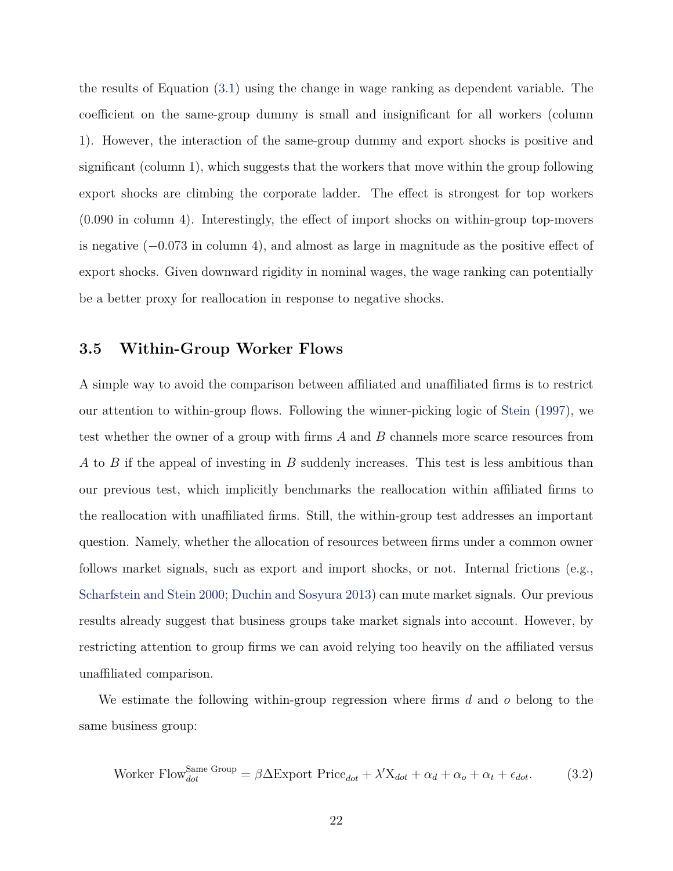the results of Equation [\(3.1\)](#page-14-1) using the change in wage ranking as dependent variable. The coefficient on the same-group dummy is small and insignificant for all workers (column 1). However, the interaction of the same-group dummy and export shocks is positive and significant (column 1), which suggests that the workers that move within the group following export shocks are climbing the corporate ladder. The effect is strongest for top workers (0*.*090 in column 4). Interestingly, the effect of import shocks on within-group top-movers is negative (−0*.*073 in column 4), and almost as large in magnitude as the positive effect of export shocks. Given downward rigidity in nominal wages, the wage ranking can potentially be a better proxy for reallocation in response to negative shocks.

### <span id="page-21-0"></span>**3.5 Within-Group Worker Flows**

A simple way to avoid the comparison between affiliated and unaffiliated firms is to restrict our attention to within-group flows. Following the winner-picking logic of [Stein](#page-35-3) [\(1997\)](#page-35-3), we test whether the owner of a group with firms *A* and *B* channels more scarce resources from *A* to *B* if the appeal of investing in *B* suddenly increases. This test is less ambitious than our previous test, which implicitly benchmarks the reallocation within affiliated firms to the reallocation with unaffiliated firms. Still, the within-group test addresses an important question. Namely, whether the allocation of resources between firms under a common owner follows market signals, such as export and import shocks, or not. Internal frictions (e.g., [Scharfstein and Stein](#page-35-4) [2000;](#page-35-4) [Duchin and Sosyura](#page-33-4) [2013\)](#page-33-4) can mute market signals. Our previous results already suggest that business groups take market signals into account. However, by restricting attention to group firms we can avoid relying too heavily on the affiliated versus unaffiliated comparison.

We estimate the following within-group regression where firms *d* and *o* belong to the same business group:

<span id="page-21-1"></span>Worker Flow<sup>Same Group</sup> = 
$$
\beta \Delta \text{Export Price}_{dot} + \lambda' \text{X}_{dot} + \alpha_d + \alpha_o + \alpha_t + \epsilon_{dot}
$$
. (3.2)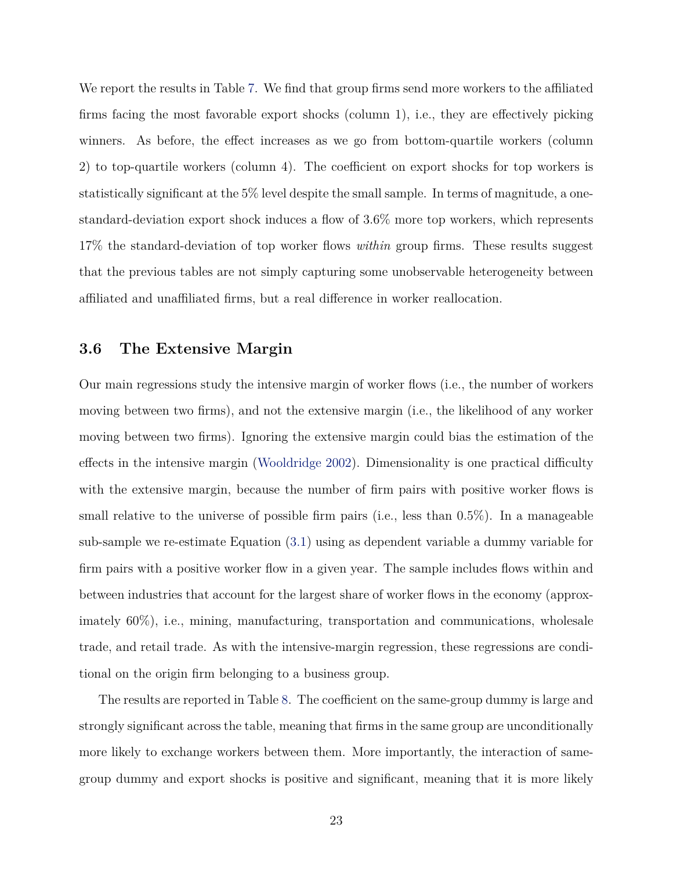We report the results in Table [7.](#page-49-0) We find that group firms send more workers to the affiliated firms facing the most favorable export shocks (column 1), i.e., they are effectively picking winners. As before, the effect increases as we go from bottom-quartile workers (column 2) to top-quartile workers (column 4). The coefficient on export shocks for top workers is statistically significant at the 5% level despite the small sample. In terms of magnitude, a onestandard-deviation export shock induces a flow of 3.6% more top workers, which represents 17% the standard-deviation of top worker flows *within* group firms. These results suggest that the previous tables are not simply capturing some unobservable heterogeneity between affiliated and unaffiliated firms, but a real difference in worker reallocation.

#### <span id="page-22-0"></span>**3.6 The Extensive Margin**

Our main regressions study the intensive margin of worker flows (i.e., the number of workers moving between two firms), and not the extensive margin (i.e., the likelihood of any worker moving between two firms). Ignoring the extensive margin could bias the estimation of the effects in the intensive margin [\(Wooldridge](#page-35-9) [2002\)](#page-35-9). Dimensionality is one practical difficulty with the extensive margin, because the number of firm pairs with positive worker flows is small relative to the universe of possible firm pairs (i.e., less than 0.5%). In a manageable sub-sample we re-estimate Equation [\(3.1\)](#page-14-1) using as dependent variable a dummy variable for firm pairs with a positive worker flow in a given year. The sample includes flows within and between industries that account for the largest share of worker flows in the economy (approximately  $60\%$ ), i.e., mining, manufacturing, transportation and communications, wholesale trade, and retail trade. As with the intensive-margin regression, these regressions are conditional on the origin firm belonging to a business group.

The results are reported in Table [8.](#page-50-0) The coefficient on the same-group dummy is large and strongly significant across the table, meaning that firms in the same group are unconditionally more likely to exchange workers between them. More importantly, the interaction of samegroup dummy and export shocks is positive and significant, meaning that it is more likely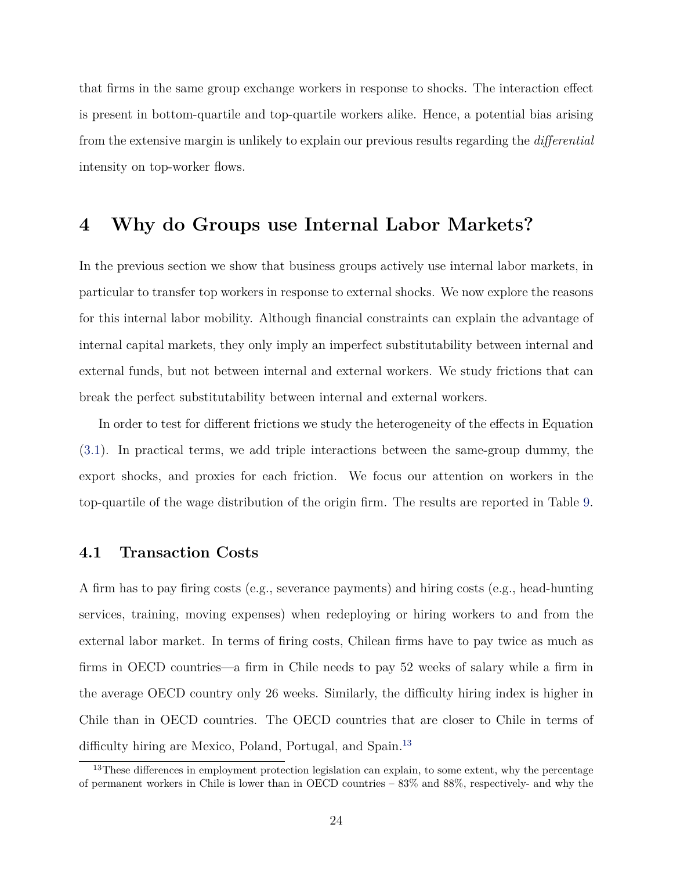that firms in the same group exchange workers in response to shocks. The interaction effect is present in bottom-quartile and top-quartile workers alike. Hence, a potential bias arising from the extensive margin is unlikely to explain our previous results regarding the *differential* intensity on top-worker flows.

### <span id="page-23-0"></span>**4 Why do Groups use Internal Labor Markets?**

In the previous section we show that business groups actively use internal labor markets, in particular to transfer top workers in response to external shocks. We now explore the reasons for this internal labor mobility. Although financial constraints can explain the advantage of internal capital markets, they only imply an imperfect substitutability between internal and external funds, but not between internal and external workers. We study frictions that can break the perfect substitutability between internal and external workers.

In order to test for different frictions we study the heterogeneity of the effects in Equation [\(3.1\)](#page-14-1). In practical terms, we add triple interactions between the same-group dummy, the export shocks, and proxies for each friction. We focus our attention on workers in the top-quartile of the wage distribution of the origin firm. The results are reported in Table [9.](#page-51-0)

### <span id="page-23-1"></span>**4.1 Transaction Costs**

A firm has to pay firing costs (e.g., severance payments) and hiring costs (e.g., head-hunting services, training, moving expenses) when redeploying or hiring workers to and from the external labor market. In terms of firing costs, Chilean firms have to pay twice as much as firms in OECD countries—a firm in Chile needs to pay 52 weeks of salary while a firm in the average OECD country only 26 weeks. Similarly, the difficulty hiring index is higher in Chile than in OECD countries. The OECD countries that are closer to Chile in terms of difficulty hiring are Mexico, Poland, Portugal, and Spain.<sup>[13](#page-0-0)</sup>

<sup>&</sup>lt;sup>13</sup>These differences in employment protection legislation can explain, to some extent, why the percentage of permanent workers in Chile is lower than in OECD countries – 83% and 88%, respectively- and why the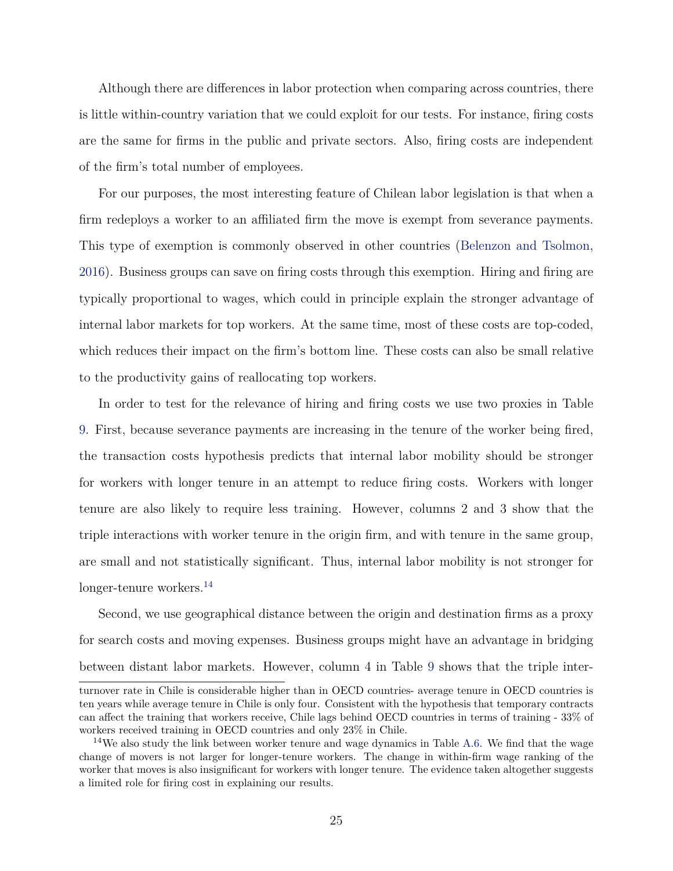Although there are differences in labor protection when comparing across countries, there is little within-country variation that we could exploit for our tests. For instance, firing costs are the same for firms in the public and private sectors. Also, firing costs are independent of the firm's total number of employees.

For our purposes, the most interesting feature of Chilean labor legislation is that when a firm redeploys a worker to an affiliated firm the move is exempt from severance payments. This type of exemption is commonly observed in other countries [\(Belenzon and Tsolmon,](#page-32-5) [2016\)](#page-32-5). Business groups can save on firing costs through this exemption. Hiring and firing are typically proportional to wages, which could in principle explain the stronger advantage of internal labor markets for top workers. At the same time, most of these costs are top-coded, which reduces their impact on the firm's bottom line. These costs can also be small relative to the productivity gains of reallocating top workers.

In order to test for the relevance of hiring and firing costs we use two proxies in Table [9.](#page-51-0) First, because severance payments are increasing in the tenure of the worker being fired, the transaction costs hypothesis predicts that internal labor mobility should be stronger for workers with longer tenure in an attempt to reduce firing costs. Workers with longer tenure are also likely to require less training. However, columns 2 and 3 show that the triple interactions with worker tenure in the origin firm, and with tenure in the same group, are small and not statistically significant. Thus, internal labor mobility is not stronger for longer-tenure workers.<sup>[14](#page-0-0)</sup>

Second, we use geographical distance between the origin and destination firms as a proxy for search costs and moving expenses. Business groups might have an advantage in bridging between distant labor markets. However, column 4 in Table [9](#page-51-0) shows that the triple inter-

turnover rate in Chile is considerable higher than in OECD countries- average tenure in OECD countries is ten years while average tenure in Chile is only four. Consistent with the hypothesis that temporary contracts can affect the training that workers receive, Chile lags behind OECD countries in terms of training - 33% of workers received training in OECD countries and only 23% in Chile.

<sup>&</sup>lt;sup>14</sup>We also study the link between worker tenure and wage dynamics in Table [A.6.](#page-57-0) We find that the wage change of movers is not larger for longer-tenure workers. The change in within-firm wage ranking of the worker that moves is also insignificant for workers with longer tenure. The evidence taken altogether suggests a limited role for firing cost in explaining our results.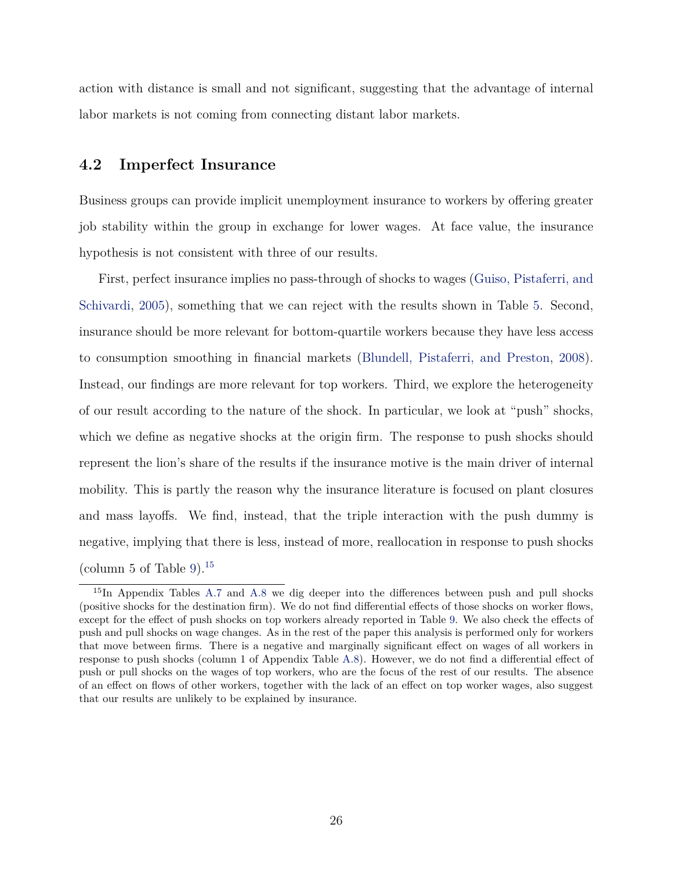action with distance is small and not significant, suggesting that the advantage of internal labor markets is not coming from connecting distant labor markets.

### <span id="page-25-0"></span>**4.2 Imperfect Insurance**

Business groups can provide implicit unemployment insurance to workers by offering greater job stability within the group in exchange for lower wages. At face value, the insurance hypothesis is not consistent with three of our results.

First, perfect insurance implies no pass-through of shocks to wages [\(Guiso, Pistaferri, and](#page-34-13) [Schivardi,](#page-34-13) [2005\)](#page-34-13), something that we can reject with the results shown in Table [5.](#page-47-0) Second, insurance should be more relevant for bottom-quartile workers because they have less access to consumption smoothing in financial markets [\(Blundell, Pistaferri, and Preston,](#page-33-12) [2008\)](#page-33-12). Instead, our findings are more relevant for top workers. Third, we explore the heterogeneity of our result according to the nature of the shock. In particular, we look at "push" shocks, which we define as negative shocks at the origin firm. The response to push shocks should represent the lion's share of the results if the insurance motive is the main driver of internal mobility. This is partly the reason why the insurance literature is focused on plant closures and mass layoffs. We find, instead, that the triple interaction with the push dummy is negative, implying that there is less, instead of more, reallocation in response to push shocks (column 5 of Table [9\)](#page-51-0). $15$ 

<sup>&</sup>lt;sup>15</sup>In Appendix Tables [A.7](#page-58-0) and [A.8](#page-59-0) we dig deeper into the differences between push and pull shocks (positive shocks for the destination firm). We do not find differential effects of those shocks on worker flows, except for the effect of push shocks on top workers already reported in Table [9.](#page-51-0) We also check the effects of push and pull shocks on wage changes. As in the rest of the paper this analysis is performed only for workers that move between firms. There is a negative and marginally significant effect on wages of all workers in response to push shocks (column 1 of Appendix Table [A.8\)](#page-59-0). However, we do not find a differential effect of push or pull shocks on the wages of top workers, who are the focus of the rest of our results. The absence of an effect on flows of other workers, together with the lack of an effect on top worker wages, also suggest that our results are unlikely to be explained by insurance.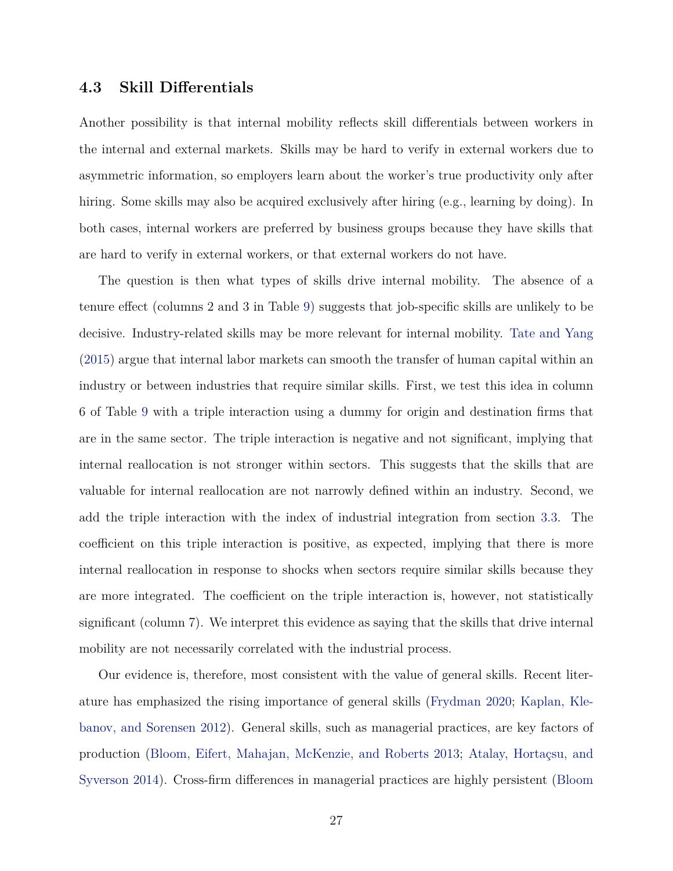### <span id="page-26-0"></span>**4.3 Skill Differentials**

Another possibility is that internal mobility reflects skill differentials between workers in the internal and external markets. Skills may be hard to verify in external workers due to asymmetric information, so employers learn about the worker's true productivity only after hiring. Some skills may also be acquired exclusively after hiring (e.g., learning by doing). In both cases, internal workers are preferred by business groups because they have skills that are hard to verify in external workers, or that external workers do not have.

The question is then what types of skills drive internal mobility. The absence of a tenure effect (columns 2 and 3 in Table [9\)](#page-51-0) suggests that job-specific skills are unlikely to be decisive. Industry-related skills may be more relevant for internal mobility. [Tate and Yang](#page-35-1) [\(2015\)](#page-35-1) argue that internal labor markets can smooth the transfer of human capital within an industry or between industries that require similar skills. First, we test this idea in column 6 of Table [9](#page-51-0) with a triple interaction using a dummy for origin and destination firms that are in the same sector. The triple interaction is negative and not significant, implying that internal reallocation is not stronger within sectors. This suggests that the skills that are valuable for internal reallocation are not narrowly defined within an industry. Second, we add the triple interaction with the index of industrial integration from section [3.3.](#page-19-0) The coefficient on this triple interaction is positive, as expected, implying that there is more internal reallocation in response to shocks when sectors require similar skills because they are more integrated. The coefficient on the triple interaction is, however, not statistically significant (column 7). We interpret this evidence as saying that the skills that drive internal mobility are not necessarily correlated with the industrial process.

Our evidence is, therefore, most consistent with the value of general skills. Recent literature has emphasized the rising importance of general skills [\(Frydman](#page-34-6) [2020;](#page-34-6) [Kaplan, Kle](#page-34-7)[banov, and Sorensen](#page-34-7) [2012\)](#page-34-7). General skills, such as managerial practices, are key factors of production [\(Bloom, Eifert, Mahajan, McKenzie, and Roberts](#page-32-2) [2013;](#page-32-2) Atalay, Hortaçsu, and [Syverson](#page-32-6) [2014\)](#page-32-6). Cross-firm differences in managerial practices are highly persistent [\(Bloom](#page-33-13)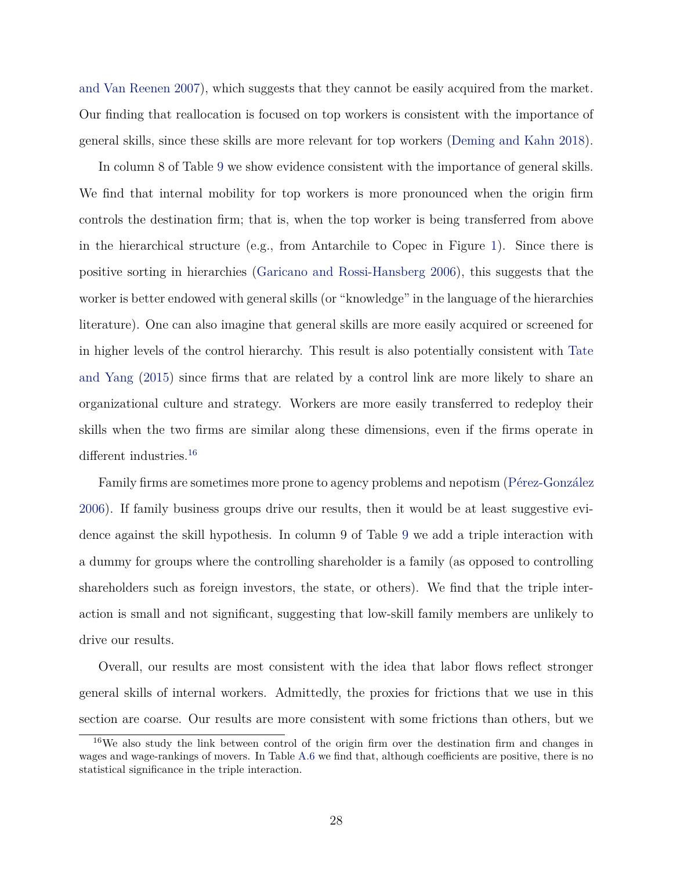[and Van Reenen](#page-33-13) [2007\)](#page-33-13), which suggests that they cannot be easily acquired from the market. Our finding that reallocation is focused on top workers is consistent with the importance of general skills, since these skills are more relevant for top workers [\(Deming and Kahn](#page-33-14) [2018\)](#page-33-14).

In column 8 of Table [9](#page-51-0) we show evidence consistent with the importance of general skills. We find that internal mobility for top workers is more pronounced when the origin firm controls the destination firm; that is, when the top worker is being transferred from above in the hierarchical structure (e.g., from Antarchile to Copec in Figure [1\)](#page-40-0). Since there is positive sorting in hierarchies [\(Garicano and Rossi-Hansberg](#page-34-14) [2006\)](#page-34-14), this suggests that the worker is better endowed with general skills (or "knowledge" in the language of the hierarchies literature). One can also imagine that general skills are more easily acquired or screened for in higher levels of the control hierarchy. This result is also potentially consistent with [Tate](#page-35-1) [and Yang](#page-35-1) [\(2015\)](#page-35-1) since firms that are related by a control link are more likely to share an organizational culture and strategy. Workers are more easily transferred to redeploy their skills when the two firms are similar along these dimensions, even if the firms operate in different industries.<sup>[16](#page-0-0)</sup>

Family firms are sometimes more prone to agency problems and nepotism (Pérez-González [2006\)](#page-35-10). If family business groups drive our results, then it would be at least suggestive evidence against the skill hypothesis. In column 9 of Table [9](#page-51-0) we add a triple interaction with a dummy for groups where the controlling shareholder is a family (as opposed to controlling shareholders such as foreign investors, the state, or others). We find that the triple interaction is small and not significant, suggesting that low-skill family members are unlikely to drive our results.

Overall, our results are most consistent with the idea that labor flows reflect stronger general skills of internal workers. Admittedly, the proxies for frictions that we use in this section are coarse. Our results are more consistent with some frictions than others, but we

<sup>&</sup>lt;sup>16</sup>We also study the link between control of the origin firm over the destination firm and changes in wages and wage-rankings of movers. In Table [A.6](#page-57-0) we find that, although coefficients are positive, there is no statistical significance in the triple interaction.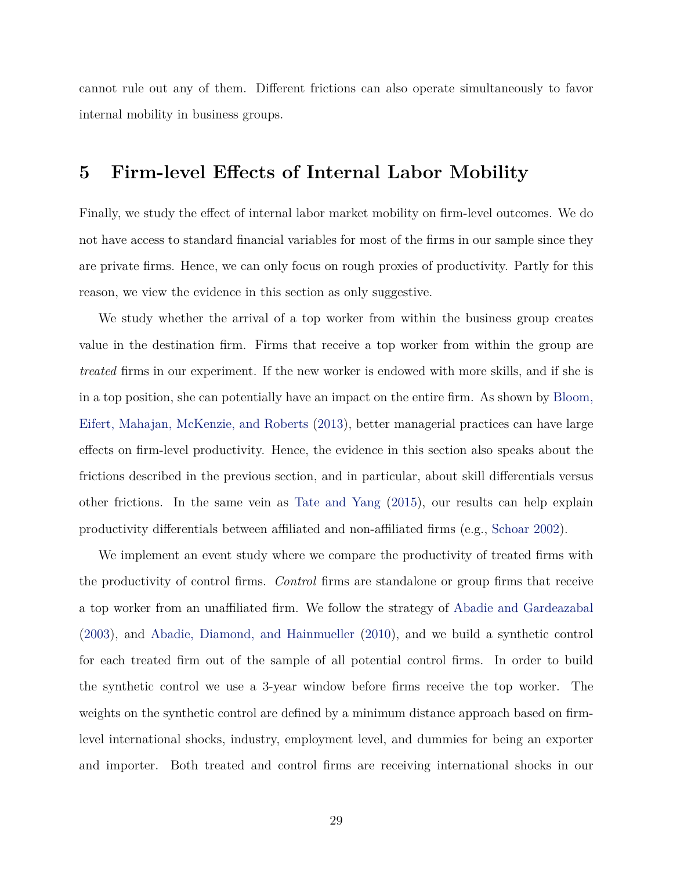cannot rule out any of them. Different frictions can also operate simultaneously to favor internal mobility in business groups.

### <span id="page-28-0"></span>**5 Firm-level Effects of Internal Labor Mobility**

Finally, we study the effect of internal labor market mobility on firm-level outcomes. We do not have access to standard financial variables for most of the firms in our sample since they are private firms. Hence, we can only focus on rough proxies of productivity. Partly for this reason, we view the evidence in this section as only suggestive.

We study whether the arrival of a top worker from within the business group creates value in the destination firm. Firms that receive a top worker from within the group are *treated* firms in our experiment. If the new worker is endowed with more skills, and if she is in a top position, she can potentially have an impact on the entire firm. As shown by [Bloom,](#page-32-2) [Eifert, Mahajan, McKenzie, and Roberts](#page-32-2) [\(2013\)](#page-32-2), better managerial practices can have large effects on firm-level productivity. Hence, the evidence in this section also speaks about the frictions described in the previous section, and in particular, about skill differentials versus other frictions. In the same vein as [Tate and Yang](#page-35-1) [\(2015\)](#page-35-1), our results can help explain productivity differentials between affiliated and non-affiliated firms (e.g., [Schoar](#page-35-2) [2002\)](#page-35-2).

We implement an event study where we compare the productivity of treated firms with the productivity of control firms. *Control* firms are standalone or group firms that receive a top worker from an unaffiliated firm. We follow the strategy of [Abadie and Gardeazabal](#page-32-3) [\(2003\)](#page-32-3), and [Abadie, Diamond, and Hainmueller](#page-32-4) [\(2010\)](#page-32-4), and we build a synthetic control for each treated firm out of the sample of all potential control firms. In order to build the synthetic control we use a 3-year window before firms receive the top worker. The weights on the synthetic control are defined by a minimum distance approach based on firmlevel international shocks, industry, employment level, and dummies for being an exporter and importer. Both treated and control firms are receiving international shocks in our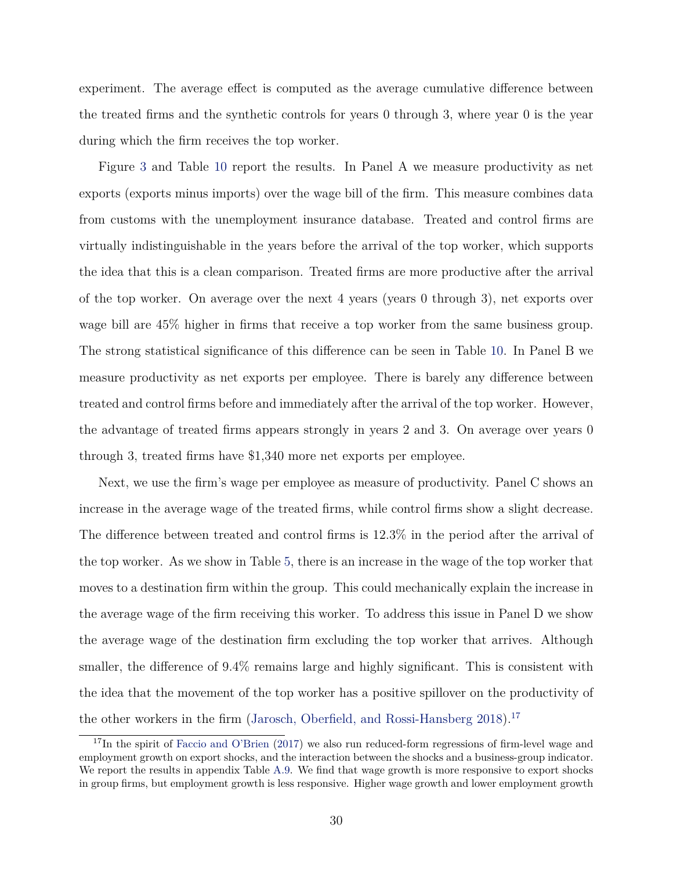experiment. The average effect is computed as the average cumulative difference between the treated firms and the synthetic controls for years 0 through 3, where year 0 is the year during which the firm receives the top worker.

Figure [3](#page-42-0) and Table [10](#page-52-0) report the results. In Panel A we measure productivity as net exports (exports minus imports) over the wage bill of the firm. This measure combines data from customs with the unemployment insurance database. Treated and control firms are virtually indistinguishable in the years before the arrival of the top worker, which supports the idea that this is a clean comparison. Treated firms are more productive after the arrival of the top worker. On average over the next 4 years (years 0 through 3), net exports over wage bill are 45% higher in firms that receive a top worker from the same business group. The strong statistical significance of this difference can be seen in Table [10.](#page-52-0) In Panel B we measure productivity as net exports per employee. There is barely any difference between treated and control firms before and immediately after the arrival of the top worker. However, the advantage of treated firms appears strongly in years 2 and 3. On average over years 0 through 3, treated firms have \$1,340 more net exports per employee.

Next, we use the firm's wage per employee as measure of productivity. Panel C shows an increase in the average wage of the treated firms, while control firms show a slight decrease. The difference between treated and control firms is 12.3% in the period after the arrival of the top worker. As we show in Table [5,](#page-47-0) there is an increase in the wage of the top worker that moves to a destination firm within the group. This could mechanically explain the increase in the average wage of the firm receiving this worker. To address this issue in Panel D we show the average wage of the destination firm excluding the top worker that arrives. Although smaller, the difference of 9.4% remains large and highly significant. This is consistent with the idea that the movement of the top worker has a positive spillover on the productivity of the other workers in the firm [\(Jarosch, Oberfield, and Rossi-Hansberg](#page-34-15) [2018\)](#page-34-15).<sup>[17](#page-0-0)</sup>

<sup>&</sup>lt;sup>17</sup>In the spirit of [Faccio and O'Brien](#page-33-5) [\(2017\)](#page-33-5) we also run reduced-form regressions of firm-level wage and employment growth on export shocks, and the interaction between the shocks and a business-group indicator. We report the results in appendix Table [A.9.](#page-60-0) We find that wage growth is more responsive to export shocks in group firms, but employment growth is less responsive. Higher wage growth and lower employment growth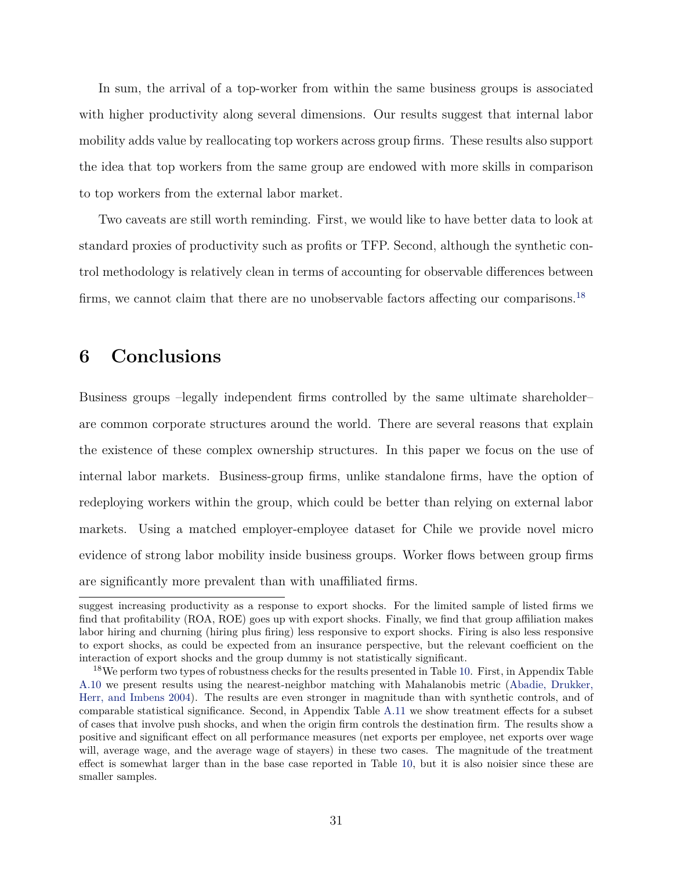In sum, the arrival of a top-worker from within the same business groups is associated with higher productivity along several dimensions. Our results suggest that internal labor mobility adds value by reallocating top workers across group firms. These results also support the idea that top workers from the same group are endowed with more skills in comparison to top workers from the external labor market.

Two caveats are still worth reminding. First, we would like to have better data to look at standard proxies of productivity such as profits or TFP. Second, although the synthetic control methodology is relatively clean in terms of accounting for observable differences between firms, we cannot claim that there are no unobservable factors affecting our comparisons.<sup>[18](#page-0-0)</sup>

## <span id="page-30-0"></span>**6 Conclusions**

Business groups –legally independent firms controlled by the same ultimate shareholder– are common corporate structures around the world. There are several reasons that explain the existence of these complex ownership structures. In this paper we focus on the use of internal labor markets. Business-group firms, unlike standalone firms, have the option of redeploying workers within the group, which could be better than relying on external labor markets. Using a matched employer-employee dataset for Chile we provide novel micro evidence of strong labor mobility inside business groups. Worker flows between group firms are significantly more prevalent than with unaffiliated firms.

suggest increasing productivity as a response to export shocks. For the limited sample of listed firms we find that profitability (ROA, ROE) goes up with export shocks. Finally, we find that group affiliation makes labor hiring and churning (hiring plus firing) less responsive to export shocks. Firing is also less responsive to export shocks, as could be expected from an insurance perspective, but the relevant coefficient on the interaction of export shocks and the group dummy is not statistically significant.

<sup>&</sup>lt;sup>18</sup>We perform two types of robustness checks for the results presented in Table [10.](#page-52-0) First, in Appendix Table [A.10](#page-61-0) we present results using the nearest-neighbor matching with Mahalanobis metric [\(Abadie, Drukker,](#page-32-12) [Herr, and Imbens](#page-32-12) [2004\)](#page-32-12). The results are even stronger in magnitude than with synthetic controls, and of comparable statistical significance. Second, in Appendix Table [A.11](#page-62-0) we show treatment effects for a subset of cases that involve push shocks, and when the origin firm controls the destination firm. The results show a positive and significant effect on all performance measures (net exports per employee, net exports over wage will, average wage, and the average wage of stayers) in these two cases. The magnitude of the treatment effect is somewhat larger than in the base case reported in Table [10,](#page-52-0) but it is also noisier since these are smaller samples.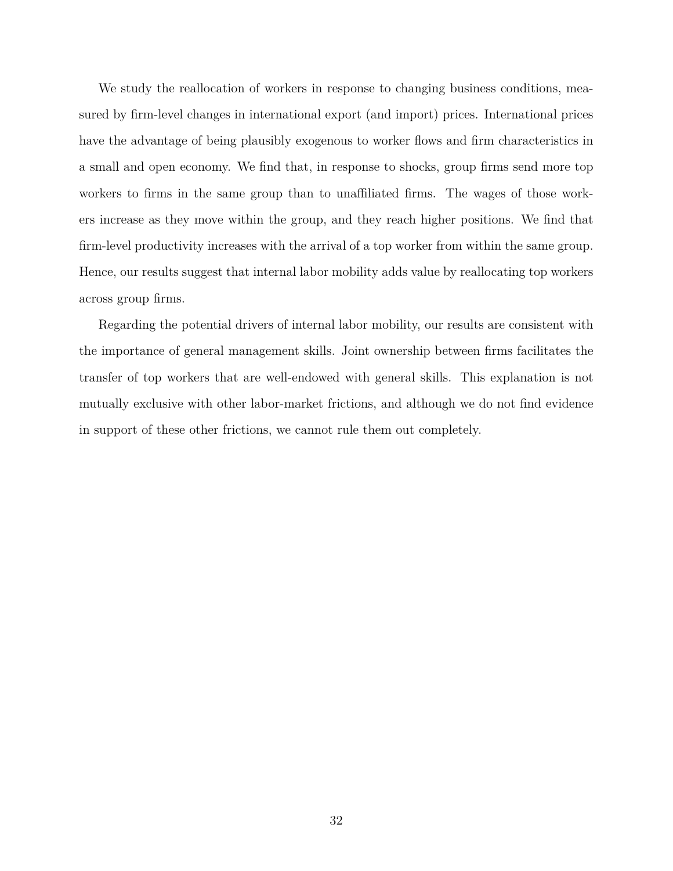We study the reallocation of workers in response to changing business conditions, measured by firm-level changes in international export (and import) prices. International prices have the advantage of being plausibly exogenous to worker flows and firm characteristics in a small and open economy. We find that, in response to shocks, group firms send more top workers to firms in the same group than to unaffiliated firms. The wages of those workers increase as they move within the group, and they reach higher positions. We find that firm-level productivity increases with the arrival of a top worker from within the same group. Hence, our results suggest that internal labor mobility adds value by reallocating top workers across group firms.

Regarding the potential drivers of internal labor mobility, our results are consistent with the importance of general management skills. Joint ownership between firms facilitates the transfer of top workers that are well-endowed with general skills. This explanation is not mutually exclusive with other labor-market frictions, and although we do not find evidence in support of these other frictions, we cannot rule them out completely.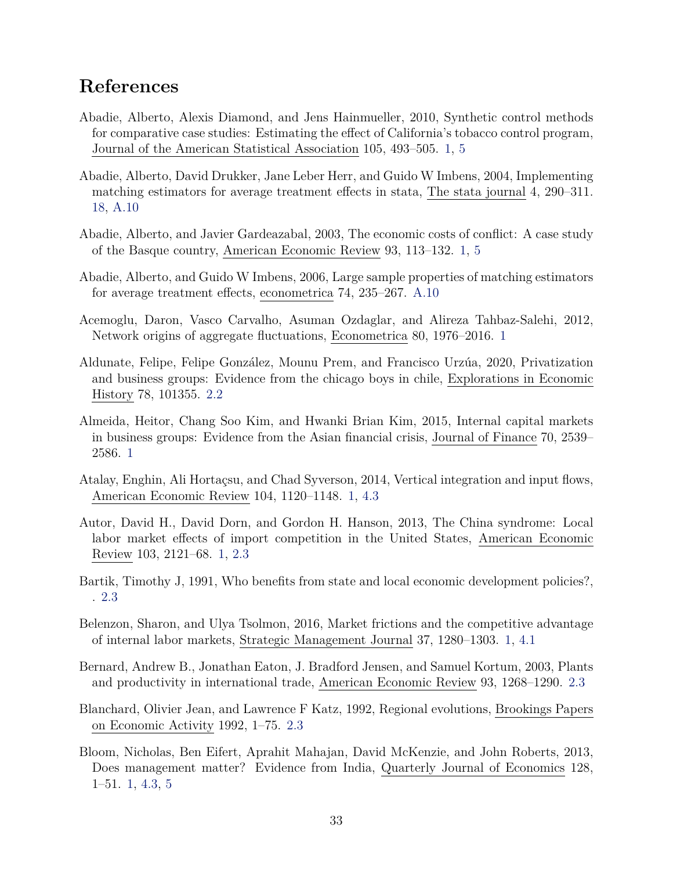# **References**

- <span id="page-32-4"></span>Abadie, Alberto, Alexis Diamond, and Jens Hainmueller, 2010, Synthetic control methods for comparative case studies: Estimating the effect of California's tobacco control program, Journal of the American Statistical Association 105, 493–505. [1,](#page-1-0) [5](#page-28-0)
- <span id="page-32-12"></span>Abadie, Alberto, David Drukker, Jane Leber Herr, and Guido W Imbens, 2004, Implementing matching estimators for average treatment effects in stata, The stata journal 4, 290–311. [18,](#page-28-0) [A.10](#page-61-0)
- <span id="page-32-3"></span>Abadie, Alberto, and Javier Gardeazabal, 2003, The economic costs of conflict: A case study of the Basque country, American Economic Review 93, 113–132. [1,](#page-1-0) [5](#page-28-0)
- <span id="page-32-13"></span>Abadie, Alberto, and Guido W Imbens, 2006, Large sample properties of matching estimators for average treatment effects, econometrica 74, 235–267. [A.10](#page-61-0)
- <span id="page-32-7"></span>Acemoglu, Daron, Vasco Carvalho, Asuman Ozdaglar, and Alireza Tahbaz-Salehi, 2012, Network origins of aggregate fluctuations, Econometrica 80, 1976–2016. [1](#page-1-0)
- <span id="page-32-8"></span>Aldunate, Felipe, Felipe González, Mounu Prem, and Francisco Urzúa, 2020, Privatization and business groups: Evidence from the chicago boys in chile, Explorations in Economic History 78, 101355. [2.2](#page-8-0)
- <span id="page-32-0"></span>Almeida, Heitor, Chang Soo Kim, and Hwanki Brian Kim, 2015, Internal capital markets in business groups: Evidence from the Asian financial crisis, Journal of Finance 70, 2539– 2586. [1](#page-1-0)
- <span id="page-32-6"></span>Atalay, Enghin, Ali Hortaçsu, and Chad Syverson, 2014, Vertical integration and input flows, American Economic Review 104, 1120–1148. [1,](#page-1-0) [4.3](#page-26-0)
- <span id="page-32-1"></span>Autor, David H., David Dorn, and Gordon H. Hanson, 2013, The China syndrome: Local labor market effects of import competition in the United States, American Economic Review 103, 2121–68. [1,](#page-1-0) [2.3](#page-10-0)
- <span id="page-32-10"></span>Bartik, Timothy J, 1991, Who benefits from state and local economic development policies?, . [2.3](#page-10-0)
- <span id="page-32-5"></span>Belenzon, Sharon, and Ulya Tsolmon, 2016, Market frictions and the competitive advantage of internal labor markets, Strategic Management Journal 37, 1280–1303. [1,](#page-1-0) [4.1](#page-23-1)
- <span id="page-32-9"></span>Bernard, Andrew B., Jonathan Eaton, J. Bradford Jensen, and Samuel Kortum, 2003, Plants and productivity in international trade, American Economic Review 93, 1268–1290. [2.3](#page-10-0)
- <span id="page-32-11"></span>Blanchard, Olivier Jean, and Lawrence F Katz, 1992, Regional evolutions, Brookings Papers on Economic Activity 1992, 1–75. [2.3](#page-10-0)
- <span id="page-32-2"></span>Bloom, Nicholas, Ben Eifert, Aprahit Mahajan, David McKenzie, and John Roberts, 2013, Does management matter? Evidence from India, Quarterly Journal of Economics 128, 1–51. [1,](#page-1-0) [4.3,](#page-26-0) [5](#page-28-0)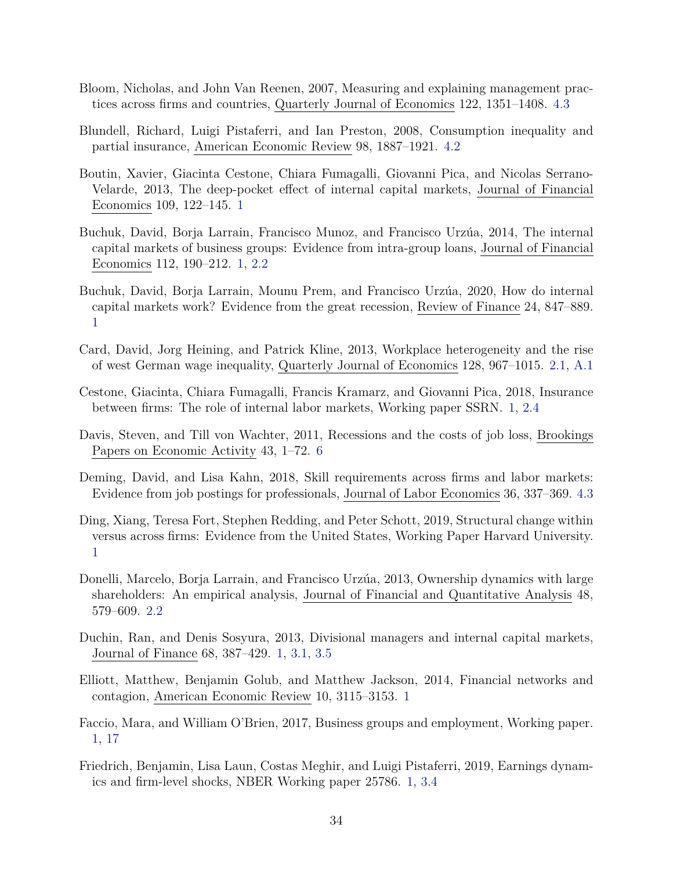- <span id="page-33-13"></span>Bloom, Nicholas, and John Van Reenen, 2007, Measuring and explaining management practices across firms and countries, Quarterly Journal of Economics 122, 1351–1408. [4.3](#page-26-0)
- <span id="page-33-12"></span>Blundell, Richard, Luigi Pistaferri, and Ian Preston, 2008, Consumption inequality and partial insurance, American Economic Review 98, 1887–1921. [4.2](#page-25-0)
- <span id="page-33-0"></span>Boutin, Xavier, Giacinta Cestone, Chiara Fumagalli, Giovanni Pica, and Nicolas Serrano-Velarde, 2013, The deep-pocket effect of internal capital markets, Journal of Financial Economics 109, 122–145. [1](#page-1-0)
- <span id="page-33-1"></span>Buchuk, David, Borja Larrain, Francisco Munoz, and Francisco Urzúa, 2014, The internal capital markets of business groups: Evidence from intra-group loans, Journal of Financial Economics 112, 190–212. [1,](#page-1-0) [2.2](#page-8-0)
- <span id="page-33-2"></span>Buchuk, David, Borja Larrain, Mounu Prem, and Francisco Urzúa, 2020, How do internal capital markets work? Evidence from the great recession, Review of Finance 24, 847–889. [1](#page-1-0)
- <span id="page-33-9"></span>Card, David, Jorg Heining, and Patrick Kline, 2013, Workplace heterogeneity and the rise of west German wage inequality, Quarterly Journal of Economics 128, 967–1015. [2.1,](#page-8-1) [A.1](#page-36-0)
- <span id="page-33-6"></span>Cestone, Giacinta, Chiara Fumagalli, Francis Kramarz, and Giovanni Pica, 2018, Insurance between firms: The role of internal labor markets, Working paper SSRN. [1,](#page-1-0) [2.4](#page-12-0)
- <span id="page-33-11"></span>Davis, Steven, and Till von Wachter, 2011, Recessions and the costs of job loss, Brookings Papers on Economic Activity 43, 1–72. [6](#page-12-0)
- <span id="page-33-14"></span>Deming, David, and Lisa Kahn, 2018, Skill requirements across firms and labor markets: Evidence from job postings for professionals, Journal of Labor Economics 36, 337–369. [4.3](#page-26-0)
- <span id="page-33-7"></span>Ding, Xiang, Teresa Fort, Stephen Redding, and Peter Schott, 2019, Structural change within versus across firms: Evidence from the United States, Working Paper Harvard University. [1](#page-1-0)
- <span id="page-33-10"></span>Donelli, Marcelo, Borja Larrain, and Francisco Urzúa, 2013, Ownership dynamics with large shareholders: An empirical analysis, Journal of Financial and Quantitative Analysis 48, 579–609. [2.2](#page-8-0)
- <span id="page-33-4"></span>Duchin, Ran, and Denis Sosyura, 2013, Divisional managers and internal capital markets, Journal of Finance 68, 387–429. [1,](#page-1-0) [3.1,](#page-14-1) [3.5](#page-21-0)
- <span id="page-33-8"></span>Elliott, Matthew, Benjamin Golub, and Matthew Jackson, 2014, Financial networks and contagion, American Economic Review 10, 3115–3153. [1](#page-1-0)
- <span id="page-33-5"></span>Faccio, Mara, and William O'Brien, 2017, Business groups and employment, Working paper. [1,](#page-1-0) [17](#page-28-0)
- <span id="page-33-3"></span>Friedrich, Benjamin, Lisa Laun, Costas Meghir, and Luigi Pistaferri, 2019, Earnings dynamics and firm-level shocks, NBER Working paper 25786. [1,](#page-1-0) [3.4](#page-20-0)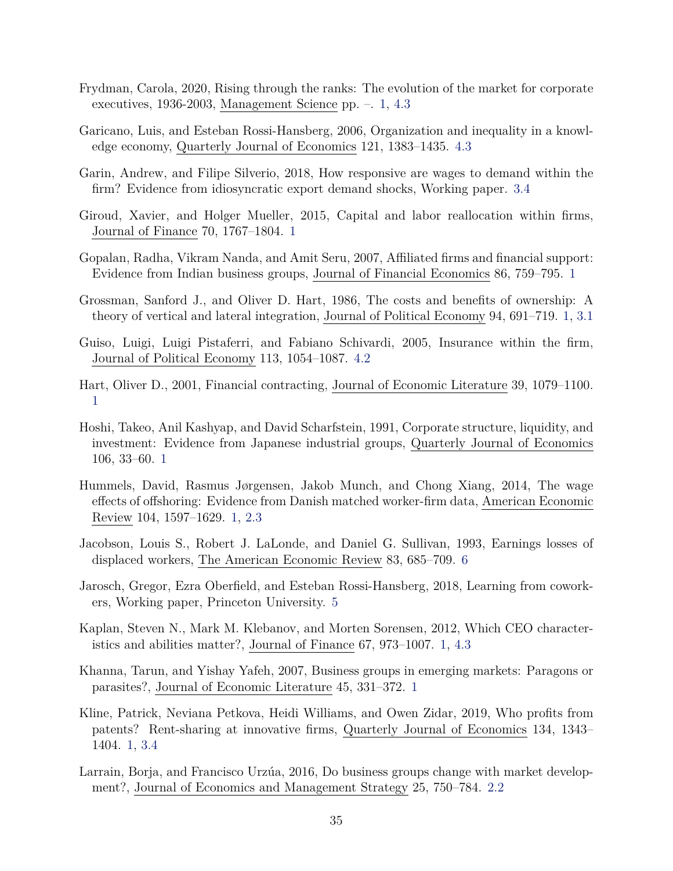- <span id="page-34-6"></span>Frydman, Carola, 2020, Rising through the ranks: The evolution of the market for corporate executives, 1936-2003, Management Science pp. –. [1,](#page-1-0) [4.3](#page-26-0)
- <span id="page-34-14"></span>Garicano, Luis, and Esteban Rossi-Hansberg, 2006, Organization and inequality in a knowledge economy, Quarterly Journal of Economics 121, 1383–1435. [4.3](#page-26-0)
- <span id="page-34-12"></span>Garin, Andrew, and Filipe Silverio, 2018, How responsive are wages to demand within the firm? Evidence from idiosyncratic export demand shocks, Working paper. [3.4](#page-20-0)
- <span id="page-34-5"></span>Giroud, Xavier, and Holger Mueller, 2015, Capital and labor reallocation within firms, Journal of Finance 70, 1767–1804. [1](#page-1-0)
- <span id="page-34-1"></span>Gopalan, Radha, Vikram Nanda, and Amit Seru, 2007, Affiliated firms and financial support: Evidence from Indian business groups, Journal of Financial Economics 86, 759–795. [1](#page-1-0)
- <span id="page-34-8"></span>Grossman, Sanford J., and Oliver D. Hart, 1986, The costs and benefits of ownership: A theory of vertical and lateral integration, Journal of Political Economy 94, 691–719. [1,](#page-1-0) [3.1](#page-14-1)
- <span id="page-34-13"></span>Guiso, Luigi, Luigi Pistaferri, and Fabiano Schivardi, 2005, Insurance within the firm, Journal of Political Economy 113, 1054–1087. [4.2](#page-25-0)
- <span id="page-34-9"></span>Hart, Oliver D., 2001, Financial contracting, Journal of Economic Literature 39, 1079–1100. [1](#page-1-0)
- <span id="page-34-4"></span>Hoshi, Takeo, Anil Kashyap, and David Scharfstein, 1991, Corporate structure, liquidity, and investment: Evidence from Japanese industrial groups, Quarterly Journal of Economics 106, 33–60. [1](#page-1-0)
- <span id="page-34-2"></span>Hummels, David, Rasmus Jørgensen, Jakob Munch, and Chong Xiang, 2014, The wage effects of offshoring: Evidence from Danish matched worker-firm data, American Economic Review 104, 1597–1629. [1,](#page-1-0) [2.3](#page-10-0)
- <span id="page-34-11"></span>Jacobson, Louis S., Robert J. LaLonde, and Daniel G. Sullivan, 1993, Earnings losses of displaced workers, The American Economic Review 83, 685–709. [6](#page-12-0)
- <span id="page-34-15"></span>Jarosch, Gregor, Ezra Oberfield, and Esteban Rossi-Hansberg, 2018, Learning from coworkers, Working paper, Princeton University. [5](#page-28-0)
- <span id="page-34-7"></span>Kaplan, Steven N., Mark M. Klebanov, and Morten Sorensen, 2012, Which CEO characteristics and abilities matter?, Journal of Finance 67, 973–1007. [1,](#page-1-0) [4.3](#page-26-0)
- <span id="page-34-0"></span>Khanna, Tarun, and Yishay Yafeh, 2007, Business groups in emerging markets: Paragons or parasites?, Journal of Economic Literature 45, 331–372. [1](#page-1-0)
- <span id="page-34-3"></span>Kline, Patrick, Neviana Petkova, Heidi Williams, and Owen Zidar, 2019, Who profits from patents? Rent-sharing at innovative firms, Quarterly Journal of Economics 134, 1343– 1404. [1,](#page-1-0) [3.4](#page-20-0)
- <span id="page-34-10"></span>Larrain, Borja, and Francisco Urzúa, 2016, Do business groups change with market development?, Journal of Economics and Management Strategy 25, 750–784. [2.2](#page-8-0)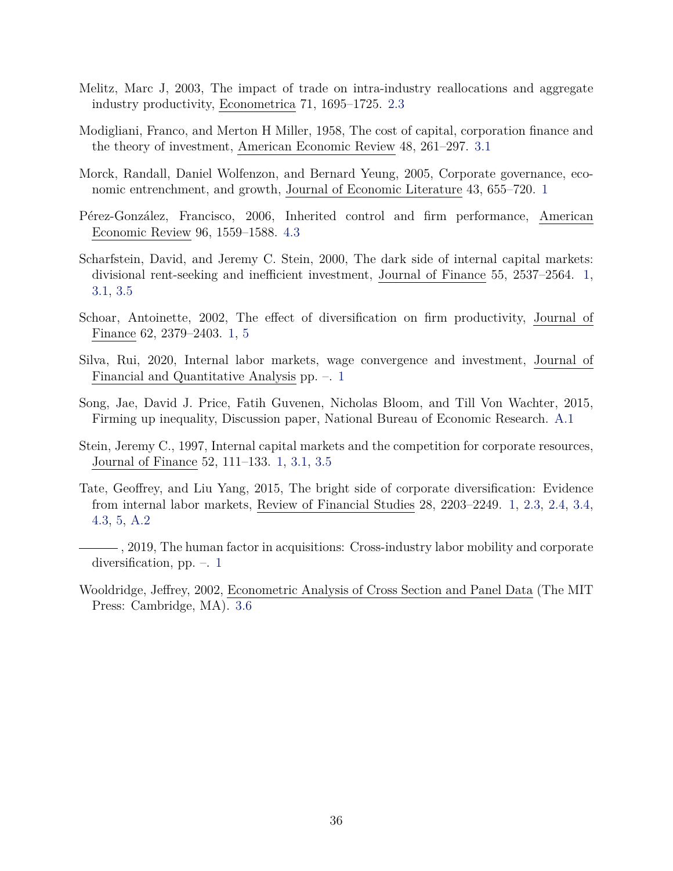- <span id="page-35-7"></span>Melitz, Marc J, 2003, The impact of trade on intra-industry reallocations and aggregate industry productivity, Econometrica 71, 1695–1725. [2.3](#page-10-0)
- <span id="page-35-8"></span>Modigliani, Franco, and Merton H Miller, 1958, The cost of capital, corporation finance and the theory of investment, American Economic Review 48, 261–297. [3.1](#page-14-1)
- <span id="page-35-0"></span>Morck, Randall, Daniel Wolfenzon, and Bernard Yeung, 2005, Corporate governance, economic entrenchment, and growth, Journal of Economic Literature 43, 655–720. [1](#page-1-0)
- <span id="page-35-10"></span>Pérez-González, Francisco, 2006, Inherited control and firm performance, American Economic Review 96, 1559–1588. [4.3](#page-26-0)
- <span id="page-35-4"></span>Scharfstein, David, and Jeremy C. Stein, 2000, The dark side of internal capital markets: divisional rent-seeking and inefficient investment, Journal of Finance 55, 2537–2564. [1,](#page-1-0) [3.1,](#page-14-1) [3.5](#page-21-0)
- <span id="page-35-2"></span>Schoar, Antoinette, 2002, The effect of diversification on firm productivity, Journal of Finance 62, 2379–2403. [1,](#page-1-0) [5](#page-28-0)
- <span id="page-35-6"></span>Silva, Rui, 2020, Internal labor markets, wage convergence and investment, Journal of Financial and Quantitative Analysis pp. –. [1](#page-1-0)
- <span id="page-35-11"></span>Song, Jae, David J. Price, Fatih Guvenen, Nicholas Bloom, and Till Von Wachter, 2015, Firming up inequality, Discussion paper, National Bureau of Economic Research. [A.1](#page-36-0)
- <span id="page-35-3"></span>Stein, Jeremy C., 1997, Internal capital markets and the competition for corporate resources, Journal of Finance 52, 111–133. [1,](#page-1-0) [3.1,](#page-14-1) [3.5](#page-21-0)
- <span id="page-35-1"></span>Tate, Geoffrey, and Liu Yang, 2015, The bright side of corporate diversification: Evidence from internal labor markets, Review of Financial Studies 28, 2203–2249. [1,](#page-1-0) [2.3,](#page-10-0) [2.4,](#page-12-0) [3.4,](#page-20-0) [4.3,](#page-26-0) [5,](#page-28-0) [A.2](#page-38-0)
- <span id="page-35-5"></span>, 2019, The human factor in acquisitions: Cross-industry labor mobility and corporate diversification, pp. –. [1](#page-1-0)
- <span id="page-35-9"></span>Wooldridge, Jeffrey, 2002, Econometric Analysis of Cross Section and Panel Data (The MIT Press: Cambridge, MA). [3.6](#page-22-0)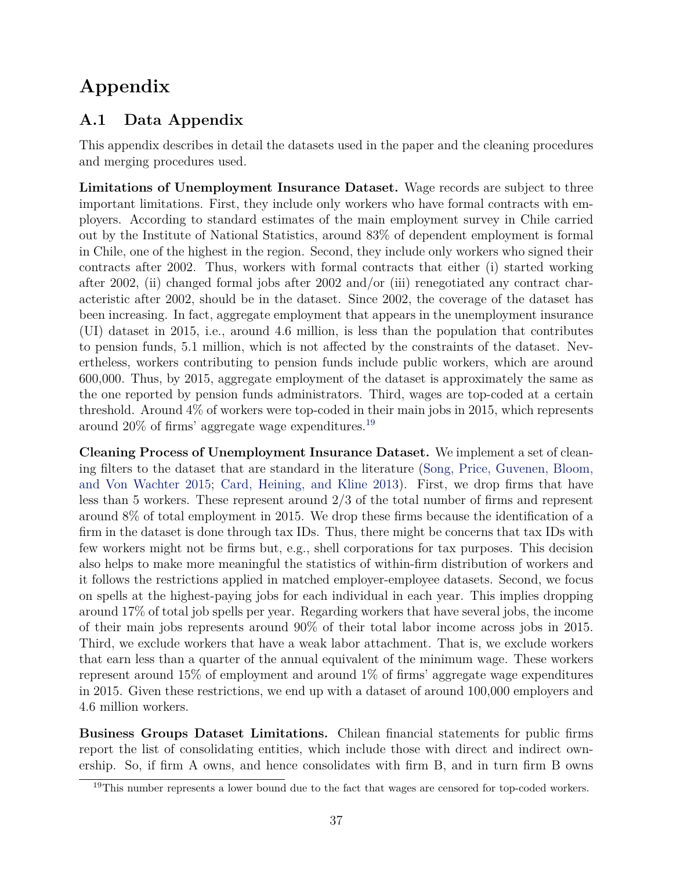# **Appendix**

## <span id="page-36-0"></span>**A.1 Data Appendix**

This appendix describes in detail the datasets used in the paper and the cleaning procedures and merging procedures used.

**Limitations of Unemployment Insurance Dataset.** Wage records are subject to three important limitations. First, they include only workers who have formal contracts with employers. According to standard estimates of the main employment survey in Chile carried out by the Institute of National Statistics, around 83% of dependent employment is formal in Chile, one of the highest in the region. Second, they include only workers who signed their contracts after 2002. Thus, workers with formal contracts that either (i) started working after 2002, (ii) changed formal jobs after 2002 and/or (iii) renegotiated any contract characteristic after 2002, should be in the dataset. Since 2002, the coverage of the dataset has been increasing. In fact, aggregate employment that appears in the unemployment insurance (UI) dataset in 2015, i.e., around 4.6 million, is less than the population that contributes to pension funds, 5.1 million, which is not affected by the constraints of the dataset. Nevertheless, workers contributing to pension funds include public workers, which are around 600,000. Thus, by 2015, aggregate employment of the dataset is approximately the same as the one reported by pension funds administrators. Third, wages are top-coded at a certain threshold. Around 4% of workers were top-coded in their main jobs in 2015, which represents around  $20\%$  of firms' aggregate wage expenditures.<sup>[19](#page-0-0)</sup>

**Cleaning Process of Unemployment Insurance Dataset.** We implement a set of cleaning filters to the dataset that are standard in the literature [\(Song, Price, Guvenen, Bloom,](#page-35-11) [and Von Wachter](#page-35-11) [2015;](#page-35-11) [Card, Heining, and Kline](#page-33-9) [2013\)](#page-33-9). First, we drop firms that have less than 5 workers. These represent around 2/3 of the total number of firms and represent around 8% of total employment in 2015. We drop these firms because the identification of a firm in the dataset is done through tax IDs. Thus, there might be concerns that tax IDs with few workers might not be firms but, e.g., shell corporations for tax purposes. This decision also helps to make more meaningful the statistics of within-firm distribution of workers and it follows the restrictions applied in matched employer-employee datasets. Second, we focus on spells at the highest-paying jobs for each individual in each year. This implies dropping around 17% of total job spells per year. Regarding workers that have several jobs, the income of their main jobs represents around 90% of their total labor income across jobs in 2015. Third, we exclude workers that have a weak labor attachment. That is, we exclude workers that earn less than a quarter of the annual equivalent of the minimum wage. These workers represent around 15% of employment and around 1% of firms' aggregate wage expenditures in 2015. Given these restrictions, we end up with a dataset of around 100,000 employers and 4.6 million workers.

**Business Groups Dataset Limitations.** Chilean financial statements for public firms report the list of consolidating entities, which include those with direct and indirect ownership. So, if firm A owns, and hence consolidates with firm B, and in turn firm B owns

 $19$ This number represents a lower bound due to the fact that wages are censored for top-coded workers.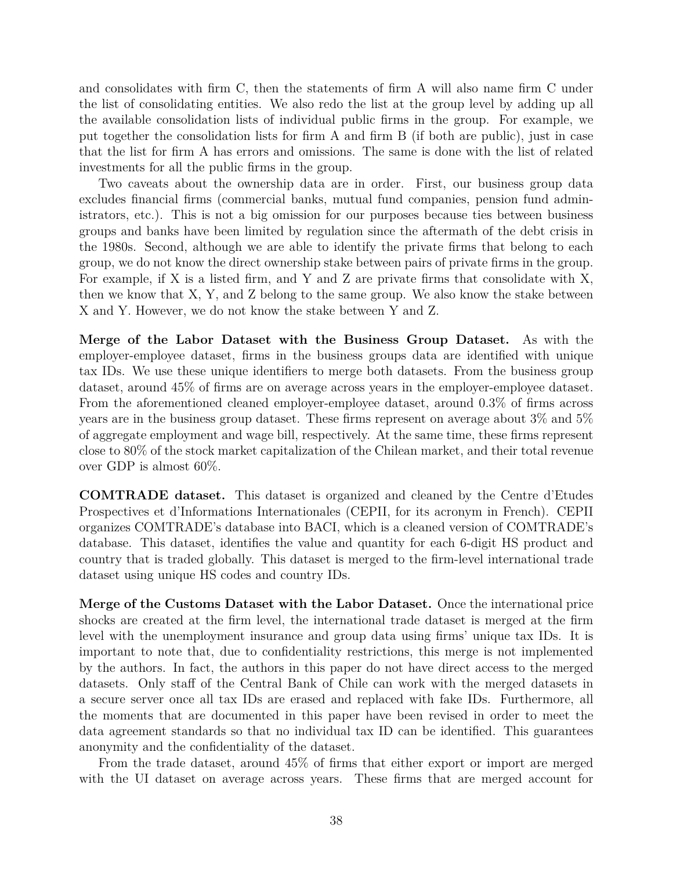and consolidates with firm C, then the statements of firm A will also name firm C under the list of consolidating entities. We also redo the list at the group level by adding up all the available consolidation lists of individual public firms in the group. For example, we put together the consolidation lists for firm A and firm B (if both are public), just in case that the list for firm A has errors and omissions. The same is done with the list of related investments for all the public firms in the group.

Two caveats about the ownership data are in order. First, our business group data excludes financial firms (commercial banks, mutual fund companies, pension fund administrators, etc.). This is not a big omission for our purposes because ties between business groups and banks have been limited by regulation since the aftermath of the debt crisis in the 1980s. Second, although we are able to identify the private firms that belong to each group, we do not know the direct ownership stake between pairs of private firms in the group. For example, if X is a listed firm, and Y and Z are private firms that consolidate with X, then we know that X, Y, and Z belong to the same group. We also know the stake between X and Y. However, we do not know the stake between Y and Z.

**Merge of the Labor Dataset with the Business Group Dataset.** As with the employer-employee dataset, firms in the business groups data are identified with unique tax IDs. We use these unique identifiers to merge both datasets. From the business group dataset, around 45% of firms are on average across years in the employer-employee dataset. From the aforementioned cleaned employer-employee dataset, around 0.3% of firms across years are in the business group dataset. These firms represent on average about 3% and 5% of aggregate employment and wage bill, respectively. At the same time, these firms represent close to 80% of the stock market capitalization of the Chilean market, and their total revenue over GDP is almost 60%.

**COMTRADE dataset.** This dataset is organized and cleaned by the Centre d'Etudes Prospectives et d'Informations Internationales (CEPII, for its acronym in French). CEPII organizes COMTRADE's database into BACI, which is a cleaned version of COMTRADE's database. This dataset, identifies the value and quantity for each 6-digit HS product and country that is traded globally. This dataset is merged to the firm-level international trade dataset using unique HS codes and country IDs.

**Merge of the Customs Dataset with the Labor Dataset.** Once the international price shocks are created at the firm level, the international trade dataset is merged at the firm level with the unemployment insurance and group data using firms' unique tax IDs. It is important to note that, due to confidentiality restrictions, this merge is not implemented by the authors. In fact, the authors in this paper do not have direct access to the merged datasets. Only staff of the Central Bank of Chile can work with the merged datasets in a secure server once all tax IDs are erased and replaced with fake IDs. Furthermore, all the moments that are documented in this paper have been revised in order to meet the data agreement standards so that no individual tax ID can be identified. This guarantees anonymity and the confidentiality of the dataset.

From the trade dataset, around 45% of firms that either export or import are merged with the UI dataset on average across years. These firms that are merged account for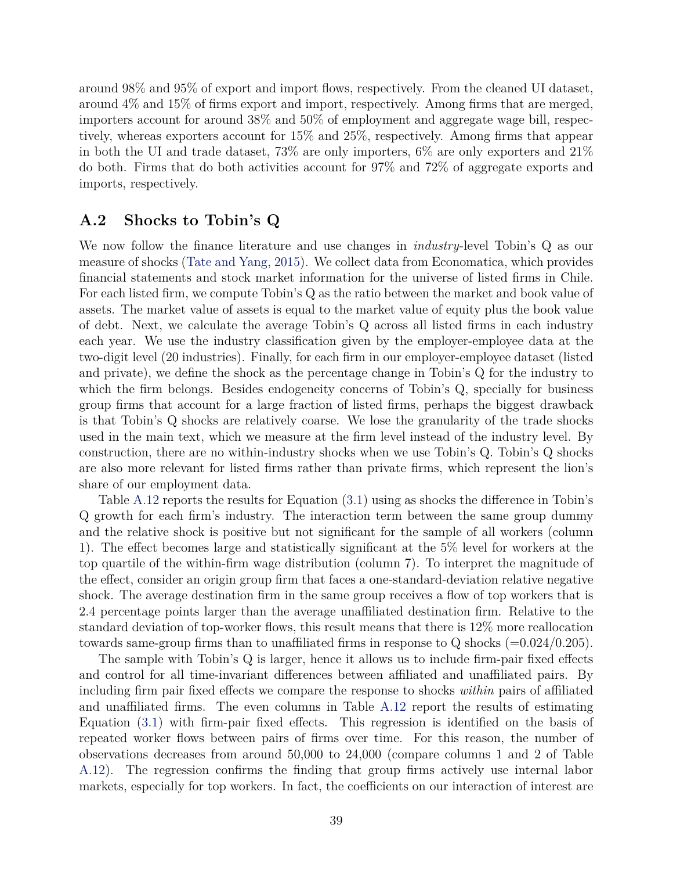around 98% and 95% of export and import flows, respectively. From the cleaned UI dataset, around 4% and 15% of firms export and import, respectively. Among firms that are merged, importers account for around 38% and 50% of employment and aggregate wage bill, respectively, whereas exporters account for 15% and 25%, respectively. Among firms that appear in both the UI and trade dataset, 73% are only importers, 6% are only exporters and 21% do both. Firms that do both activities account for 97% and 72% of aggregate exports and imports, respectively.

### <span id="page-38-0"></span>**A.2 Shocks to Tobin's Q**

We now follow the finance literature and use changes in *industry*-level Tobin's Q as our measure of shocks [\(Tate and Yang,](#page-35-1) [2015\)](#page-35-1). We collect data from Economatica, which provides financial statements and stock market information for the universe of listed firms in Chile. For each listed firm, we compute Tobin's Q as the ratio between the market and book value of assets. The market value of assets is equal to the market value of equity plus the book value of debt. Next, we calculate the average Tobin's Q across all listed firms in each industry each year. We use the industry classification given by the employer-employee data at the two-digit level (20 industries). Finally, for each firm in our employer-employee dataset (listed and private), we define the shock as the percentage change in Tobin's Q for the industry to which the firm belongs. Besides endogeneity concerns of Tobin's Q, specially for business group firms that account for a large fraction of listed firms, perhaps the biggest drawback is that Tobin's Q shocks are relatively coarse. We lose the granularity of the trade shocks used in the main text, which we measure at the firm level instead of the industry level. By construction, there are no within-industry shocks when we use Tobin's Q. Tobin's Q shocks are also more relevant for listed firms rather than private firms, which represent the lion's share of our employment data.

Table [A.12](#page-63-0) reports the results for Equation [\(3.1\)](#page-14-1) using as shocks the difference in Tobin's Q growth for each firm's industry. The interaction term between the same group dummy and the relative shock is positive but not significant for the sample of all workers (column 1). The effect becomes large and statistically significant at the 5% level for workers at the top quartile of the within-firm wage distribution (column 7). To interpret the magnitude of the effect, consider an origin group firm that faces a one-standard-deviation relative negative shock. The average destination firm in the same group receives a flow of top workers that is 2.4 percentage points larger than the average unaffiliated destination firm. Relative to the standard deviation of top-worker flows, this result means that there is 12% more reallocation towards same-group firms than to unaffiliated firms in response to Q shocks (=0*.*024*/*0*.*205).

The sample with Tobin's Q is larger, hence it allows us to include firm-pair fixed effects and control for all time-invariant differences between affiliated and unaffiliated pairs. By including firm pair fixed effects we compare the response to shocks *within* pairs of affiliated and unaffiliated firms. The even columns in Table [A.12](#page-63-0) report the results of estimating Equation [\(3.1\)](#page-14-1) with firm-pair fixed effects. This regression is identified on the basis of repeated worker flows between pairs of firms over time. For this reason, the number of observations decreases from around 50,000 to 24,000 (compare columns 1 and 2 of Table [A.12\)](#page-63-0). The regression confirms the finding that group firms actively use internal labor markets, especially for top workers. In fact, the coefficients on our interaction of interest are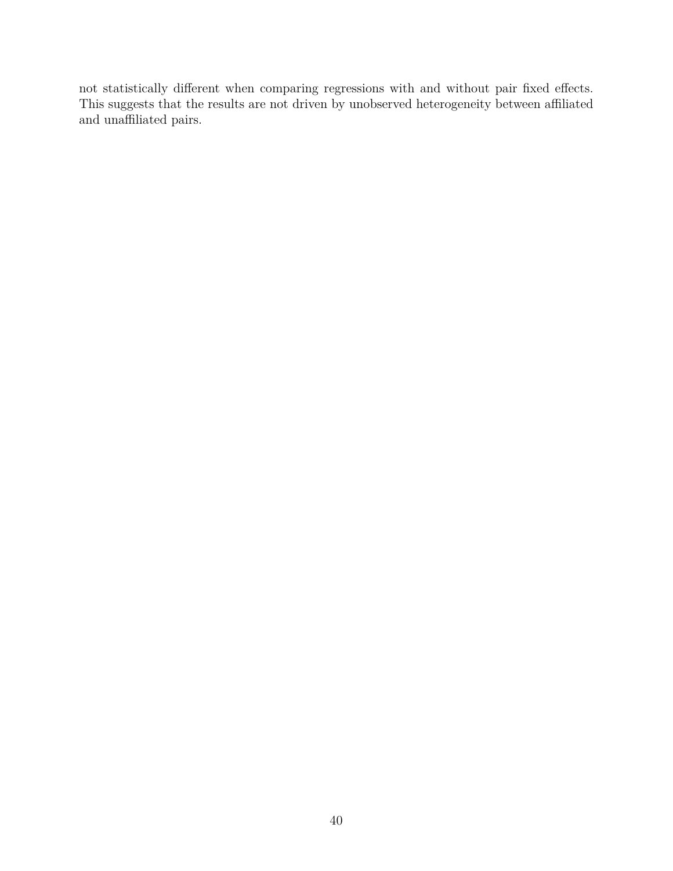not statistically different when comparing regressions with and without pair fixed effects. This suggests that the results are not driven by unobserved heterogeneity between affiliated and unaffiliated pairs.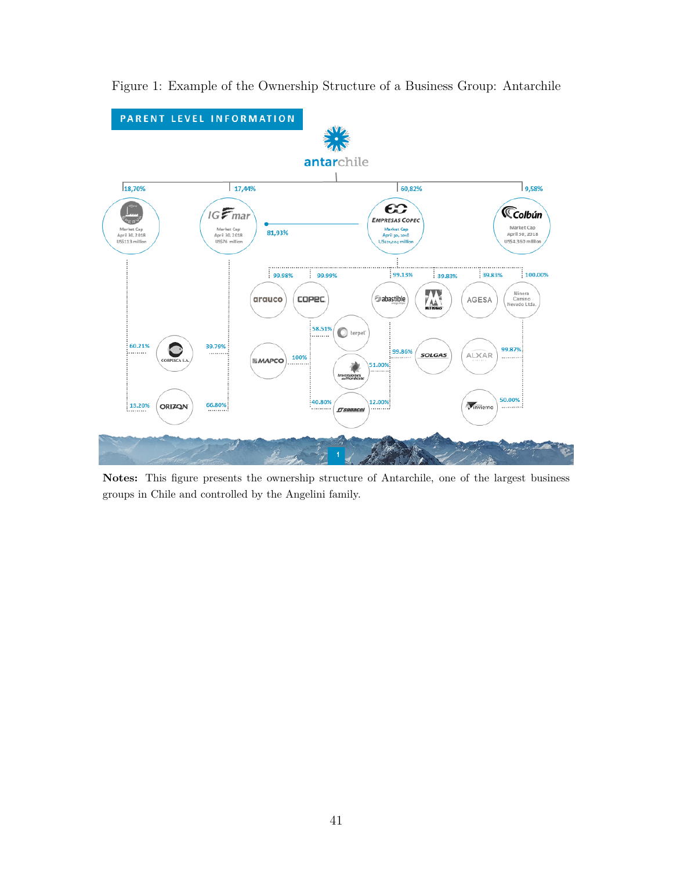

<span id="page-40-0"></span>Figure 1: Example of the Ownership Structure of a Business Group: Antarchile

**Notes:** This figure presents the ownership structure of Antarchile, one of the largest business groups in Chile and controlled by the Angelini family.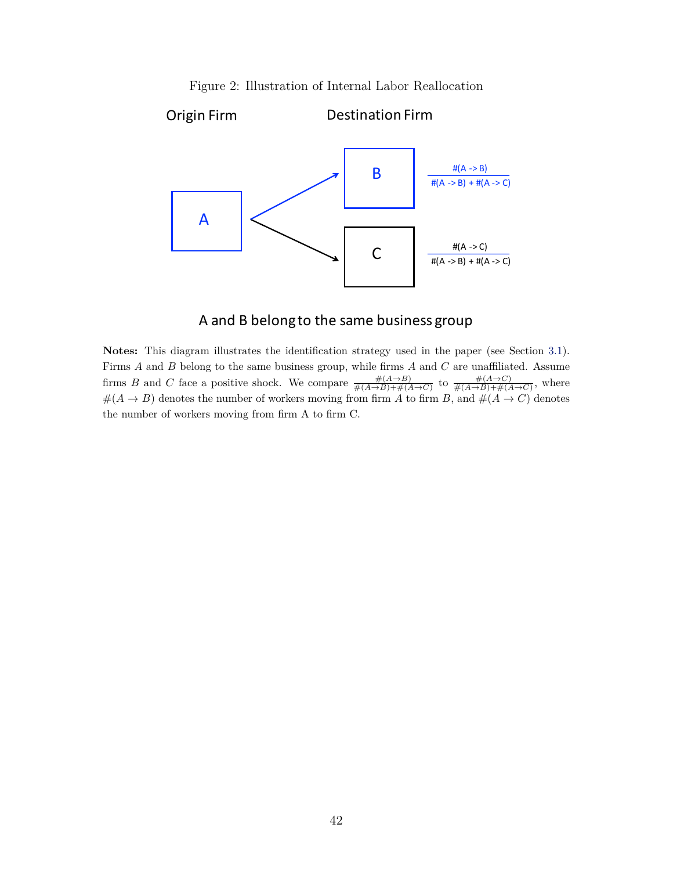

<span id="page-41-0"></span>

### A and B belong to the same business group

**Notes:** This diagram illustrates the identification strategy used in the paper (see Section [3.1\)](#page-14-2). Firms *A* and *B* belong to the same business group, while firms *A* and *C* are unaffiliated. Assume firms *B* and *C* face a positive shock. We compare  $\frac{\#(A\to B)}{\#(A\to B)+\#(A\to C)}$  to  $\frac{\#(A\to C)}{\#(A\to B)+\#(A\to C)}$ , where  $#(A \rightarrow B)$  denotes the number of workers moving from firm *A* to firm *B*, and  $#(A \rightarrow C)$  denotes the number of workers moving from firm A to firm C.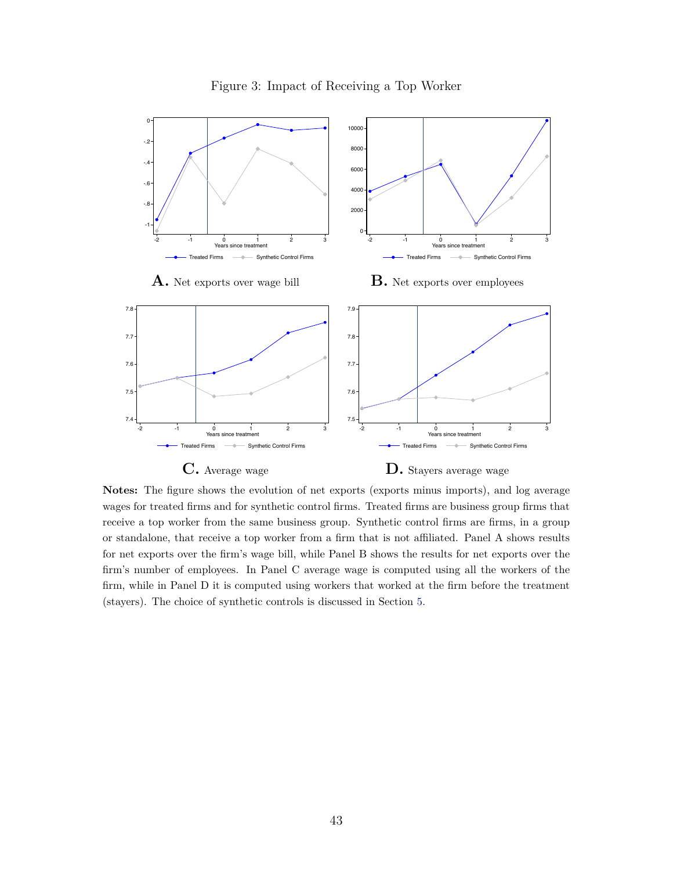<span id="page-42-0"></span>

Figure 3: Impact of Receiving a Top Worker

**Notes:** The figure shows the evolution of net exports (exports minus imports), and log average wages for treated firms and for synthetic control firms. Treated firms are business group firms that receive a top worker from the same business group. Synthetic control firms are firms, in a group or standalone, that receive a top worker from a firm that is not affiliated. Panel A shows results for net exports over the firm's wage bill, while Panel B shows the results for net exports over the firm's number of employees. In Panel C average wage is computed using all the workers of the firm, while in Panel D it is computed using workers that worked at the firm before the treatment (stayers). The choice of synthetic controls is discussed in Section [5.](#page-28-0)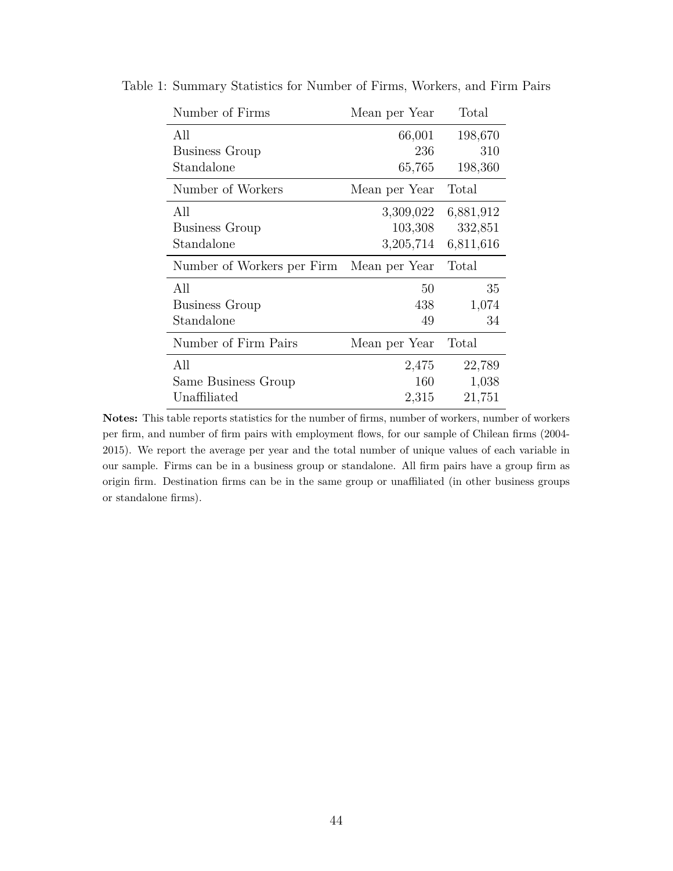| Number of Firms            | Mean per Year | Total     |
|----------------------------|---------------|-----------|
| All                        | 66,001        | 198,670   |
| <b>Business Group</b>      | 236           | 310       |
| Standalone                 | 65,765        | 198,360   |
| Number of Workers          | Mean per Year | Total     |
| All                        | 3,309,022     | 6,881,912 |
| <b>Business Group</b>      | 103,308       | 332,851   |
| Standalone                 | 3,205,714     | 6,811,616 |
|                            |               |           |
| Number of Workers per Firm | Mean per Year | Total     |
| All                        | 50            | 35        |
| <b>Business Group</b>      | 438           | 1,074     |
| Standalone                 | 49            | 34        |
| Number of Firm Pairs       | Mean per Year | Total     |
| All                        | 2,475         | 22,789    |
| Same Business Group        | 160           | 1,038     |

<span id="page-43-0"></span>Table 1: Summary Statistics for Number of Firms, Workers, and Firm Pairs

**Notes:** This table reports statistics for the number of firms, number of workers, number of workers per firm, and number of firm pairs with employment flows, for our sample of Chilean firms (2004- 2015). We report the average per year and the total number of unique values of each variable in our sample. Firms can be in a business group or standalone. All firm pairs have a group firm as origin firm. Destination firms can be in the same group or unaffiliated (in other business groups or standalone firms).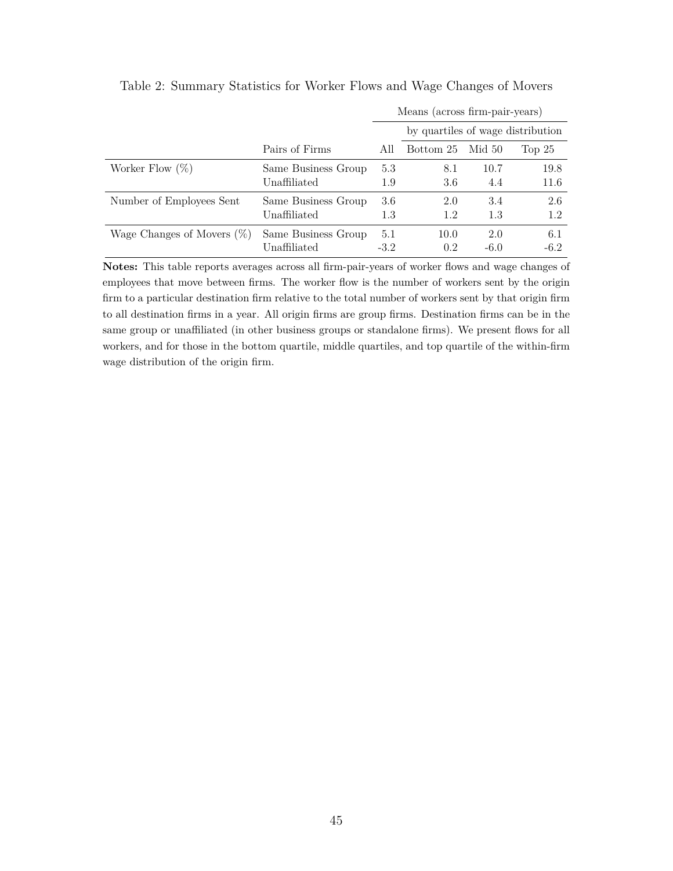|                               |                     | Means (across firm-pair-years)    |           |        |          |  |
|-------------------------------|---------------------|-----------------------------------|-----------|--------|----------|--|
|                               |                     | by quartiles of wage distribution |           |        |          |  |
|                               | Pairs of Firms      | All                               | Bottom 25 | Mid 50 | Top $25$ |  |
| Worker Flow $(\%)$            | Same Business Group | 5.3                               | 8.1       | 10.7   | 19.8     |  |
|                               | Unaffiliated        | 1.9                               | 3.6       | 4.4    | 11.6     |  |
| Number of Employees Sent      | Same Business Group | 3.6                               | 2.0       | 3.4    | 2.6      |  |
|                               | Unaffiliated        | 1.3                               | 1.2       | 1.3    | 1.2      |  |
| Wage Changes of Movers $(\%)$ | Same Business Group | 5.1                               | 10.0      | 2.0    | 6.1      |  |
|                               | Unaffiliated        | $-3.2$                            | 0.2       | $-6.0$ | $-6.2$   |  |

<span id="page-44-0"></span>Table 2: Summary Statistics for Worker Flows and Wage Changes of Movers

**Notes:** This table reports averages across all firm-pair-years of worker flows and wage changes of employees that move between firms. The worker flow is the number of workers sent by the origin firm to a particular destination firm relative to the total number of workers sent by that origin firm to all destination firms in a year. All origin firms are group firms. Destination firms can be in the same group or unaffiliated (in other business groups or standalone firms). We present flows for all workers, and for those in the bottom quartile, middle quartiles, and top quartile of the within-firm wage distribution of the origin firm.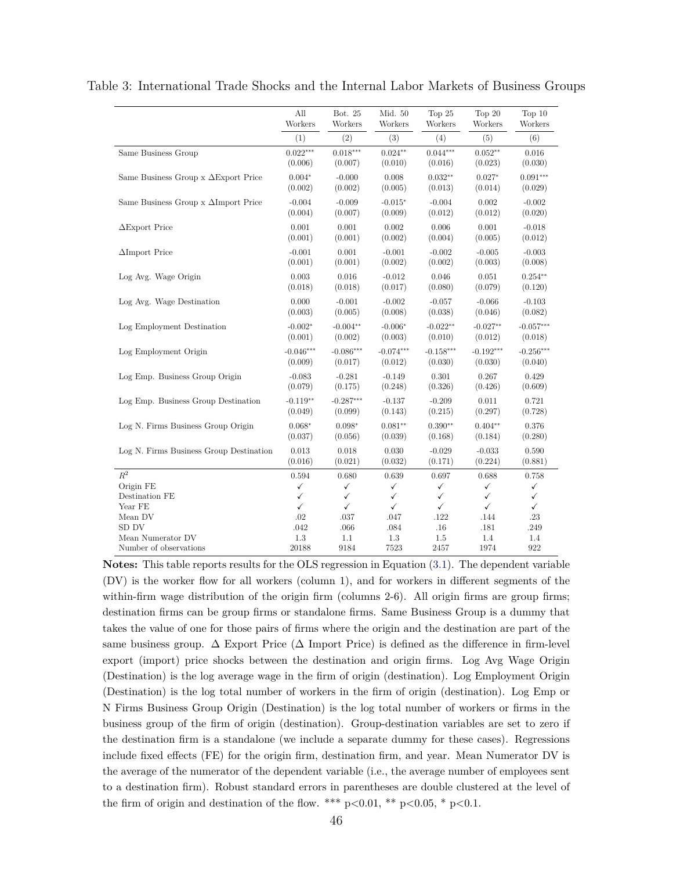|                                              | All          | Bot. 25      | Mid. 50      | Top 25       | Top 20       | Top $10$     |
|----------------------------------------------|--------------|--------------|--------------|--------------|--------------|--------------|
|                                              | Workers      | Workers      | Workers      | Workers      | Workers      | Workers      |
|                                              | (1)          | (2)          | (3)          | (4)          | (5)          | (6)          |
| Same Business Group                          | $0.022***$   | $0.018***$   | $0.024**$    | $0.044***$   | $0.052**$    | 0.016        |
|                                              | (0.006)      | (0.007)      | (0.010)      | (0.016)      | (0.023)      | (0.030)      |
| Same Business Group $x \Delta$ Export Price  | $0.004*$     | $-0.000$     | 0.008        | $0.032**$    | $0.027*$     | $0.091***$   |
|                                              | (0.002)      | (0.002)      | (0.005)      | (0.013)      | (0.014)      | (0.029)      |
| Same Business Group $x \Delta I$ mport Price | $-0.004$     | $-0.009$     | $-0.015*$    | $-0.004$     | 0.002        | $-0.002$     |
|                                              | (0.004)      | (0.007)      | (0.009)      | (0.012)      | (0.012)      | (0.020)      |
| $\Delta$ Export Price                        | 0.001        | 0.001        | 0.002        | 0.006        | 0.001        | $-0.018$     |
|                                              | (0.001)      | (0.001)      | (0.002)      | (0.004)      | (0.005)      | (0.012)      |
| $\Delta$ Import Price                        | $-0.001$     | 0.001        | $-0.001$     | $-0.002$     | $-0.005$     | $-0.003$     |
|                                              | (0.001)      | (0.001)      | (0.002)      | (0.002)      | (0.003)      | (0.008)      |
| Log Avg. Wage Origin                         | 0.003        | 0.016        | $-0.012$     | 0.046        | 0.051        | $0.254**$    |
|                                              | (0.018)      | (0.018)      | (0.017)      | (0.080)      | (0.079)      | (0.120)      |
| Log Avg. Wage Destination                    | 0.000        | $-0.001$     | $-0.002$     | $-0.057$     | $-0.066$     | $-0.103$     |
|                                              | (0.003)      | (0.005)      | (0.008)      | (0.038)      | (0.046)      | (0.082)      |
| Log Employment Destination                   | $-0.002*$    | $-0.004**$   | $-0.006*$    | $-0.022**$   | $-0.027**$   | $-0.057***$  |
|                                              | (0.001)      | (0.002)      | (0.003)      | (0.010)      | (0.012)      | (0.018)      |
| Log Employment Origin                        | $-0.046***$  | $-0.086***$  | $-0.074***$  | $-0.158***$  | $-0.192***$  | $-0.256***$  |
|                                              | (0.009)      | (0.017)      | (0.012)      | (0.030)      | (0.030)      | (0.040)      |
| Log Emp. Business Group Origin               | $-0.083$     | $-0.281$     | $-0.149$     | 0.301        | 0.267        | 0.429        |
|                                              | (0.079)      | (0.175)      | (0.248)      | (0.326)      | (0.426)      | (0.609)      |
| Log Emp. Business Group Destination          | $-0.119**$   | $-0.287***$  | $-0.137$     | $-0.209$     | 0.011        | 0.721        |
|                                              | (0.049)      | (0.099)      | (0.143)      | (0.215)      | (0.297)      | (0.728)      |
| Log N. Firms Business Group Origin           | $0.068*$     | $0.098*$     | $0.081**$    | $0.390**$    | $0.404**$    | 0.376        |
|                                              | (0.037)      | (0.056)      | (0.039)      | (0.168)      | (0.184)      | (0.280)      |
| Log N. Firms Business Group Destination      | 0.013        | 0.018        | 0.030        | $-0.029$     | $-0.033$     | 0.590        |
|                                              | (0.016)      | (0.021)      | (0.032)      | (0.171)      | (0.224)      | (0.881)      |
| $\mathbb{R}^2$                               | 0.594        | 0.680        | 0.639        | 0.697        | 0.688        | 0.758        |
| Origin FE                                    | $\checkmark$ | $\checkmark$ | $\checkmark$ | $\checkmark$ | $\checkmark$ | $\checkmark$ |
| Destination FE                               | $\checkmark$ | $\checkmark$ | $\checkmark$ | $\checkmark$ | $\checkmark$ | $\checkmark$ |
| Year FE                                      | $\checkmark$ | $\checkmark$ | $\checkmark$ | $\checkmark$ | $\checkmark$ | ✓            |
| Mean DV                                      | .02          | .037         | .047         | .122         | .144         | .23          |
| SD DV                                        | .042         | .066         | .084         | .16          | .181         | .249         |
| Mean Numerator DV                            | $1.3\,$      | 1.1          | $1.3\,$      | $1.5\,$      | 1.4          | 1.4          |
| Number of observations                       | 20188        | 9184         | 7523         | 2457         | 1974         | 922          |

<span id="page-45-0"></span>Table 3: International Trade Shocks and the Internal Labor Markets of Business Groups

**Notes:** This table reports results for the OLS regression in Equation [\(3.1\)](#page-14-1). The dependent variable (DV) is the worker flow for all workers (column 1), and for workers in different segments of the within-firm wage distribution of the origin firm (columns 2-6). All origin firms are group firms; destination firms can be group firms or standalone firms. Same Business Group is a dummy that takes the value of one for those pairs of firms where the origin and the destination are part of the same business group.  $\Delta$  Export Price ( $\Delta$  Import Price) is defined as the difference in firm-level export (import) price shocks between the destination and origin firms. Log Avg Wage Origin (Destination) is the log average wage in the firm of origin (destination). Log Employment Origin (Destination) is the log total number of workers in the firm of origin (destination). Log Emp or N Firms Business Group Origin (Destination) is the log total number of workers or firms in the business group of the firm of origin (destination). Group-destination variables are set to zero if the destination firm is a standalone (we include a separate dummy for these cases). Regressions include fixed effects (FE) for the origin firm, destination firm, and year. Mean Numerator DV is the average of the numerator of the dependent variable (i.e., the average number of employees sent to a destination firm). Robust standard errors in parentheses are double clustered at the level of the firm of origin and destination of the flow. \*\*\*  $p<0.01$ , \*\*  $p<0.05$ , \*  $p<0.1$ .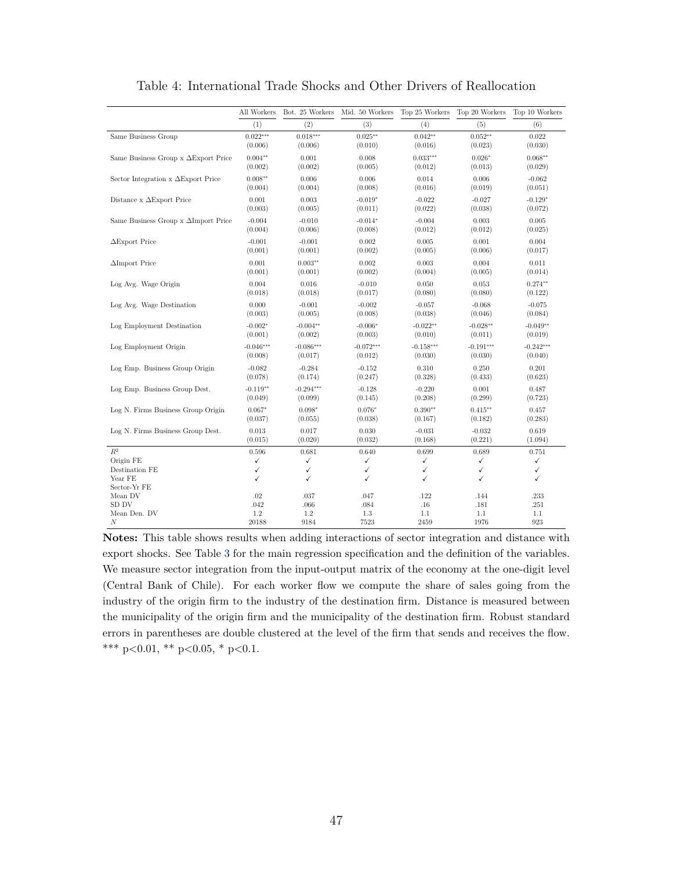<span id="page-46-0"></span>

|                                              | All Workers | Bot. 25 Workers | Mid. 50 Workers | Top 25 Workers | Top 20 Workers | Top 10 Workers |
|----------------------------------------------|-------------|-----------------|-----------------|----------------|----------------|----------------|
|                                              | (1)         | (2)             | (3)             | (4)            | (5)            | (6)            |
| Same Business Group                          | $0.022***$  | $0.018***$      | $0.025**$       | $0.042**$      | $0.052**$      | 0.022          |
|                                              | (0.006)     | (0.006)         | (0.010)         | (0.016)        | (0.023)        | (0.030)        |
| Same Business Group $x \Delta$ Export Price  | $0.004**$   | 0.001           | 0.008           | $0.033***$     | $0.026*$       | $0.068**$      |
|                                              | (0.002)     | (0.002)         | (0.005)         | (0.012)        | (0.013)        | (0.029)        |
| Sector Integration $x \Delta Export$ Price   | $0.008**$   | 0.006           | 0.006           | 0.014          | 0.006          | $-0.062$       |
|                                              | (0.004)     | (0.004)         | (0.008)         | (0.016)        | (0.019)        | (0.051)        |
| Distance $x \Delta Export$ Price             | 0.001       | 0.003           | $-0.019*$       | $-0.022$       | $-0.027$       | $-0.129*$      |
|                                              | (0.003)     | (0.005)         | (0.011)         | (0.022)        | (0.038)        | (0.072)        |
| Same Business Group $x \Delta I$ mport Price | $-0.004$    | $-0.010$        | $-0.014*$       | $-0.004$       | 0.003          | 0.005          |
|                                              | (0.004)     | (0.006)         | (0.008)         | (0.012)        | (0.012)        | (0.025)        |
| $\Delta$ Export Price                        | $-0.001$    | $-0.001$        | 0.002           | 0.005          | 0.001          | 0.004          |
|                                              | (0.001)     | (0.001)         | (0.002)         | (0.005)        | (0.006)        | (0.017)        |
| $\Delta$ Import Price                        | 0.001       | $0.003**$       | 0.002           | 0.003          | 0.004          | 0.011          |
|                                              | (0.001)     | (0.001)         | (0.002)         | (0.004)        | (0.005)        | (0.014)        |
| Log Avg. Wage Origin                         | 0.004       | 0.016           | $-0.010$        | 0.050          | 0.053          | $0.274**$      |
|                                              | (0.018)     | (0.018)         | (0.017)         | (0.080)        | (0.080)        | (0.122)        |
| Log Avg. Wage Destination                    | 0.000       | $-0.001$        | $-0.002$        | $-0.057$       | $-0.068$       | $-0.075$       |
|                                              | (0.003)     | (0.005)         | (0.008)         | (0.038)        | (0.046)        | (0.084)        |
| Log Employment Destination                   | $-0.002*$   | $-0.004**$      | $-0.006*$       | $-0.022**$     | $-0.028**$     | $-0.049**$     |
|                                              | (0.001)     | (0.002)         | (0.003)         | (0.010)        | (0.011)        | (0.019)        |
| Log Employment Origin                        | $-0.046***$ | $-0.086***$     | $-0.072***$     | $-0.158***$    | $-0.191***$    | $-0.242***$    |
|                                              | (0.008)     | (0.017)         | (0.012)         | (0.030)        | (0.030)        | (0.040)        |
| Log Emp. Business Group Origin               | $-0.082$    | $-0.284$        | $-0.152$        | 0.310          | 0.250          | 0.201          |
|                                              | (0.078)     | (0.174)         | (0.247)         | (0.328)        | (0.433)        | (0.623)        |
| Log Emp. Business Group Dest.                | $-0.119**$  | $-0.294***$     | $-0.128$        | $-0.220$       | 0.001          | 0.487          |
|                                              | (0.049)     | (0.099)         | (0.145)         | (0.208)        | (0.299)        | (0.723)        |
| Log N. Firms Business Group Origin           | $0.067*$    | $0.098*$        | $0.076*$        | $0.390**$      | $0.415**$      | 0.457          |
|                                              | (0.037)     | (0.055)         | (0.038)         | (0.167)        | (0.182)        | (0.283)        |
| Log N. Firms Business Group Dest.            | 0.013       | 0.017           | 0.030           | $-0.031$       | $-0.032$       | 0.619          |
|                                              | (0.015)     | (0.020)         | (0.032)         | (0.168)        | (0.221)        | (1.094)        |
| $\mathbb{R}^2$                               | 0.596       | 0.681           | 0.640           | 0.699          | 0.689          | 0.751          |
| Origin FE                                    | ✓           | ✓               | ✓               | ✓              | $\checkmark$   | ✓              |
| Destination FE                               | ✓           | ✓               | ✓               | ✓              | ✓              | ✓              |
| Year FE<br>Sector-Yr FE                      | ✓           | ✓               | ✓               | ✓              | $\checkmark$   | ✓              |
| Mean DV                                      | .02         | .037            | .047            | .122           | .144           | .233           |
| SD DV                                        | .042        | .066            | .084            | .16            | .181           | .251           |
| Mean Den. DV                                 | $1.2\,$     | 1.2             | 1.3             | 1.1            | 1.1            | 1.1            |
| N                                            | 20188       | 9184            | 7523            | 2459           | 1976           | 923            |

#### Table 4: International Trade Shocks and Other Drivers of Reallocation

**Notes:** This table shows results when adding interactions of sector integration and distance with export shocks. See Table [3](#page-45-0) for the main regression specification and the definition of the variables. We measure sector integration from the input-output matrix of the economy at the one-digit level (Central Bank of Chile). For each worker flow we compute the share of sales going from the industry of the origin firm to the industry of the destination firm. Distance is measured between the municipality of the origin firm and the municipality of the destination firm. Robust standard errors in parentheses are double clustered at the level of the firm that sends and receives the flow. \*\*\* p*<*0.01, \*\* p*<*0.05, \* p*<*0.1.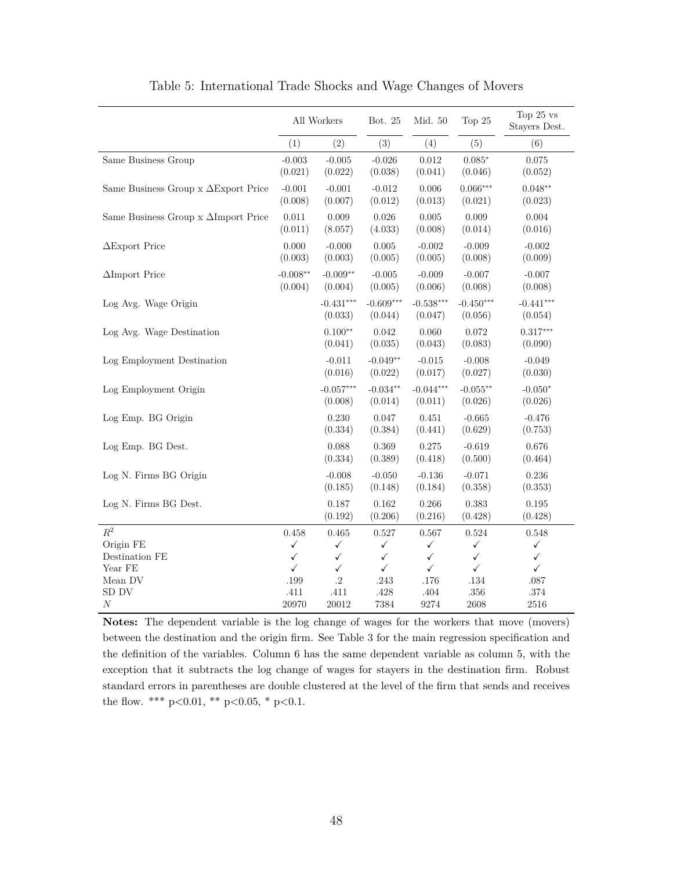<span id="page-47-0"></span>

|                                              | All Workers           |                        | Bot. 25                | Mid. 50                | Top 25                 | Top 25 vs<br>Stayers Dest. |
|----------------------------------------------|-----------------------|------------------------|------------------------|------------------------|------------------------|----------------------------|
|                                              | (1)                   | (2)                    | (3)                    | (4)                    | (5)                    | (6)                        |
| Same Business Group                          | $-0.003$<br>(0.021)   | $-0.005$<br>(0.022)    | $-0.026$<br>(0.038)    | 0.012<br>(0.041)       | $0.085*$<br>(0.046)    | 0.075<br>(0.052)           |
| Same Business Group $x \Delta$ Export Price  | $-0.001$<br>(0.008)   | $-0.001$<br>(0.007)    | $-0.012$<br>(0.012)    | 0.006<br>(0.013)       | $0.066***$<br>(0.021)  | $0.048**$<br>(0.023)       |
| Same Business Group $x \Delta I$ mport Price | 0.011<br>(0.011)      | 0.009<br>(8.057)       | 0.026<br>(4.033)       | 0.005<br>(0.008)       | 0.009<br>(0.014)       | 0.004<br>(0.016)           |
| $\Delta$ Export Price                        | 0.000<br>(0.003)      | $-0.000$<br>(0.003)    | 0.005<br>(0.005)       | $-0.002$<br>(0.005)    | $-0.009$<br>(0.008)    | $-0.002$<br>(0.009)        |
| $\Delta$ Import Price                        | $-0.008**$<br>(0.004) | $-0.009**$<br>(0.004)  | $-0.005$<br>(0.005)    | $-0.009$<br>(0.006)    | $-0.007$<br>(0.008)    | $-0.007$<br>(0.008)        |
| Log Avg. Wage Origin                         |                       | $-0.431***$<br>(0.033) | $-0.609***$<br>(0.044) | $-0.538***$<br>(0.047) | $-0.450***$<br>(0.056) | $-0.441***$<br>(0.054)     |
| Log Avg. Wage Destination                    |                       | $0.100**$<br>(0.041)   | 0.042<br>(0.035)       | 0.060<br>(0.043)       | 0.072<br>(0.083)       | $0.317***$<br>(0.090)      |
| Log Employment Destination                   |                       | $-0.011$<br>(0.016)    | $-0.049**$<br>(0.022)  | $-0.015$<br>(0.017)    | $-0.008$<br>(0.027)    | $-0.049$<br>(0.030)        |
| Log Employment Origin                        |                       | $-0.057***$<br>(0.008) | $-0.034**$<br>(0.014)  | $-0.044***$<br>(0.011) | $-0.055**$<br>(0.026)  | $-0.050*$<br>(0.026)       |
| Log Emp. BG Origin                           |                       | 0.230<br>(0.334)       | 0.047<br>(0.384)       | 0.451<br>(0.441)       | $-0.665$<br>(0.629)    | $-0.476$<br>(0.753)        |
| Log Emp. BG Dest.                            |                       | 0.088<br>(0.334)       | 0.369<br>(0.389)       | 0.275<br>(0.418)       | $-0.619$<br>(0.500)    | 0.676<br>(0.464)           |
| Log N. Firms BG Origin                       |                       | $-0.008$<br>(0.185)    | $-0.050$<br>(0.148)    | $-0.136$<br>(0.184)    | $-0.071$<br>(0.358)    | 0.236<br>(0.353)           |
| Log N. Firms BG Dest.                        |                       | 0.187<br>(0.192)       | 0.162<br>(0.206)       | 0.266<br>(0.216)       | 0.383<br>(0.428)       | 0.195<br>(0.428)           |
| $\mathbb{R}^2$                               | 0.458                 | 0.465                  | 0.527                  | $0.567\,$              | 0.524                  | $0.548\,$                  |
| Origin FE                                    | $\checkmark$          | $\checkmark$           | $\checkmark$           | ✓                      | ✓                      | $\checkmark$               |
| Destination FE                               | $\checkmark$          | $\checkmark$           | $\checkmark$           | $\checkmark$           | $\checkmark$           | $\checkmark$               |
| Year FE                                      | $\checkmark$          | $\checkmark$           | $\checkmark$           | $\checkmark$           | $\checkmark$           | $\checkmark$               |
| Mean $\operatorname{DV}$                     | .199                  | $\cdot$ 2              | .243                   | $.176\,$               | .134                   | .087                       |
| SD DV<br>N                                   | $.411$<br>20970       | .411<br>20012          | .428<br>7384           | .404<br>9274           | $.356\,$<br>2608       | $.374\,$<br>2516           |

Table 5: International Trade Shocks and Wage Changes of Movers

**Notes:** The dependent variable is the log change of wages for the workers that move (movers) between the destination and the origin firm. See Table [3](#page-45-0) for the main regression specification and the definition of the variables. Column 6 has the same dependent variable as column 5, with the exception that it subtracts the log change of wages for stayers in the destination firm. Robust standard errors in parentheses are double clustered at the level of the firm that sends and receives the flow. \*\*\* p*<*0.01, \*\* p*<*0.05, \* p*<*0.1.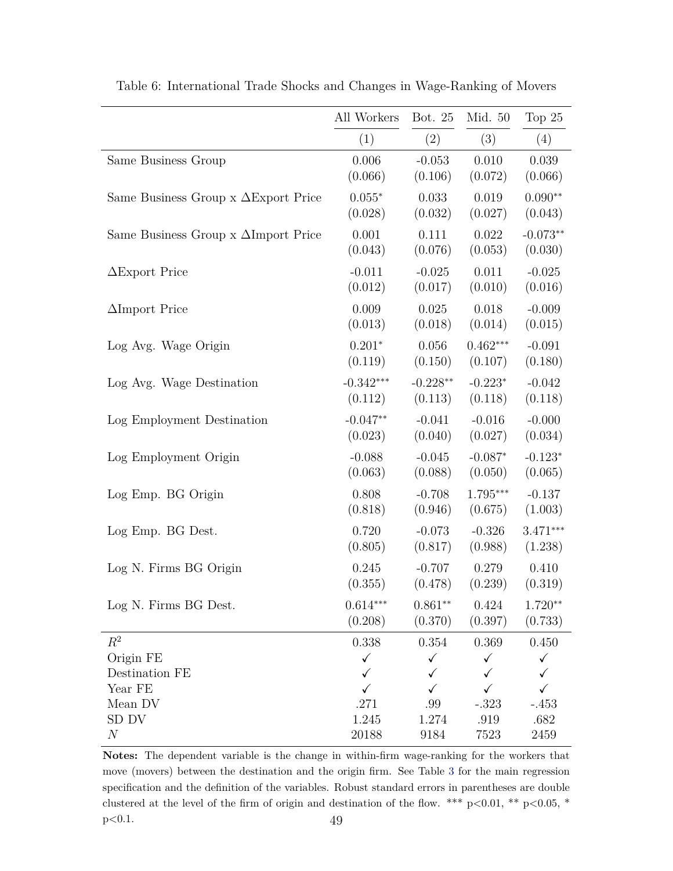<span id="page-48-0"></span>

|                                             | All Workers  | Bot. 25      | Mid. 50      | Top $25$     |
|---------------------------------------------|--------------|--------------|--------------|--------------|
|                                             | (1)          | (2)          | (3)          | (4)          |
| Same Business Group                         | 0.006        | $-0.053$     | 0.010        | 0.039        |
|                                             | (0.066)      | (0.106)      | (0.072)      | (0.066)      |
| Same Business Group $x \Delta$ Export Price | $0.055*$     | 0.033        | 0.019        | $0.090**$    |
|                                             | (0.028)      | (0.032)      | (0.027)      | (0.043)      |
| Same Business Group $x \Delta$ Import Price | 0.001        | 0.111        | 0.022        | $-0.073**$   |
|                                             | (0.043)      | (0.076)      | (0.053)      | (0.030)      |
| $\Delta$ Export Price                       | $-0.011$     | $-0.025$     | 0.011        | $-0.025$     |
|                                             | (0.012)      | (0.017)      | (0.010)      | (0.016)      |
| $\Delta$ Import Price                       | 0.009        | 0.025        | 0.018        | $-0.009$     |
|                                             | (0.013)      | (0.018)      | (0.014)      | (0.015)      |
| Log Avg. Wage Origin                        | $0.201*$     | 0.056        | $0.462***$   | $-0.091$     |
|                                             | (0.119)      | (0.150)      | (0.107)      | (0.180)      |
| Log Avg. Wage Destination                   | $-0.342***$  | $-0.228**$   | $-0.223*$    | $-0.042$     |
|                                             | (0.112)      | (0.113)      | (0.118)      | (0.118)      |
| Log Employment Destination                  | $-0.047**$   | $-0.041$     | $-0.016$     | $-0.000$     |
|                                             | (0.023)      | (0.040)      | (0.027)      | (0.034)      |
| Log Employment Origin                       | $-0.088$     | $-0.045$     | $-0.087*$    | $-0.123*$    |
|                                             | (0.063)      | (0.088)      | (0.050)      | (0.065)      |
| Log Emp. BG Origin                          | 0.808        | $-0.708$     | 1.795***     | $-0.137$     |
|                                             | (0.818)      | (0.946)      | (0.675)      | (1.003)      |
| Log Emp. BG Dest.                           | 0.720        | $-0.073$     | $-0.326$     | $3.471***$   |
|                                             | (0.805)      | (0.817)      | (0.988)      | (1.238)      |
| Log N. Firms BG Origin                      | 0.245        | $-0.707$     | 0.279        | 0.410        |
|                                             | (0.355)      | (0.478)      | (0.239)      | (0.319)      |
| Log N. Firms BG Dest.                       | $0.614***$   | $0.861**$    | 0.424        | $1.720**$    |
|                                             | (0.208)      | (0.370)      | (0.397)      | (0.733)      |
| $R^2$                                       | 0.338        | 0.354        | 0.369        | 0.450        |
| Origin FE                                   | $\checkmark$ | ✓            | $\checkmark$ | $\checkmark$ |
| Destination FE                              | $\checkmark$ | ✓            | ✓            | $\checkmark$ |
| Year FE                                     | ✓            | $\checkmark$ | $\checkmark$ | ✓            |
| Mean DV                                     | .271         | .99          | $-.323$      | $-.453$      |
| SD DV                                       | 1.245        | 1.274        | .919         | .682         |
| $\,N$                                       | 20188        | 9184         | 7523         | 2459         |

Table 6: International Trade Shocks and Changes in Wage-Ranking of Movers

**Notes:** The dependent variable is the change in within-firm wage-ranking for the workers that move (movers) between the destination and the origin firm. See Table [3](#page-45-0) for the main regression specification and the definition of the variables. Robust standard errors in parentheses are double clustered at the level of the firm of origin and destination of the flow. \*\*\* p*<*0.01, \*\* p*<*0.05, \* p*<*0.1. 49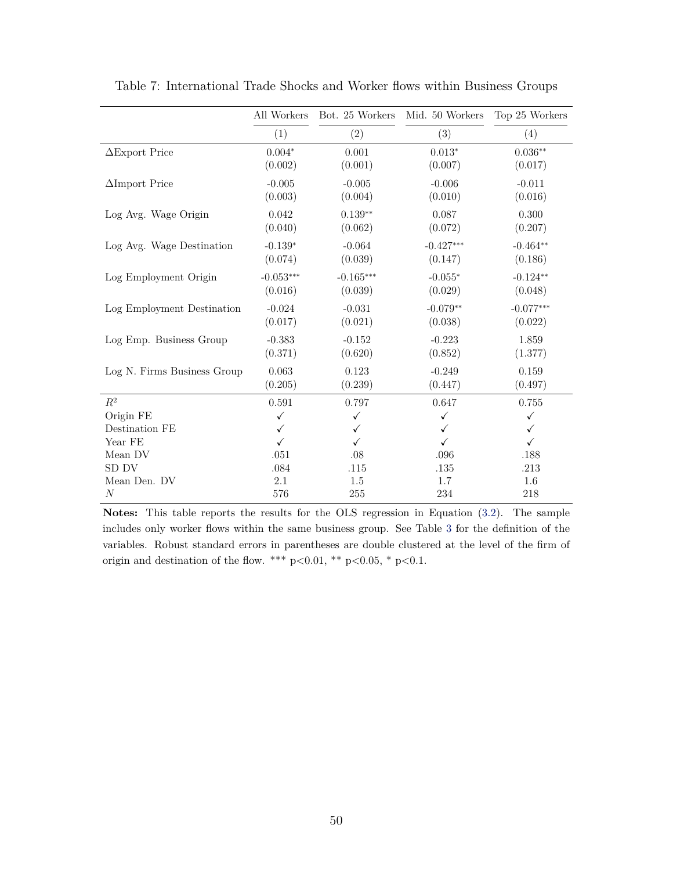|                             | All Workers            | Bot. 25 Workers        | Mid. 50 Workers        | Top 25 Workers         |
|-----------------------------|------------------------|------------------------|------------------------|------------------------|
|                             | (1)                    | (2)                    | (3)                    | (4)                    |
| $\Delta$ Export Price       | $0.004*$<br>(0.002)    | 0.001<br>(0.001)       | $0.013*$<br>(0.007)    | $0.036**$<br>(0.017)   |
| $\Delta$ Import Price       | $-0.005$<br>(0.003)    | $-0.005$<br>(0.004)    | $-0.006$<br>(0.010)    | $-0.011$<br>(0.016)    |
| Log Avg. Wage Origin        | 0.042<br>(0.040)       | $0.139**$<br>(0.062)   | 0.087<br>(0.072)       | 0.300<br>(0.207)       |
| Log Avg. Wage Destination   | $-0.139*$<br>(0.074)   | $-0.064$<br>(0.039)    | $-0.427***$<br>(0.147) | $-0.464**$<br>(0.186)  |
| Log Employment Origin       | $-0.053***$<br>(0.016) | $-0.165***$<br>(0.039) | $-0.055*$<br>(0.029)   | $-0.124**$<br>(0.048)  |
| Log Employment Destination  | $-0.024$<br>(0.017)    | $-0.031$<br>(0.021)    | $-0.079**$<br>(0.038)  | $-0.077***$<br>(0.022) |
| Log Emp. Business Group     | $-0.383$<br>(0.371)    | $-0.152$<br>(0.620)    | $-0.223$<br>(0.852)    | 1.859<br>(1.377)       |
| Log N. Firms Business Group | 0.063<br>(0.205)       | 0.123<br>(0.239)       | $-0.249$<br>(0.447)    | 0.159<br>(0.497)       |
| $R^2$                       | 0.591                  | 0.797                  | 0.647                  | 0.755                  |
| Origin FE                   | $\checkmark$           | $\checkmark$           | $\checkmark$           | $\checkmark$           |
| Destination FE              | $\checkmark$           | ✓                      | ✓                      | ✓                      |
| Year FE                     | ✓                      | ✓                      | $\checkmark$           | $\checkmark$           |
| Mean DV                     | .051                   | .08                    | .096                   | .188                   |
| SD DV                       | .084                   | .115                   | .135                   | .213                   |
| Mean Den. DV                | 2.1                    | 1.5                    | 1.7                    | 1.6                    |
| $\mathcal N$                | 576                    | 255                    | 234                    | 218                    |

<span id="page-49-0"></span>Table 7: International Trade Shocks and Worker flows within Business Groups

**Notes:** This table reports the results for the OLS regression in Equation [\(3.2\)](#page-21-1). The sample includes only worker flows within the same business group. See Table [3](#page-45-0) for the definition of the variables. Robust standard errors in parentheses are double clustered at the level of the firm of origin and destination of the flow. \*\*\* p<0.01, \*\* p<0.05, \* p<0.1.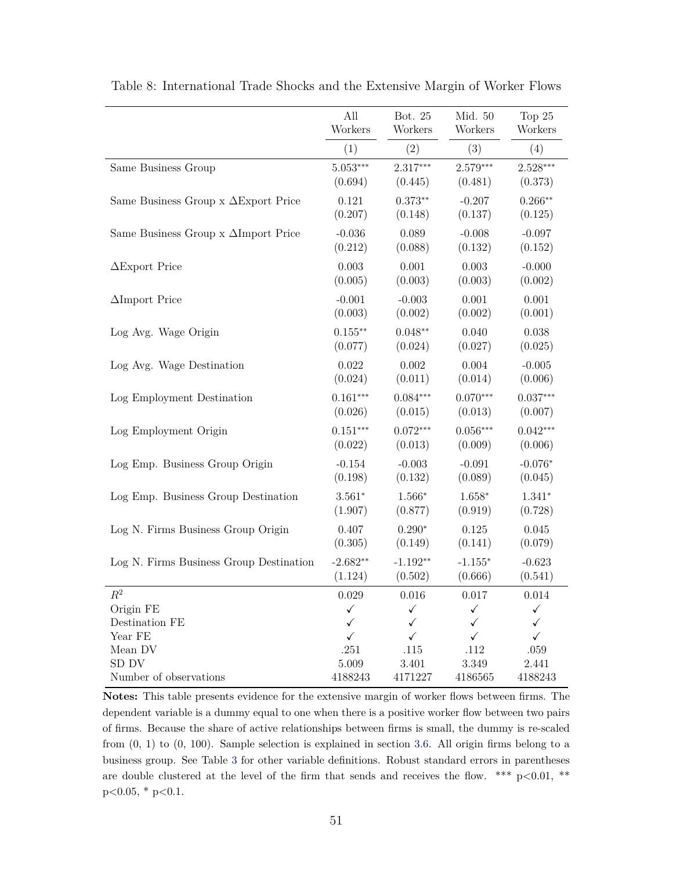|                                              | All          | Bot. 25    | Mid. 50         | Top 25       |
|----------------------------------------------|--------------|------------|-----------------|--------------|
|                                              | Workers      | Workers    | Workers         | Workers      |
|                                              | (1)          | (2)        | (3)             | (4)          |
| Same Business Group                          | $5.053***$   | 2.317***   | 2.579***        | $2.528***$   |
|                                              | (0.694)      | (0.445)    | (0.481)         | (0.373)      |
| Same Business Group $x \Delta$ Export Price  | 0.121        | $0.373**$  | $-0.207$        | $0.266**$    |
|                                              | (0.207)      | (0.148)    | (0.137)         | (0.125)      |
| Same Business Group $x \Delta I$ mport Price | $-0.036$     | 0.089      | $-0.008$        | $-0.097$     |
|                                              | (0.212)      | (0.088)    | (0.132)         | (0.152)      |
| $\Delta \textsc{Expert}$ Price               | 0.003        | 0.001      | 0.003           | $-0.000$     |
|                                              | (0.005)      | (0.003)    | (0.003)         | (0.002)      |
| $\Delta$ Import Price                        | $-0.001$     | $-0.003$   | 0.001           | 0.001        |
|                                              | (0.003)      | (0.002)    | (0.002)         | (0.001)      |
| Log Avg. Wage Origin                         | $0.155***$   | $0.048**$  | 0.040           | 0.038        |
|                                              | (0.077)      | (0.024)    | (0.027)         | (0.025)      |
| Log Avg. Wage Destination                    | $0.022\,$    | $0.002\,$  | 0.004           | $-0.005$     |
|                                              | (0.024)      | (0.011)    | (0.014)         | (0.006)      |
| Log Employment Destination                   | $0.161***$   | $0.084***$ | $0.070***$      | $0.037***$   |
|                                              | (0.026)      | (0.015)    | (0.013)         | (0.007)      |
| Log Employment Origin                        | $0.151***$   | $0.072***$ | $0.056***$      | $0.042***$   |
|                                              | (0.022)      | (0.013)    | (0.009)         | (0.006)      |
| Log Emp. Business Group Origin               | $-0.154$     | $-0.003$   | $-0.091$        | $-0.076*$    |
|                                              | (0.198)      | (0.132)    | (0.089)         | (0.045)      |
| Log Emp. Business Group Destination          | $3.561*$     | $1.566*$   | $1.658*$        | $1.341*$     |
|                                              | (1.907)      | (0.877)    | (0.919)         | (0.728)      |
| Log N. Firms Business Group Origin           | 0.407        | $0.290*$   | 0.125           | 0.045        |
|                                              | (0.305)      | (0.149)    | (0.141)         | (0.079)      |
| Log N. Firms Business Group Destination      | $-2.682**$   | $-1.192**$ | $-1.155^{\ast}$ | $-0.623$     |
|                                              | (1.124)      | (0.502)    | (0.666)         | (0.541)      |
| $R^2$                                        | $0.029\,$    | 0.016      | 0.017           | 0.014        |
| Origin FE                                    | ✓            | ✓          | ✓               | ✓            |
| Destination FE                               | ✓            | ✓          | ✓               | ✓            |
| Year FE                                      | $\checkmark$ | ✓          | ✓               | $\checkmark$ |
| Mean DV                                      | .251         | .115       | .112            | .059         |
| SD DV                                        | 5.009        | 3.401      | $3.349\,$       | 2.441        |
| Number of observations                       | 4188243      | 4171227    | 4186565         | 4188243      |

<span id="page-50-0"></span>Table 8: International Trade Shocks and the Extensive Margin of Worker Flows

**Notes:** This table presents evidence for the extensive margin of worker flows between firms. The dependent variable is a dummy equal to one when there is a positive worker flow between two pairs of firms. Because the share of active relationships between firms is small, the dummy is re-scaled from (0, 1) to (0, 100). Sample selection is explained in section [3.6.](#page-22-0) All origin firms belong to a business group. See Table [3](#page-45-0) for other variable definitions. Robust standard errors in parentheses are double clustered at the level of the firm that sends and receives the flow. \*\*\* p*<*0.01, \*\* p*<*0.05, \* p*<*0.1.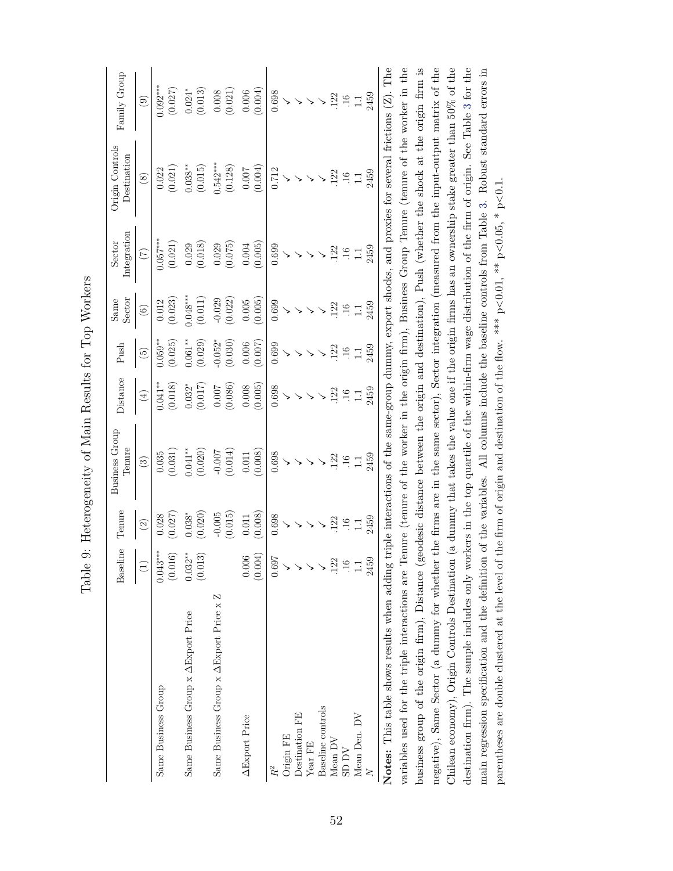Table 9: Heterogeneity of Main Results for Top Workers Table 9: Heterogeneity of Main Results for Top Workers

<span id="page-51-0"></span>

| Family Group<br>Origin Controls<br>Destination | $\begin{pmatrix} 0 \\ 0 \end{pmatrix}$<br>$\circledast$ | $0.092***$<br>(0.021)<br>0.022 | $\begin{array}{c} (0.027) \\ 0.024^{*} \\ (0.013) \end{array}$<br>$0.038***$<br>$\left( 0.015\right)$ | (0.008)<br>$0.542***$<br>(0.128)        | (0.004)<br>0.006<br>(0.004)<br>$0.007$ | 0.698<br>0.712     |                |         |                   | .122<br>.122 | $-16$<br>$\overline{16}$  | $\Box$<br>$\Box$ | 2459<br>2459 | The<br>$\overline{z}$ .<br>trictions                                                |
|------------------------------------------------|---------------------------------------------------------|--------------------------------|-------------------------------------------------------------------------------------------------------|-----------------------------------------|----------------------------------------|--------------------|----------------|---------|-------------------|--------------|---------------------------|------------------|--------------|-------------------------------------------------------------------------------------|
| $\hbox{Integration}$<br>Sector                 | $\widehat{C}$                                           | $0.057***$<br>(0.021)          | (0.018)<br>0.029                                                                                      | (0.075)<br>0.029                        | (0.005)<br>0.004                       | 0.699              |                |         |                   | .122         | $\overline{.16}$          | $\Box$           | 2459         |                                                                                     |
| Sector<br>Same                                 | $\odot$                                                 | (0.023)<br>0.012               | $0.048***$<br>(0.011)                                                                                 | $-0.029$<br>(0.022)                     | (0.005)<br>0.005                       | 0.699              |                |         |                   | .122         | $\overline{.16}$          | $\Box$           | 2459         |                                                                                     |
| Push                                           | $\widetilde{G}$                                         | $0.059***$<br>(0.025)          | $0.061**$<br>(0.029)                                                                                  | $-0.052*$<br>(0.030)                    | (0.007)<br>0.006                       | 0.699              |                |         |                   | .122         | $-16$                     | $\Box$           | 2459         |                                                                                     |
| <b>Distance</b>                                | $\tag{4}$                                               | (0.018)<br>$0.041**$           | $0.032^{*}$<br>(0.017)                                                                                | (0.086)<br>$0.007$                      | (0.005)<br>0.008                       | 0.698              |                |         |                   | .122         | .16                       | $\Xi$            | 2459         |                                                                                     |
| <b>Business Group</b><br>Tenure                | $\odot$                                                 | (0.031)<br>0.035               | $0.041***$<br>(0.020)                                                                                 | (0.007)                                 | (0.008)<br>$0.011\,$                   | 0.698              |                |         |                   | .122         | $\overline{.16}$          | $\Xi$            | 2459         | triple interactions of the same-group dummy, export shocks, and proxies for several |
| Tenure                                         | $\textcircled{\scriptsize 2}$                           | (0.027)<br>0.028               | (0.020)<br>$0.038*$                                                                                   | (0.015)<br>$-0.005$                     | (0.008)<br>0.011                       | 0.698              |                |         |                   | .122         |                           | $\Box$           | 2459         |                                                                                     |
| Baseline                                       | $\bigoplus$                                             | $0.043***$<br>(0.016)          | $0.032**$<br>(0.013)                                                                                  |                                         | (0.004)<br>0.006                       | <b>1690</b>        |                |         | $\check{ }$       | .122         | $\widetilde{\mathcal{L}}$ | $\Xi$            | 2459         |                                                                                     |
|                                                |                                                         | Same Business Group            | Same Business Group x AExport Price                                                                   | Same Business Group x AExport Price x Z | <b>AExport Price</b>                   | Origin FE<br>$R^2$ | Destination FE | Year FE | Baseline controls | Mean DV      | <b>NG GS</b>              | Mean Den. DV     |              | Notes: This table shows results when adding                                         |

business group of the origin firm), Distance (geodesic distance between the origin and destination), Push (whether the shock at the origin firm is negative), Same Sector (a dummy for whether the firms are in the same sector), Sector integration (measured from the input-output matrix of the Chilean economy), Origin Controls Destination (a dummy that takes the value one if the origin firms has an ownership stake greater than 50% of the variables used for the triple interactions are Tenure (tenure of the worker in the origin firm), Business Group Tenure (tenure of the worker in the business group of the origin firm), Distance (geodesic distance between the origin and destination), Push (whether the shock at the origin firm is destination firm). The sample includes only workers in the top quartile of the within-firm wage distribution of the firm of origin. See Table 3 for the main regression specification and the definition of the variables. All columns include the baseline controls from Table 3. Robust standard errors in variables used for the triple interactions are Tenure (tenure of the worker in the origin firm), Business Group Tenure (tenure of the worker in the negative), Same Sector (a dummy for whether the firms are in the same sector), Sector integration (measured from the input-output matrix of the Chilean economy), Origin Controls Destination (a dummy that takes the value one if the origin firms has an ownership stake greater than 50% of the destination firm). The sample includes only workers in the top quartile of the within-firm wage distribution of the firm of origin. See Table [3](#page-45-0) for the main regression specification and the definition of the variables. All columns include the baseline controls from Table [3.](#page-45-0) Robust standard errors in parentheses are double clustered at the level of the firm of origin and destination of the flow. \*\*\*  $p < 0.01$ , \*\*  $p < 0.05$ , \*  $p < 0.1$ . parentheses are double clustered at the level of the firm of origin and destination of the flow. \*\*\* p*<*0.01, \*\* p*<*0.05, \* p*<*0.1.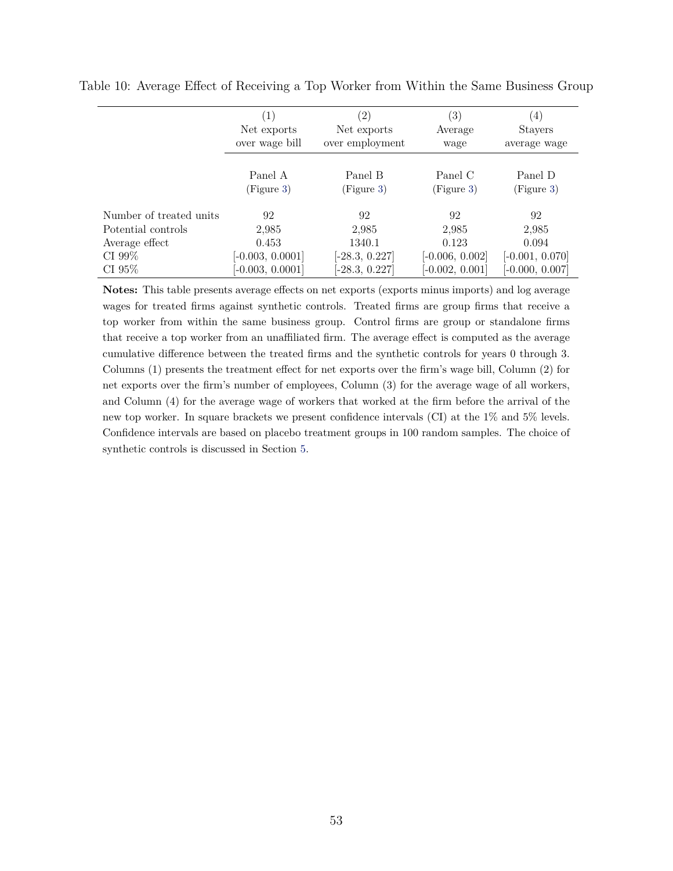|                         | $\left( 1\right)$<br>Net exports<br>over wage bill | $\left( 2\right)$<br>Net exports<br>over employment | (3)<br>Average<br>wage | $\left(4\right)$<br>Stayers<br>average wage |
|-------------------------|----------------------------------------------------|-----------------------------------------------------|------------------------|---------------------------------------------|
|                         | Panel A<br>(Figure 3)                              | Panel B<br>(Figure 3)                               | Panel C<br>(Figure 3)  | Panel D<br>(Figure 3)                       |
| Number of treated units | 92                                                 | 92                                                  | 92                     | 92                                          |
| Potential controls      | 2,985                                              | 2,985                                               | 2,985                  | 2,985                                       |
| Average effect          | 0.453                                              | 1340.1                                              | 0.123                  | 0.094                                       |
| CI $99\%$               | $[-0.003, 0.0001]$                                 | $-28.3, 0.227$                                      | $[-0.006, 0.002]$      | $[-0.001, 0.070]$                           |
| CI $95\%$               | $[-0.003, 0.0001]$                                 | $[-28.3, 0.227]$                                    | $[-0.002, 0.001]$      | $[-0.000, 0.007]$                           |

<span id="page-52-0"></span>Table 10: Average Effect of Receiving a Top Worker from Within the Same Business Group

**Notes:** This table presents average effects on net exports (exports minus imports) and log average wages for treated firms against synthetic controls. Treated firms are group firms that receive a top worker from within the same business group. Control firms are group or standalone firms that receive a top worker from an unaffiliated firm. The average effect is computed as the average cumulative difference between the treated firms and the synthetic controls for years 0 through 3. Columns (1) presents the treatment effect for net exports over the firm's wage bill, Column (2) for net exports over the firm's number of employees, Column (3) for the average wage of all workers, and Column (4) for the average wage of workers that worked at the firm before the arrival of the new top worker. In square brackets we present confidence intervals (CI) at the 1% and 5% levels. Confidence intervals are based on placebo treatment groups in 100 random samples. The choice of synthetic controls is discussed in Section [5.](#page-28-0)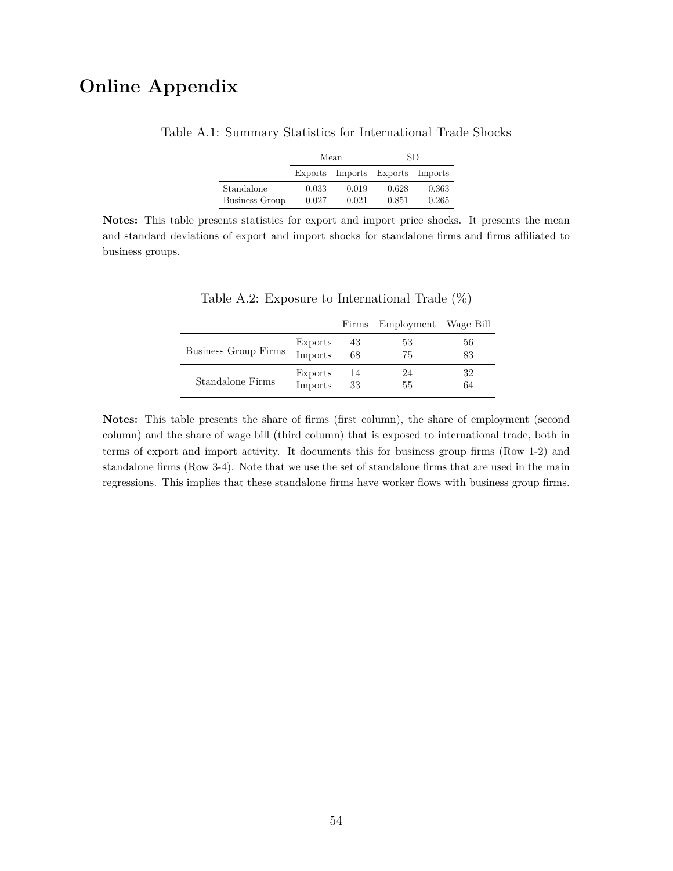# <span id="page-53-0"></span>**Online Appendix**

|                                     |                | Mean                            | SD.            |                |  |  |
|-------------------------------------|----------------|---------------------------------|----------------|----------------|--|--|
|                                     |                | Exports Imports Exports Imports |                |                |  |  |
| Standalone<br><b>Business Group</b> | 0.033<br>0.027 | 0.019<br>0.021                  | 0.628<br>0.851 | 0.363<br>0.265 |  |  |

Table A.1: Summary Statistics for International Trade Shocks

<span id="page-53-1"></span>**Notes:** This table presents statistics for export and import price shocks. It presents the mean and standard deviations of export and import shocks for standalone firms and firms affiliated to business groups.

|                             |         | Firms | Employment Wage Bill |    |
|-----------------------------|---------|-------|----------------------|----|
|                             | Exports | 43    | 53                   | 56 |
| <b>Business Group Firms</b> | Imports | 68    | 75                   | 83 |
|                             | Exports | 14    | 24                   | 32 |
| Standalone Firms            | Imports | 33    | 55                   | 64 |

Table A.2: Exposure to International Trade (%)

**Notes:** This table presents the share of firms (first column), the share of employment (second column) and the share of wage bill (third column) that is exposed to international trade, both in terms of export and import activity. It documents this for business group firms (Row 1-2) and standalone firms (Row 3-4). Note that we use the set of standalone firms that are used in the main regressions. This implies that these standalone firms have worker flows with business group firms.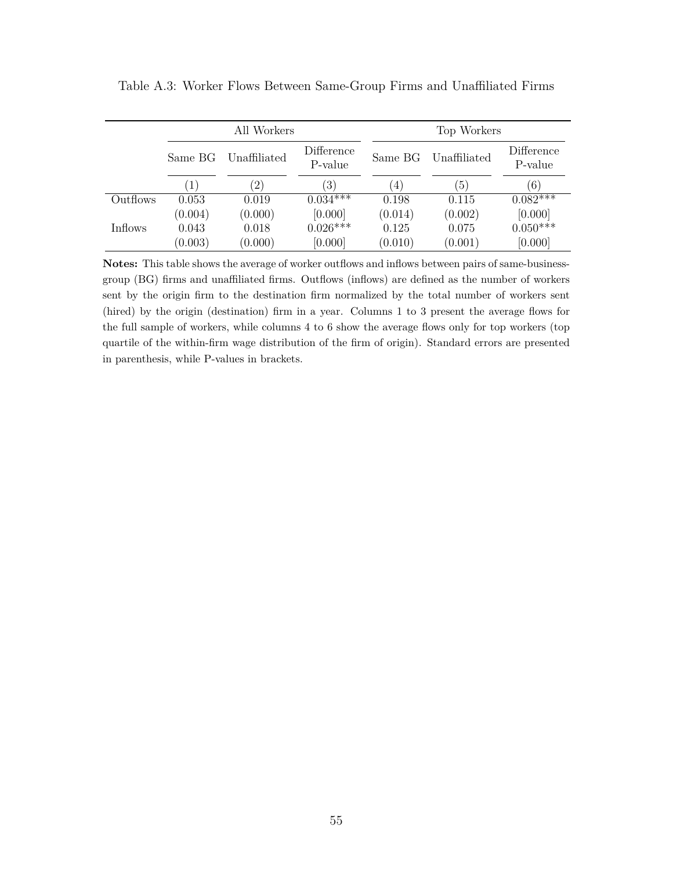|          |                  | All Workers       |                       | Top Workers      |              |                       |  |  |  |
|----------|------------------|-------------------|-----------------------|------------------|--------------|-----------------------|--|--|--|
|          | Same BG          | Unaffiliated      | Difference<br>P-value | Same BG          | Unaffiliated | Difference<br>P-value |  |  |  |
|          | $\left(1\right)$ | $\left( 2\right)$ | (3)                   | $\left(4\right)$ | (5)          | (6)                   |  |  |  |
| Outflows | 0.053            | 0.019             | $0.034***$            | 0.198            | 0.115        | $0.082***$            |  |  |  |
|          | (0.004)          | (0.000)           | [0.000]               | (0.014)          | (0.002)      | [0.000]               |  |  |  |
| Inflows  | 0.043            | 0.018             | $0.026***$            | 0.125            | 0.075        | $0.050***$            |  |  |  |
|          | (0.003)          | (0.000)           | [0.000]               | (0.010)          | (0.001)      | [0.000]               |  |  |  |

<span id="page-54-0"></span>Table A.3: Worker Flows Between Same-Group Firms and Unaffiliated Firms

**Notes:** This table shows the average of worker outflows and inflows between pairs of same-businessgroup (BG) firms and unaffiliated firms. Outflows (inflows) are defined as the number of workers sent by the origin firm to the destination firm normalized by the total number of workers sent (hired) by the origin (destination) firm in a year. Columns 1 to 3 present the average flows for the full sample of workers, while columns 4 to 6 show the average flows only for top workers (top quartile of the within-firm wage distribution of the firm of origin). Standard errors are presented in parenthesis, while P-values in brackets.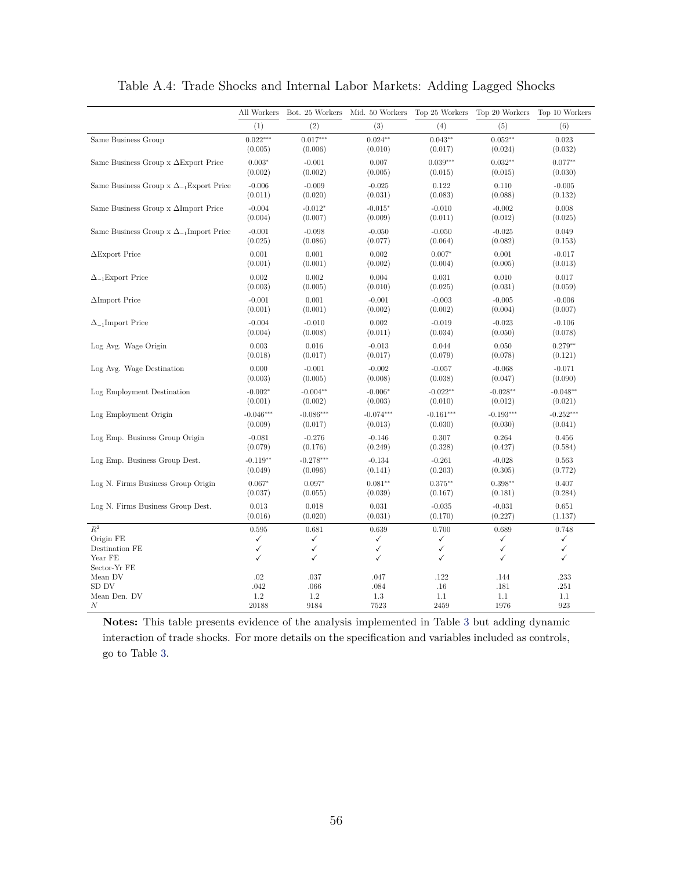<span id="page-55-0"></span>

|                                                   | All Workers  | Bot. 25 Workers | Mid. 50 Workers | Top 25 Workers | Top 20 Workers | Top 10 Workers |
|---------------------------------------------------|--------------|-----------------|-----------------|----------------|----------------|----------------|
|                                                   | (1)          | (2)             | (3)             | (4)            | (5)            | (6)            |
| Same Business Group                               | $0.022***$   | $0.017***$      | $0.024**$       | $0.043**$      | $0.052**$      | 0.023          |
|                                                   | (0.005)      | (0.006)         | (0.010)         | (0.017)        | (0.024)        | (0.032)        |
| Same Business Group $x \Delta\text{Export}$ Price | $0.003*$     | $-0.001$        | 0.007           | $0.039***$     | $0.032**$      | $0.077**$      |
|                                                   | (0.002)      | (0.002)         | (0.005)         | (0.015)        | (0.015)        | (0.030)        |
| Same Business Group $x \Delta_{-1}$ Export Price  | $-0.006$     | $-0.009$        | $-0.025$        | 0.122          | 0.110          | $-0.005$       |
|                                                   | (0.011)      | (0.020)         | (0.031)         | (0.083)        | (0.088)        | (0.132)        |
| Same Business Group $x \Delta I$ mport Price      | $-0.004$     | $-0.012*$       | $-0.015*$       | $-0.010$       | $-0.002$       | 0.008          |
|                                                   | (0.004)      | (0.007)         | (0.009)         | (0.011)        | (0.012)        | (0.025)        |
| Same Business Group $x \Delta_{-1}$ Import Price  | $-0.001$     | $-0.098$        | $-0.050$        | $-0.050$       | $-0.025$       | 0.049          |
|                                                   | (0.025)      | (0.086)         | (0.077)         | (0.064)        | (0.082)        | (0.153)        |
| $\Delta$ Export Price                             | 0.001        | 0.001           | 0.002           | $0.007*$       | 0.001          | $-0.017$       |
|                                                   | (0.001)      | (0.001)         | (0.002)         | (0.004)        | (0.005)        | (0.013)        |
| $\Delta_{-1}$ Export Price                        | 0.002        | 0.002           | 0.004           | 0.031          | 0.010          | 0.017          |
|                                                   | (0.003)      | (0.005)         | (0.010)         | (0.025)        | (0.031)        | (0.059)        |
| $\Delta$ Import Price                             | $-0.001$     | 0.001           | $-0.001$        | $-0.003$       | $-0.005$       | $-0.006$       |
|                                                   | (0.001)      | (0.001)         | (0.002)         | (0.002)        | (0.004)        | (0.007)        |
| $\Delta_{-1}$ Import Price                        | $-0.004$     | $-0.010$        | 0.002           | $-0.019$       | $-0.023$       | $-0.106$       |
|                                                   | (0.004)      | (0.008)         | (0.011)         | (0.034)        | (0.050)        | (0.078)        |
| Log Avg. Wage Origin                              | 0.003        | 0.016           | $-0.013$        | 0.044          | 0.050          | $0.279**$      |
|                                                   | (0.018)      | (0.017)         | (0.017)         | (0.079)        | (0.078)        | (0.121)        |
| Log Avg. Wage Destination                         | 0.000        | $-0.001$        | $-0.002$        | $-0.057$       | $-0.068$       | $-0.071$       |
|                                                   | (0.003)      | (0.005)         | (0.008)         | (0.038)        | (0.047)        | (0.090)        |
| Log Employment Destination                        | $-0.002*$    | $-0.004**$      | $-0.006*$       | $-0.022**$     | $-0.028**$     | $-0.048**$     |
|                                                   | (0.001)      | (0.002)         | (0.003)         | (0.010)        | (0.012)        | (0.021)        |
| Log Employment Origin                             | $-0.046***$  | $-0.086***$     | $-0.074***$     | $-0.161***$    | $-0.193***$    | $-0.252***$    |
|                                                   | (0.009)      | (0.017)         | (0.013)         | (0.030)        | (0.030)        | (0.041)        |
| Log Emp. Business Group Origin                    | $-0.081$     | $-0.276$        | $-0.146$        | 0.307          | 0.264          | 0.456          |
|                                                   | (0.079)      | (0.176)         | (0.249)         | (0.328)        | (0.427)        | (0.584)        |
| Log Emp. Business Group Dest.                     | $-0.119**$   | $-0.278***$     | $-0.134$        | $-0.261$       | $-0.028$       | 0.563          |
|                                                   | (0.049)      | (0.096)         | (0.141)         | (0.203)        | (0.305)        | (0.772)        |
| Log N. Firms Business Group Origin                | $0.067*$     | $0.097*$        | $0.081**$       | $0.375**$      | $0.398**$      | 0.407          |
|                                                   | (0.037)      | (0.055)         | (0.039)         | (0.167)        | (0.181)        | (0.284)        |
| Log N. Firms Business Group Dest.                 | 0.013        | 0.018           | 0.031           | $-0.035$       | $-0.031$       | 0.651          |
|                                                   | (0.016)      | (0.020)         | (0.031)         | (0.170)        | (0.227)        | (1.137)        |
| $R^2$                                             | 0.595        | 0.681           | 0.639           | 0.700          | 0.689          | 0.748          |
| Origin FE                                         | ✓            | $\checkmark$    | ✓               | $\checkmark$   | ✓              | ✓              |
| Destination FE                                    | $\checkmark$ | $\checkmark$    | $\checkmark$    | $\checkmark$   | $\checkmark$   | $\checkmark$   |
| Year FE                                           | ✓            | $\checkmark$    | ✓               | ✓              | ✓              | ✓              |
| Sector-Yr FE                                      |              |                 |                 |                |                |                |
| Mean DV                                           | .02          | .037            | .047            | .122           | .144           | .233           |
| SD DV                                             | .042         | .066            | .084            | .16            | .181           | .251           |
| Mean Den. DV                                      | 1.2          | 1.2             | $1.3\,$         | 1.1            | 1.1            | 1.1            |
| N                                                 | 20188        | 9184            | 7523            | 2459           | 1976           | 923            |

Table A.4: Trade Shocks and Internal Labor Markets: Adding Lagged Shocks

**Notes:** This table presents evidence of the analysis implemented in Table [3](#page-45-0) but adding dynamic interaction of trade shocks. For more details on the specification and variables included as controls, go to Table [3.](#page-45-0)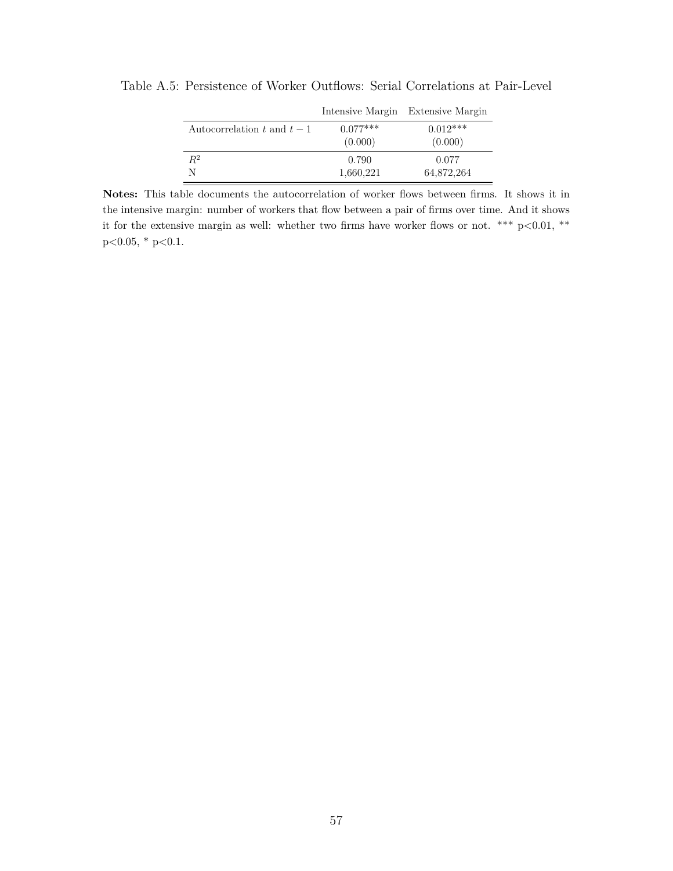|            | Intensive Margin Extensive Margin |
|------------|-----------------------------------|
| $0.077***$ | $0.012***$                        |
| (0.000)    | (0.000)                           |
| 0.790      | 0.077                             |
| 1,660,221  | 64,872,264                        |
|            |                                   |

<span id="page-56-0"></span>Table A.5: Persistence of Worker Outflows: Serial Correlations at Pair-Level

**Notes:** This table documents the autocorrelation of worker flows between firms. It shows it in the intensive margin: number of workers that flow between a pair of firms over time. And it shows it for the extensive margin as well: whether two firms have worker flows or not. \*\*\* p*<*0.01, \*\* p*<*0.05, \* p*<*0.1.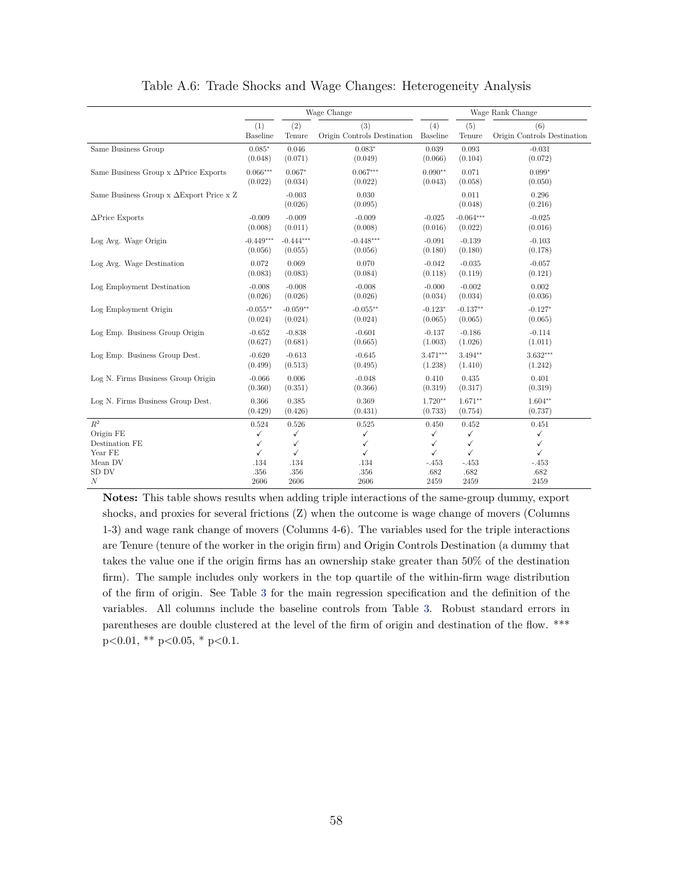<span id="page-57-0"></span>

|                                                   |                 |                     | Wage Change                                 | Wage Rank Change |                  |                                    |  |
|---------------------------------------------------|-----------------|---------------------|---------------------------------------------|------------------|------------------|------------------------------------|--|
|                                                   | (1)<br>Baseline | (2)<br>Tenure       | (3)<br>Origin Controls Destination Baseline | (4)              | (5)<br>Tenure    | (6)<br>Origin Controls Destination |  |
| Same Business Group                               | $0.085*$        | 0.046               | $0.083*$                                    | 0.039            | 0.093            | $-0.031$                           |  |
|                                                   | (0.048)         | (0.071)             | (0.049)                                     | (0.066)          | (0.104)          | (0.072)                            |  |
| Same Business Group $x \Delta$ Price Exports      | $0.066***$      | $0.067*$            | $0.067***$                                  | $0.090**$        | 0.071            | $0.099*$                           |  |
|                                                   | (0.022)         | (0.034)             | (0.022)                                     | (0.043)          | (0.058)          | (0.050)                            |  |
| Same Business Group $x \Delta Export$ Price $x Z$ |                 | $-0.003$<br>(0.026) | 0.030<br>(0.095)                            |                  | 0.011<br>(0.048) | 0.296<br>(0.216)                   |  |
| $\Delta$ Price Exports                            | $-0.009$        | $-0.009$            | $-0.009$                                    | $-0.025$         | $-0.064***$      | $-0.025$                           |  |
|                                                   | (0.008)         | (0.011)             | (0.008)                                     | (0.016)          | (0.022)          | (0.016)                            |  |
| Log Avg. Wage Origin                              | $-0.449***$     | $-0.444***$         | $-0.448***$                                 | $-0.091$         | $-0.139$         | $-0.103$                           |  |
|                                                   | (0.056)         | (0.055)             | (0.056)                                     | (0.180)          | (0.180)          | (0.178)                            |  |
| Log Avg. Wage Destination                         | 0.072           | 0.069               | 0.070                                       | $-0.042$         | $-0.035$         | $-0.057$                           |  |
|                                                   | (0.083)         | (0.083)             | (0.084)                                     | (0.118)          | (0.119)          | (0.121)                            |  |
| Log Employment Destination                        | $-0.008$        | $-0.008$            | $-0.008$                                    | $-0.000$         | $-0.002$         | 0.002                              |  |
|                                                   | (0.026)         | (0.026)             | (0.026)                                     | (0.034)          | (0.034)          | (0.036)                            |  |
| Log Employment Origin                             | $-0.055**$      | $-0.059**$          | $-0.055**$                                  | $-0.123*$        | $-0.137**$       | $-0.127*$                          |  |
|                                                   | (0.024)         | (0.024)             | (0.024)                                     | (0.065)          | (0.065)          | (0.065)                            |  |
| Log Emp. Business Group Origin                    | $-0.652$        | $-0.838$            | $-0.601$                                    | $-0.137$         | $-0.186$         | $-0.114$                           |  |
|                                                   | (0.627)         | (0.681)             | (0.665)                                     | (1.003)          | (1.026)          | (1.011)                            |  |
| Log Emp. Business Group Dest.                     | $-0.620$        | $-0.613$            | $-0.645$                                    | $3.471***$       | $3.494**$        | $3.632***$                         |  |
|                                                   | (0.499)         | (0.513)             | (0.495)                                     | (1.238)          | (1.410)          | (1.242)                            |  |
| Log N. Firms Business Group Origin                | $-0.066$        | 0.006               | $-0.048$                                    | 0.410            | 0.435            | 0.401                              |  |
|                                                   | (0.360)         | (0.351)             | (0.366)                                     | (0.319)          | (0.317)          | (0.319)                            |  |
| Log N. Firms Business Group Dest.                 | 0.366           | 0.385               | 0.369                                       | $1.720**$        | $1.671**$        | $1.604**$                          |  |
|                                                   | (0.429)         | (0.426)             | (0.431)                                     | (0.733)          | (0.754)          | (0.737)                            |  |
| $R^2$                                             | 0.524           | 0.526               | 0.525                                       | 0.450            | 0.452            | 0.451                              |  |
| Origin FE                                         | ✓               | $\checkmark$        | ✓                                           | ✓                | $\checkmark$     | $\checkmark$                       |  |
| Destination FE                                    | $\checkmark$    | $\checkmark$        | ✓                                           | ✓                | ✓                | $\checkmark$                       |  |
| Year FE                                           | $\checkmark$    | $\checkmark$        | $\checkmark$                                | $\checkmark$     | ✓                | ✓                                  |  |
| Mean DV                                           | .134            | .134                | .134                                        | $-.453$          | $-.453$          | $-.453$                            |  |
| SD DV                                             | .356            | .356                | .356                                        | .682             | .682             | .682                               |  |
| $\boldsymbol{N}$                                  | 2606            | 2606                | 2606                                        | 2459             | 2459             | 2459                               |  |

#### Table A.6: Trade Shocks and Wage Changes: Heterogeneity Analysis

**Notes:** This table shows results when adding triple interactions of the same-group dummy, export shocks, and proxies for several frictions (Z) when the outcome is wage change of movers (Columns 1-3) and wage rank change of movers (Columns 4-6). The variables used for the triple interactions are Tenure (tenure of the worker in the origin firm) and Origin Controls Destination (a dummy that takes the value one if the origin firms has an ownership stake greater than 50% of the destination firm). The sample includes only workers in the top quartile of the within-firm wage distribution of the firm of origin. See Table [3](#page-45-0) for the main regression specification and the definition of the variables. All columns include the baseline controls from Table [3.](#page-45-0) Robust standard errors in parentheses are double clustered at the level of the firm of origin and destination of the flow. \*\*\* p*<*0.01, \*\* p*<*0.05, \* p*<*0.1.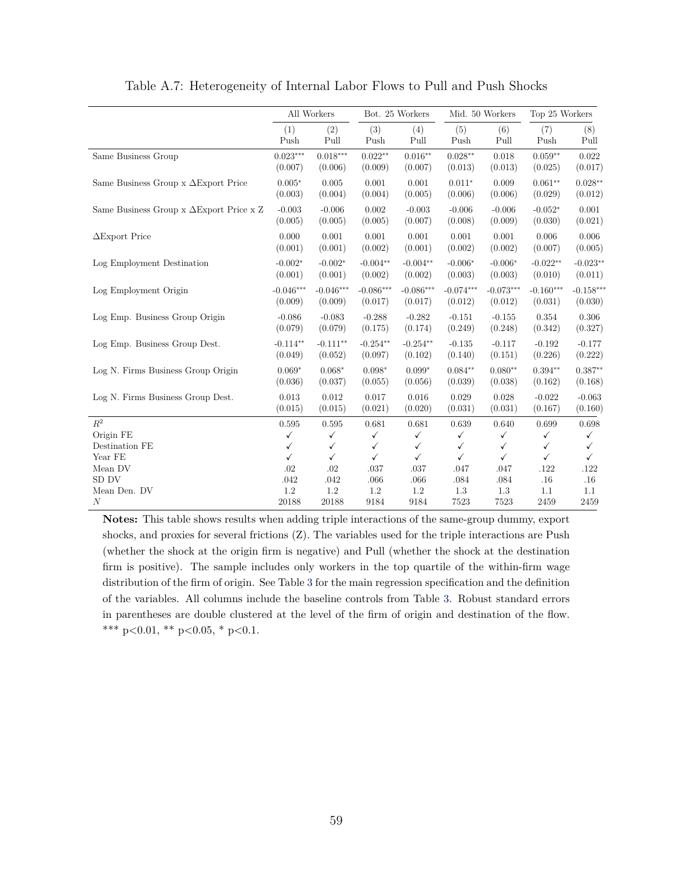<span id="page-58-0"></span>

|                                                 | All Workers     |              |              | Bot. 25 Workers |              | Mid. 50 Workers | Top 25 Workers |              |
|-------------------------------------------------|-----------------|--------------|--------------|-----------------|--------------|-----------------|----------------|--------------|
|                                                 | (1)             | (2)          | (3)          | (4)             | (5)          | (6)             | (7)            | (8)          |
|                                                 | Push            | Pull         | Push         | Pull            | Push         | Pull            | Push           | Pull         |
| Same Business Group                             | $0.023***$      | $0.018***$   | $0.022**$    | $0.016**$       | $0.028**$    | 0.018           | $0.059**$      | 0.022        |
|                                                 | (0.007)         | (0.006)      | (0.009)      | (0.007)         | (0.013)      | (0.013)         | (0.025)        | (0.017)      |
| Same Business Group $x \Delta$ Export Price     | $0.005*$        | 0.005        | 0.001        | 0.001           | $0.011*$     | 0.009           | $0.061**$      | $0.028**$    |
|                                                 | (0.003)         | (0.004)      | (0.004)      | (0.005)         | (0.006)      | (0.006)         | (0.029)        | (0.012)      |
| Same Business Group x $\Delta$ Export Price x Z | $-0.003$        | $-0.006$     | 0.002        | $-0.003$        | $-0.006$     | $-0.006$        | $-0.052*$      | 0.001        |
|                                                 | (0.005)         | (0.005)      | (0.005)      | (0.007)         | (0.008)      | (0.009)         | (0.030)        | (0.021)      |
| $\Delta$ Export Price                           | 0.000           | 0.001        | 0.001        | 0.001           | 0.001        | 0.001           | 0.006          | 0.006        |
|                                                 | (0.001)         | (0.001)      | (0.002)      | (0.001)         | (0.002)      | (0.002)         | (0.007)        | (0.005)      |
| Log Employment Destination                      | $-0.002*$       | $-0.002*$    | $-0.004**$   | $-0.004**$      | $-0.006*$    | $-0.006*$       | $-0.022**$     | $-0.023**$   |
|                                                 | (0.001)         | (0.001)      | (0.002)      | (0.002)         | (0.003)      | (0.003)         | (0.010)        | (0.011)      |
| Log Employment Origin                           | $-0.046***$     | $-0.046***$  | $-0.086***$  | $-0.086***$     | $-0.074***$  | $-0.073***$     | $-0.160***$    | $-0.158***$  |
|                                                 | (0.009)         | (0.009)      | (0.017)      | (0.017)         | (0.012)      | (0.012)         | (0.031)        | (0.030)      |
| Log Emp. Business Group Origin                  | $-0.086$        | $-0.083$     | $-0.288$     | $-0.282$        | $-0.151$     | $-0.155$        | 0.354          | 0.306        |
|                                                 | (0.079)         | (0.079)      | (0.175)      | (0.174)         | (0.249)      | (0.248)         | (0.342)        | (0.327)      |
| Log Emp. Business Group Dest.                   | $-0.114**$      | $-0.111**$   | $-0.254**$   | $-0.254**$      | $-0.135$     | $-0.117$        | $-0.192$       | $-0.177$     |
|                                                 | (0.049)         | (0.052)      | (0.097)      | (0.102)         | (0.140)      | (0.151)         | (0.226)        | (0.222)      |
| Log N. Firms Business Group Origin              | $0.069*$        | $0.068*$     | $0.098*$     | $0.099*$        | $0.084**$    | $0.080**$       | $0.394**$      | $0.387**$    |
|                                                 | (0.036)         | (0.037)      | (0.055)      | (0.056)         | (0.039)      | (0.038)         | (0.162)        | (0.168)      |
| Log N. Firms Business Group Dest.               | 0.013           | 0.012        | 0.017        | 0.016           | 0.029        | 0.028           | $-0.022$       | $-0.063$     |
|                                                 | (0.015)         | (0.015)      | (0.021)      | (0.020)         | (0.031)      | (0.031)         | (0.167)        | (0.160)      |
| $\mathbb{R}^2$                                  | $\!0.595\!$     | 0.595        | 0.681        | 0.681           | 0.639        | 0.640           | 0.699          | 0.698        |
| Origin FE                                       | ✓               | ✓            | ✓            | ✓               | $\checkmark$ | $\checkmark$    | $\checkmark$   | ✓            |
| Destination FE                                  | ✓               | $\checkmark$ | $\checkmark$ | $\checkmark$    | $\checkmark$ | $\checkmark$    | $\checkmark$   | $\checkmark$ |
| Year FE                                         | $\checkmark$    | $\checkmark$ | $\checkmark$ | $\checkmark$    | $\checkmark$ | $\checkmark$    | $\checkmark$   | $\checkmark$ |
| Mean DV<br>SD DV                                | .02             | .02<br>.042  | .037<br>.066 | .037            | .047         | .047            | .122<br>.16    | .122<br>.16  |
| Mean Den. DV                                    | .042<br>$1.2\,$ | 1.2          | 1.2          | .066<br>1.2     | .084<br>1.3  | .084<br>1.3     | 1.1            | 1.1          |
| $\boldsymbol{N}$                                | 20188           | 20188        | 9184         | 9184            | 7523         | 7523            | 2459           | 2459         |

Table A.7: Heterogeneity of Internal Labor Flows to Pull and Push Shocks

**Notes:** This table shows results when adding triple interactions of the same-group dummy, export shocks, and proxies for several frictions (Z). The variables used for the triple interactions are Push (whether the shock at the origin firm is negative) and Pull (whether the shock at the destination firm is positive). The sample includes only workers in the top quartile of the within-firm wage distribution of the firm of origin. See Table [3](#page-45-0) for the main regression specification and the definition of the variables. All columns include the baseline controls from Table [3.](#page-45-0) Robust standard errors in parentheses are double clustered at the level of the firm of origin and destination of the flow. \*\*\* p*<*0.01, \*\* p*<*0.05, \* p*<*0.1.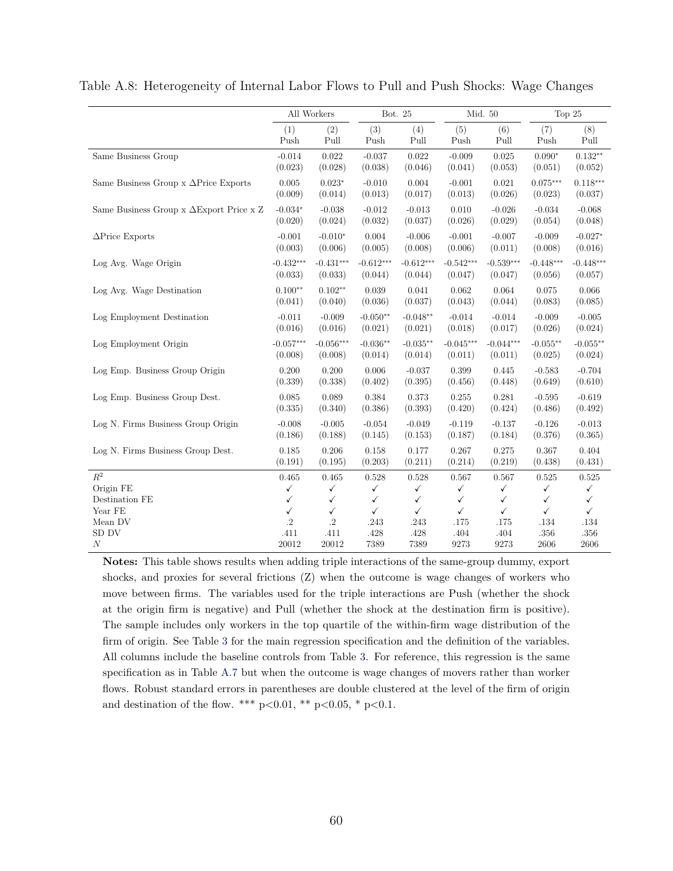|                                                 | All Workers  |              | Bot. 25      |              | Mid. 50      |              | Top 25       |              |
|-------------------------------------------------|--------------|--------------|--------------|--------------|--------------|--------------|--------------|--------------|
|                                                 | (1)          | (2)          | (3)          | (4)          | (5)          | (6)          | (7)          | (8)          |
|                                                 | Push         | Pull         | Push         | Pull         | Push         | Pull         | Push         | Pull         |
| Same Business Group                             | $-0.014$     | 0.022        | $-0.037$     | 0.022        | $-0.009$     | 0.025        | $0.090*$     | $0.132**$    |
|                                                 | (0.023)      | (0.028)      | (0.038)      | (0.046)      | (0.041)      | (0.053)      | (0.051)      | (0.052)      |
| Same Business Group $x \Delta$ Price Exports    | 0.005        | $0.023*$     | $-0.010$     | 0.004        | $-0.001$     | 0.021        | $0.075***$   | $0.118***$   |
|                                                 | (0.009)      | (0.014)      | (0.013)      | (0.017)      | (0.013)      | (0.026)      | (0.023)      | (0.037)      |
| Same Business Group x $\Delta$ Export Price x Z | $-0.034*$    | $-0.038$     | $-0.012$     | $-0.013$     | 0.010        | $-0.026$     | $-0.034$     | $-0.068$     |
|                                                 | (0.020)      | (0.024)      | (0.032)      | (0.037)      | (0.026)      | (0.029)      | (0.054)      | (0.048)      |
| $\Delta$ Price Exports                          | $-0.001$     | $-0.010*$    | 0.004        | $-0.006$     | $-0.001$     | $-0.007$     | $-0.009$     | $-0.027*$    |
|                                                 | (0.003)      | (0.006)      | (0.005)      | (0.008)      | (0.006)      | (0.011)      | (0.008)      | (0.016)      |
| Log Avg. Wage Origin                            | $-0.432***$  | $-0.431***$  | $-0.612***$  | $-0.612***$  | $-0.542***$  | $-0.539***$  | $-0.448***$  | $-0.448***$  |
|                                                 | (0.033)      | (0.033)      | (0.044)      | (0.044)      | (0.047)      | (0.047)      | (0.056)      | (0.057)      |
| Log Avg. Wage Destination                       | $0.100**$    | $0.102**$    | 0.039        | 0.041        | 0.062        | 0.064        | 0.075        | 0.066        |
|                                                 | (0.041)      | (0.040)      | (0.036)      | (0.037)      | (0.043)      | (0.044)      | (0.083)      | (0.085)      |
| Log Employment Destination                      | $-0.011$     | $-0.009$     | $-0.050**$   | $-0.048**$   | $-0.014$     | $-0.014$     | $-0.009$     | $-0.005$     |
|                                                 | (0.016)      | (0.016)      | (0.021)      | (0.021)      | (0.018)      | (0.017)      | (0.026)      | (0.024)      |
| Log Employment Origin                           | $-0.057***$  | $-0.056***$  | $-0.036**$   | $-0.035**$   | $-0.045***$  | $-0.044***$  | $-0.055**$   | $-0.055**$   |
|                                                 | (0.008)      | (0.008)      | (0.014)      | (0.014)      | (0.011)      | (0.011)      | (0.025)      | (0.024)      |
| Log Emp. Business Group Origin                  | 0.200        | 0.200        | 0.006        | $-0.037$     | 0.399        | 0.445        | $-0.583$     | $-0.704$     |
|                                                 | (0.339)      | (0.338)      | (0.402)      | (0.395)      | (0.456)      | (0.448)      | (0.649)      | (0.610)      |
| Log Emp. Business Group Dest.                   | 0.085        | 0.089        | 0.384        | 0.373        | 0.255        | 0.281        | $-0.595$     | $-0.619$     |
|                                                 | (0.335)      | (0.340)      | (0.386)      | (0.393)      | (0.420)      | (0.424)      | (0.486)      | (0.492)      |
| Log N. Firms Business Group Origin              | $-0.008$     | $-0.005$     | $-0.054$     | $-0.049$     | $-0.119$     | $-0.137$     | $-0.126$     | $-0.013$     |
|                                                 | (0.186)      | (0.188)      | (0.145)      | (0.153)      | (0.187)      | (0.184)      | (0.376)      | (0.365)      |
| Log N. Firms Business Group Dest.               | 0.185        | 0.206        | 0.158        | 0.177        | 0.267        | 0.275        | 0.367        | 0.404        |
|                                                 | (0.191)      | (0.195)      | (0.203)      | (0.211)      | (0.214)      | (0.219)      | (0.438)      | (0.431)      |
| $R^2$                                           | $\,0.465\,$  | 0.465        | 0.528        | 0.528        | 0.567        | 0.567        | 0.525        | 0.525        |
| Origin FE                                       | $\checkmark$ | $\checkmark$ | $\checkmark$ | $\checkmark$ | $\checkmark$ | $\checkmark$ | $\checkmark$ | $\checkmark$ |
| Destination FE                                  | ✓            | ✓            | $\checkmark$ | $\checkmark$ | ✓            | $\checkmark$ | $\checkmark$ | $\checkmark$ |
| Year FE                                         | ✓            | $\checkmark$ | $\checkmark$ | $\checkmark$ | $\checkmark$ | $\checkmark$ | $\checkmark$ | $\checkmark$ |
| Mean DV                                         | $.2\,$       | $.2\,$       | .243         | .243         | .175         | .175         | .134         | .134         |
| SD DV                                           | .411         | .411         | .428         | .428         | .404         | .404         | .356         | .356         |
| $\cal N$                                        | 20012        | 20012        | 7389         | 7389         | 9273         | 9273         | 2606         | 2606         |

<span id="page-59-0"></span>Table A.8: Heterogeneity of Internal Labor Flows to Pull and Push Shocks: Wage Changes

**Notes:** This table shows results when adding triple interactions of the same-group dummy, export shocks, and proxies for several frictions (Z) when the outcome is wage changes of workers who move between firms. The variables used for the triple interactions are Push (whether the shock at the origin firm is negative) and Pull (whether the shock at the destination firm is positive). The sample includes only workers in the top quartile of the within-firm wage distribution of the firm of origin. See Table [3](#page-45-0) for the main regression specification and the definition of the variables. All columns include the baseline controls from Table [3.](#page-45-0) For reference, this regression is the same specification as in Table [A.7](#page-58-0) but when the outcome is wage changes of movers rather than worker flows. Robust standard errors in parentheses are double clustered at the level of the firm of origin and destination of the flow. \*\*\* p*<*0.01, \*\* p*<*0.05, \* p*<*0.1.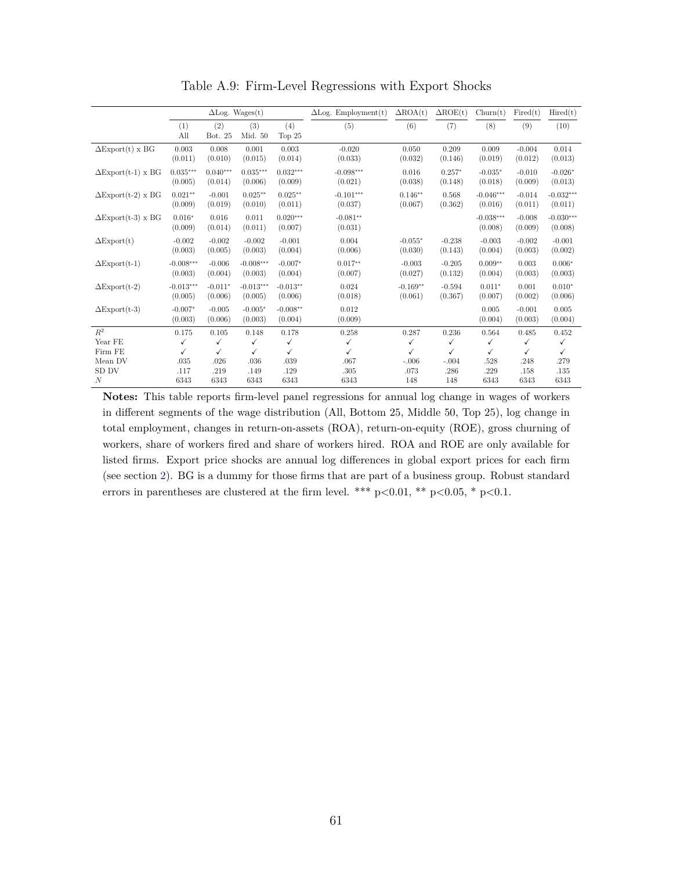<span id="page-60-0"></span>

|                           | $\Delta$ Log. Wages $(t)$ |                       |                        | $\Delta$ Log. Employment(t) | $\Delta \text{ROA}(t)$ | $\Delta \text{ROE}(t)$ | Churn(t)            | $\text{Fired}(t)$      | Hired(t)            |                        |
|---------------------------|---------------------------|-----------------------|------------------------|-----------------------------|------------------------|------------------------|---------------------|------------------------|---------------------|------------------------|
|                           | (1)<br>All                | (2)<br>Bot. 25        | (3)<br>Mid. 50         | (4)<br>Top 25               | (5)                    | (6)                    | (7)                 | (8)                    | (9)                 | (10)                   |
| $\Delta$ Export(t) x BG   | 0.003<br>(0.011)          | 0.008<br>(0.010)      | 0.001<br>(0.015)       | 0.003<br>(0.014)            | $-0.020$<br>(0.033)    | 0.050<br>(0.032)       | 0.209<br>(0.146)    | 0.009<br>(0.019)       | $-0.004$<br>(0.012) | 0.014<br>(0.013)       |
| $\Delta$ Export(t-1) x BG | $0.035***$<br>(0.005)     | $0.040***$<br>(0.014) | $0.035***$<br>(0.006)  | $0.032***$<br>(0.009)       | $-0.098***$<br>(0.021) | 0.016<br>(0.038)       | $0.257*$<br>(0.148) | $-0.035*$<br>(0.018)   | $-0.010$<br>(0.009) | $-0.026*$<br>(0.013)   |
| $\Delta$ Export(t-2) x BG | $0.021**$<br>(0.009)      | $-0.001$<br>(0.019)   | $0.025**$<br>(0.010)   | $0.025**$<br>(0.011)        | $-0.101***$<br>(0.037) | $0.146**$<br>(0.067)   | 0.568<br>(0.362)    | $-0.046***$<br>(0.016) | $-0.014$<br>(0.011) | $-0.032***$<br>(0.011) |
| $\Delta$ Export(t-3) x BG | $0.016*$<br>(0.009)       | 0.016<br>(0.014)      | 0.011<br>(0.011)       | $0.020***$<br>(0.007)       | $-0.081**$<br>(0.031)  |                        |                     | $-0.038***$<br>(0.008) | $-0.008$<br>(0.009) | $-0.030***$<br>(0.008) |
| $\Delta$ Export(t)        | $-0.002$<br>(0.003)       | $-0.002$<br>(0.005)   | $-0.002$<br>(0.003)    | $-0.001$<br>(0.004)         | 0.004<br>(0.006)       | $-0.055*$<br>(0.030)   | $-0.238$<br>(0.143) | $-0.003$<br>(0.004)    | $-0.002$<br>(0.003) | $-0.001$<br>(0.002)    |
| $\Delta$ Export(t-1)      | $-0.008***$<br>(0.003)    | $-0.006$<br>(0.004)   | $-0.008***$<br>(0.003) | $-0.007*$<br>(0.004)        | $0.017**$<br>(0.007)   | $-0.003$<br>(0.027)    | $-0.205$<br>(0.132) | $0.009**$<br>(0.004)   | 0.003<br>(0.003)    | $0.006*$<br>(0.003)    |
| $\Delta$ Export(t-2)      | $-0.013***$<br>(0.005)    | $-0.011*$<br>(0.006)  | $-0.013***$<br>(0.005) | $-0.013**$<br>(0.006)       | 0.024<br>(0.018)       | $-0.169**$<br>(0.061)  | $-0.594$<br>(0.367) | $0.011*$<br>(0.007)    | 0.001<br>(0.002)    | $0.010*$<br>(0.006)    |
| $\Delta$ Export(t-3)      | $-0.007*$<br>(0.003)      | $-0.005$<br>(0.006)   | $-0.005*$<br>(0.003)   | $-0.008**$<br>(0.004)       | 0.012<br>(0.009)       |                        |                     | 0.005<br>(0.004)       | $-0.001$<br>(0.003) | 0.005<br>(0.004)       |
| $R^2$                     | 0.175                     | 0.105                 | 0.148                  | 0.178                       | 0.258                  | 0.287                  | 0.236               | 0.564                  | 0.485               | 0.452                  |
| Year FE                   | ✓                         | ✓                     | $\checkmark$           | ✓                           | √                      | ✓                      | ✓                   | ✓                      | ✓                   | ✓                      |
| Firm FE                   | ✓                         | $\checkmark$          | $\checkmark$           | ✓                           | ✓                      | ✓                      | ✓                   | ✓                      | ✓                   | ✓                      |
| Mean DV                   | .035                      | .026                  | .036                   | .039                        | .067                   | $-.006$                | $-.004$             | .528                   | .248                | .279                   |
| SD DV                     | .117                      | .219                  | .149                   | .129                        | .305                   | .073                   | .286                | .229                   | .158                | .135                   |
| N                         | 6343                      | 6343                  | 6343                   | 6343                        | 6343                   | 148                    | 148                 | 6343                   | 6343                | 6343                   |

Table A.9: Firm-Level Regressions with Export Shocks

**Notes:** This table reports firm-level panel regressions for annual log change in wages of workers in different segments of the wage distribution (All, Bottom 25, Middle 50, Top 25), log change in total employment, changes in return-on-assets (ROA), return-on-equity (ROE), gross churning of workers, share of workers fired and share of workers hired. ROA and ROE are only available for listed firms. Export price shocks are annual log differences in global export prices for each firm (see section [2\)](#page-7-0). BG is a dummy for those firms that are part of a business group. Robust standard errors in parentheses are clustered at the firm level. \*\*\* p*<*0.01, \*\* p*<*0.05, \* p*<*0.1.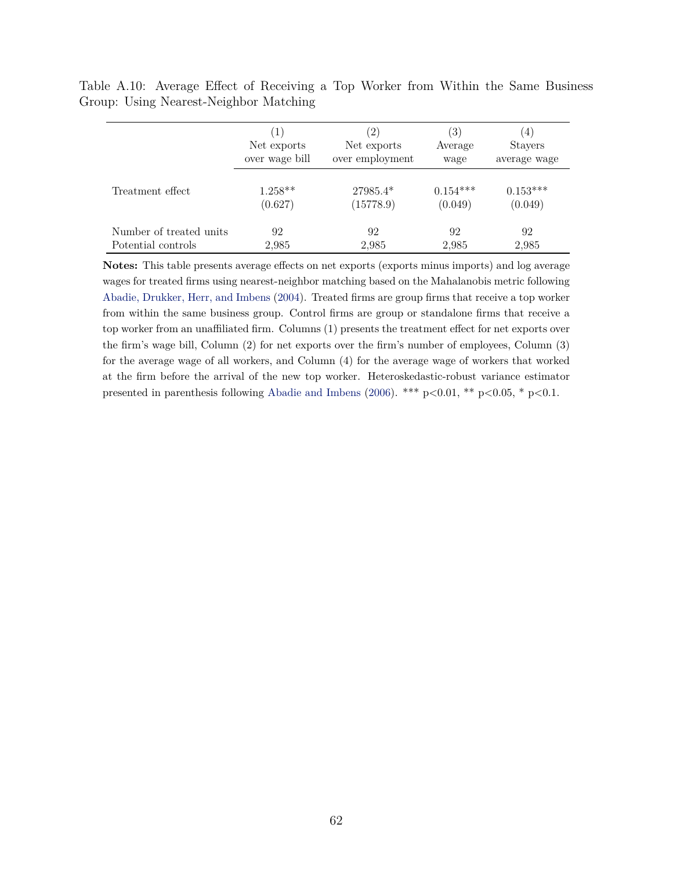|                         | $\left(1\right)$ | $\left( 2\right)$ | $\left( 3\right)$ | (4)          |
|-------------------------|------------------|-------------------|-------------------|--------------|
|                         | Net exports      | Net exports       | Average           | Stayers      |
|                         | over wage bill   | over employment   | wage              | average wage |
| Treatment effect        | $1.258**$        | 27985.4*          | $0.154***$        | $0.153***$   |
|                         | (0.627)          | (15778.9)         | (0.049)           | (0.049)      |
| Number of treated units | 92               | 92                | 92                | 92           |
| Potential controls      | 2,985            | 2.985             | 2,985             | 2,985        |

<span id="page-61-0"></span>Table A.10: Average Effect of Receiving a Top Worker from Within the Same Business Group: Using Nearest-Neighbor Matching

**Notes:** This table presents average effects on net exports (exports minus imports) and log average wages for treated firms using nearest-neighbor matching based on the Mahalanobis metric following [Abadie, Drukker, Herr, and Imbens](#page-32-12) [\(2004\)](#page-32-12). Treated firms are group firms that receive a top worker from within the same business group. Control firms are group or standalone firms that receive a top worker from an unaffiliated firm. Columns (1) presents the treatment effect for net exports over the firm's wage bill, Column (2) for net exports over the firm's number of employees, Column (3) for the average wage of all workers, and Column (4) for the average wage of workers that worked at the firm before the arrival of the new top worker. Heteroskedastic-robust variance estimator presented in parenthesis following [Abadie and Imbens](#page-32-13) [\(2006\)](#page-32-13). \*\*\* p*<*0.01, \*\* p*<*0.05, \* p*<*0.1.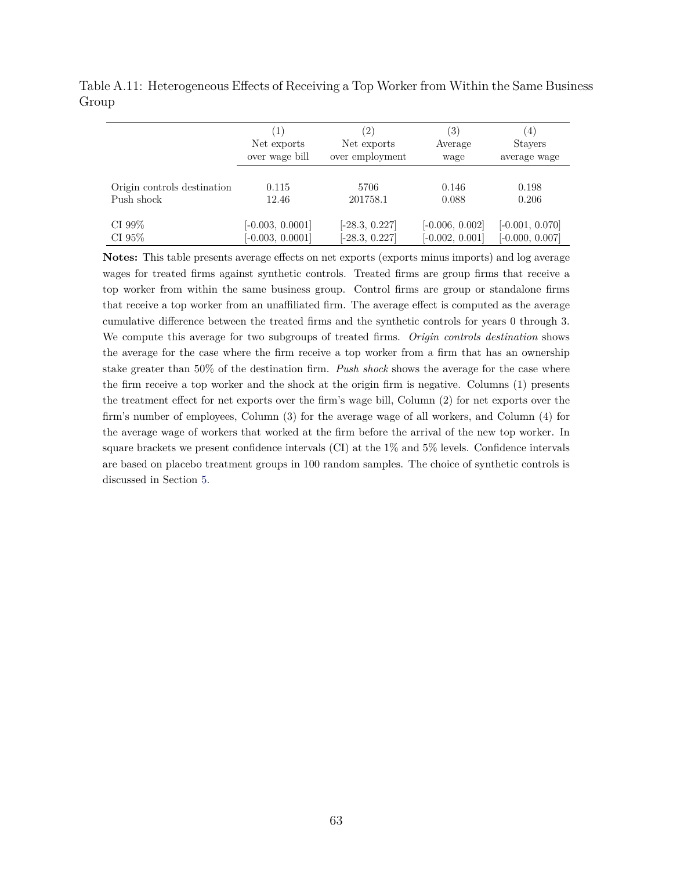(1)  $(2)$   $(3)$   $(4)$ Net exports over wage bill Net exports over employment Average wage Stayers average wage Origin controls destination 0.115 5706 0.146 0.198 Push shock 12.46 201758.1 0.088 0.206 CI 99%  $[-0.003, 0.0001]$   $[-28.3, 0.227]$   $[-0.006, 0.002]$   $[-0.001, 0.070]$ CI 95% [-0.003, 0.0001] [-28.3, 0.227] [-0.002, 0.001] [-0.000, 0.007]

<span id="page-62-0"></span>Table A.11: Heterogeneous Effects of Receiving a Top Worker from Within the Same Business Group

**Notes:** This table presents average effects on net exports (exports minus imports) and log average wages for treated firms against synthetic controls. Treated firms are group firms that receive a top worker from within the same business group. Control firms are group or standalone firms that receive a top worker from an unaffiliated firm. The average effect is computed as the average cumulative difference between the treated firms and the synthetic controls for years 0 through 3. We compute this average for two subgroups of treated firms. *Origin controls destination* shows the average for the case where the firm receive a top worker from a firm that has an ownership stake greater than 50% of the destination firm. *Push shock* shows the average for the case where the firm receive a top worker and the shock at the origin firm is negative. Columns (1) presents the treatment effect for net exports over the firm's wage bill, Column (2) for net exports over the firm's number of employees, Column (3) for the average wage of all workers, and Column (4) for the average wage of workers that worked at the firm before the arrival of the new top worker. In square brackets we present confidence intervals (CI) at the 1% and 5% levels. Confidence intervals are based on placebo treatment groups in 100 random samples. The choice of synthetic controls is discussed in Section [5.](#page-28-0)